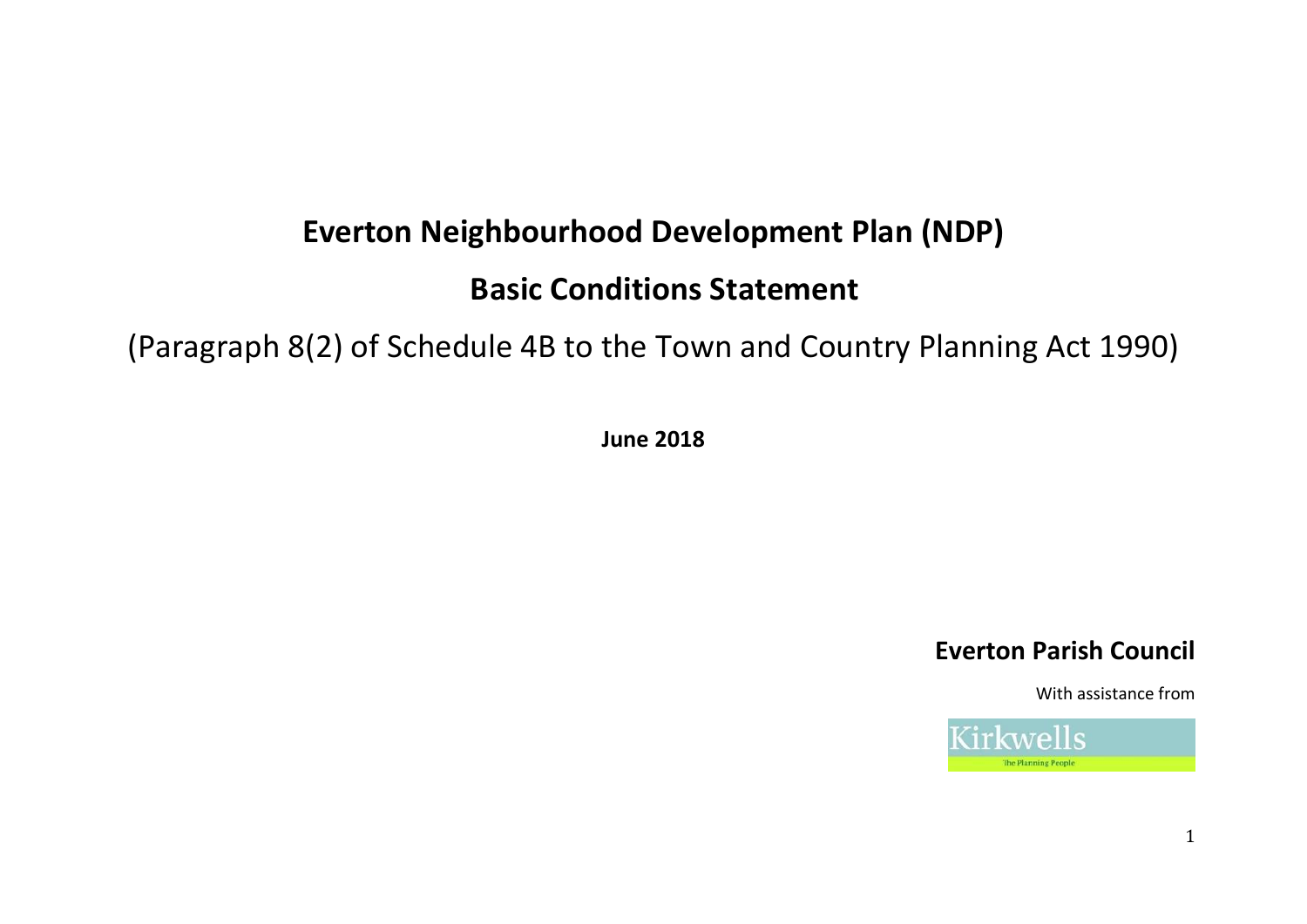# **Everton Neighbourhood Development Plan (NDP)**

## **Basic Conditions Statement**

[\(Paragraph 8\(2\) of Schedule 4B to the Town and Country Planning Act 1990\)](http://www.legislation.gov.uk/ukpga/2011/20/schedule/9/enacted)

**June 2018**

## **Everton Parish Council**

With assistance from

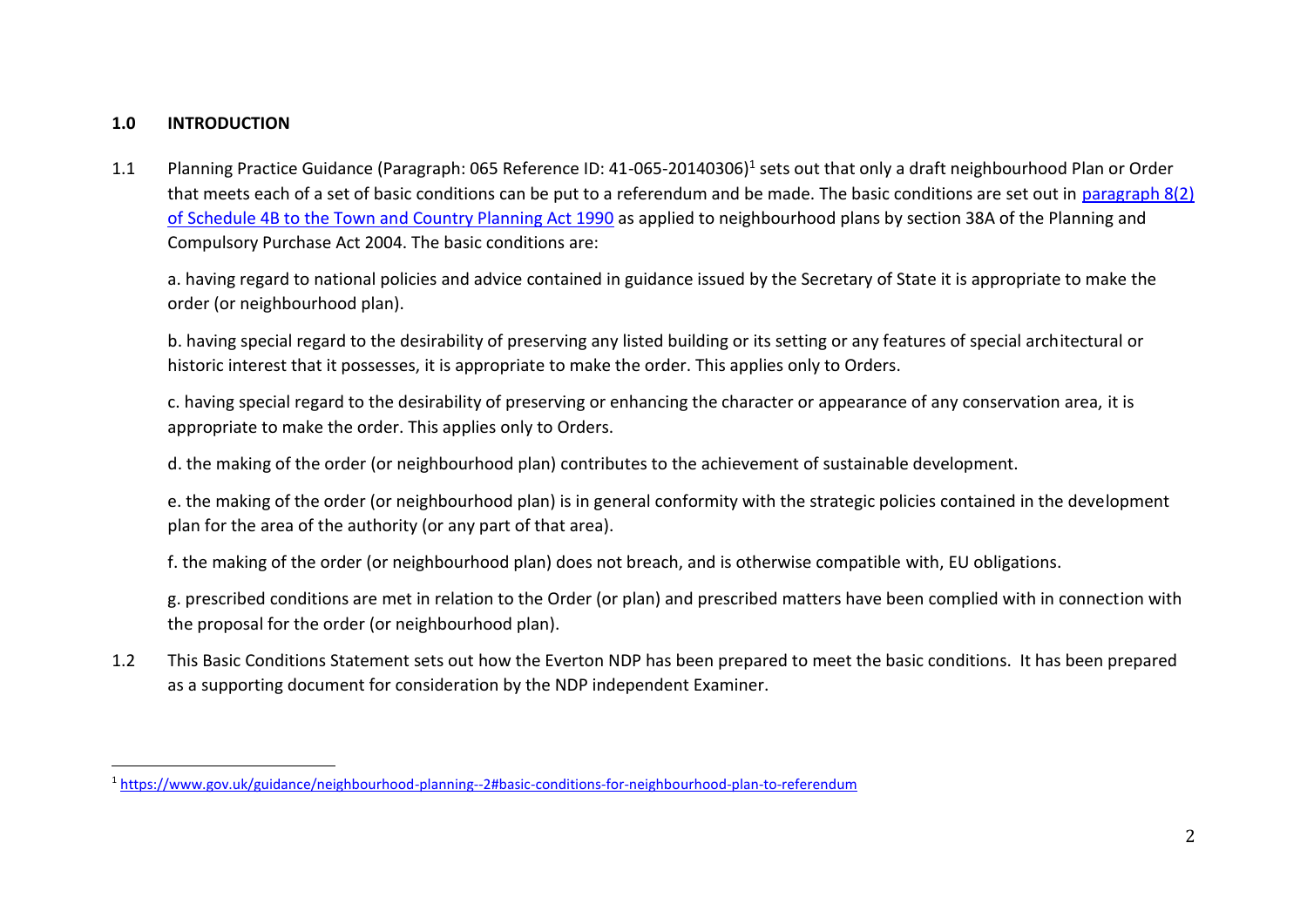## **1.0 INTRODUCTION**

 $\overline{\phantom{a}}$ 

1.1 Planning Practice Guidance (Paragraph: 065 Reference ID: 41-065-20140306)<sup>1</sup> sets out that only a draft neighbourhood Plan or Order that meets each of a set of basic conditions can be put to a referendum and be made. The basic conditions are set out in [paragraph 8\(2\)](http://www.legislation.gov.uk/ukpga/2011/20/schedule/9/enacted)  [of Schedule 4B to the Town and Country Planning Act 1990](http://www.legislation.gov.uk/ukpga/2011/20/schedule/9/enacted) as applied to neighbourhood plans by section 38A of the Planning and Compulsory Purchase Act 2004. The basic conditions are:

a. having regard to national policies and advice contained in guidance issued by the Secretary of State it is appropriate to make the order (or neighbourhood plan).

b. having special regard to the desirability of preserving any listed building or its setting or any features of special architectural or historic interest that it possesses, it is appropriate to make the order. This applies only to Orders.

c. having special regard to the desirability of preserving or enhancing the character or appearance of any conservation area, it is appropriate to make the order. This applies only to Orders.

d. the making of the order (or neighbourhood plan) contributes to the achievement of sustainable development.

e. the making of the order (or neighbourhood plan) is in general conformity with the strategic policies contained in the development plan for the area of the authority (or any part of that area).

f. the making of the order (or neighbourhood plan) does not breach, and is otherwise compatible with, EU obligations.

g. prescribed conditions are met in relation to the Order (or plan) and prescribed matters have been complied with in connection with the proposal for the order (or neighbourhood plan).

1.2 This Basic Conditions Statement sets out how the Everton NDP has been prepared to meet the basic conditions. It has been prepared as a supporting document for consideration by the NDP independent Examiner.

<sup>1</sup> <https://www.gov.uk/guidance/neighbourhood-planning--2#basic-conditions-for-neighbourhood-plan-to-referendum>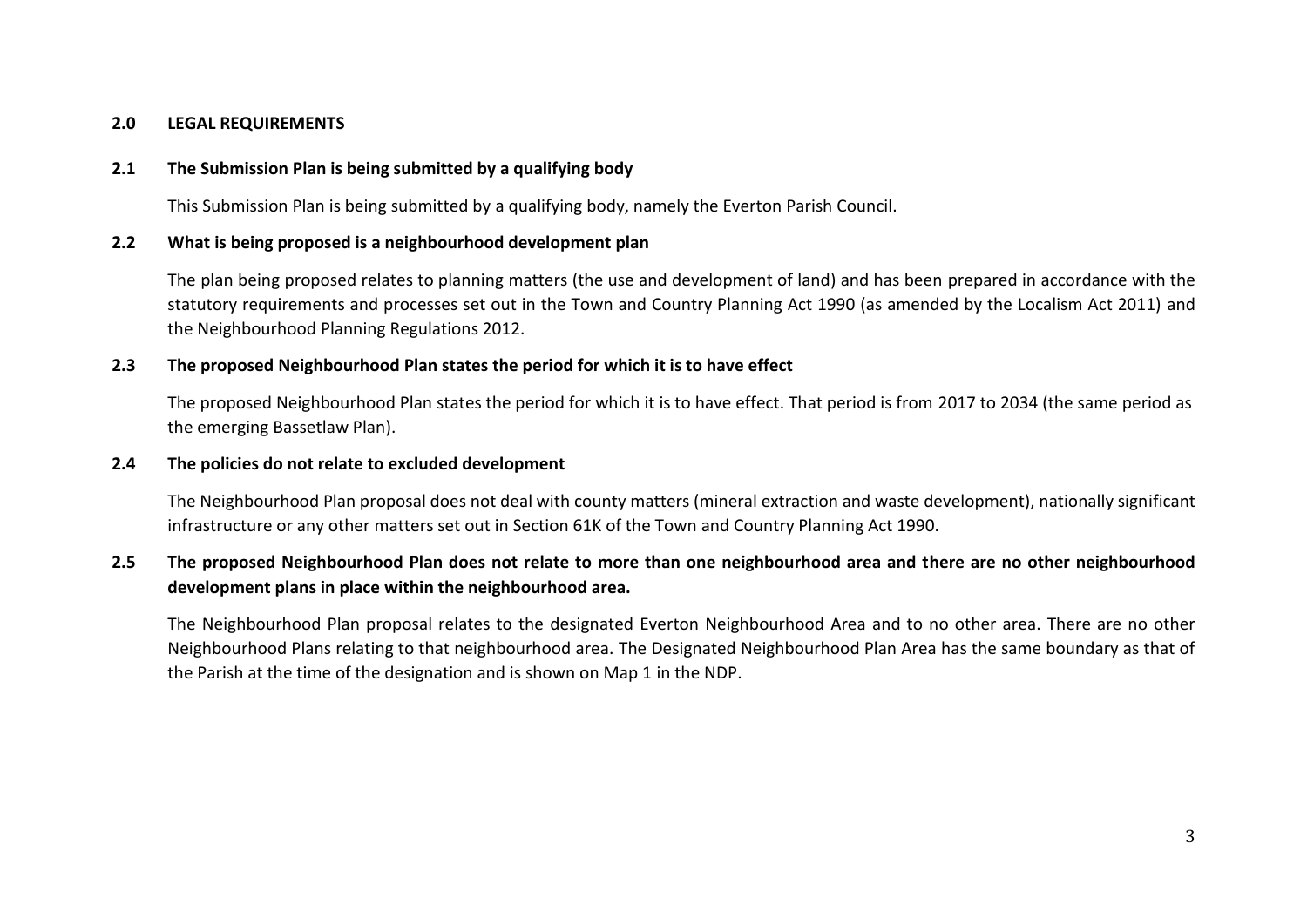## **2.0 LEGAL REQUIREMENTS**

### **2.1 The Submission Plan is being submitted by a qualifying body**

This Submission Plan is being submitted by a qualifying body, namely the Everton Parish Council.

#### **2.2 What is being proposed is a neighbourhood development plan**

The plan being proposed relates to planning matters (the use and development of land) and has been prepared in accordance with the statutory requirements and processes set out in the Town and Country Planning Act 1990 (as amended by the Localism Act 2011) and the Neighbourhood Planning Regulations 2012.

## **2.3 The proposed Neighbourhood Plan states the period for which it is to have effect**

The proposed Neighbourhood Plan states the period for which it is to have effect. That period is from 2017 to 2034 (the same period as the emerging Bassetlaw Plan).

#### **2.4 The policies do not relate to excluded development**

The Neighbourhood Plan proposal does not deal with county matters (mineral extraction and waste development), nationally significant infrastructure or any other matters set out in Section 61K of the Town and Country Planning Act 1990.

## **2.5 The proposed Neighbourhood Plan does not relate to more than one neighbourhood area and there are no other neighbourhood development plans in place within the neighbourhood area.**

The Neighbourhood Plan proposal relates to the designated Everton Neighbourhood Area and to no other area. There are no other Neighbourhood Plans relating to that neighbourhood area. The Designated Neighbourhood Plan Area has the same boundary as that of the Parish at the time of the designation and is shown on Map 1 in the NDP.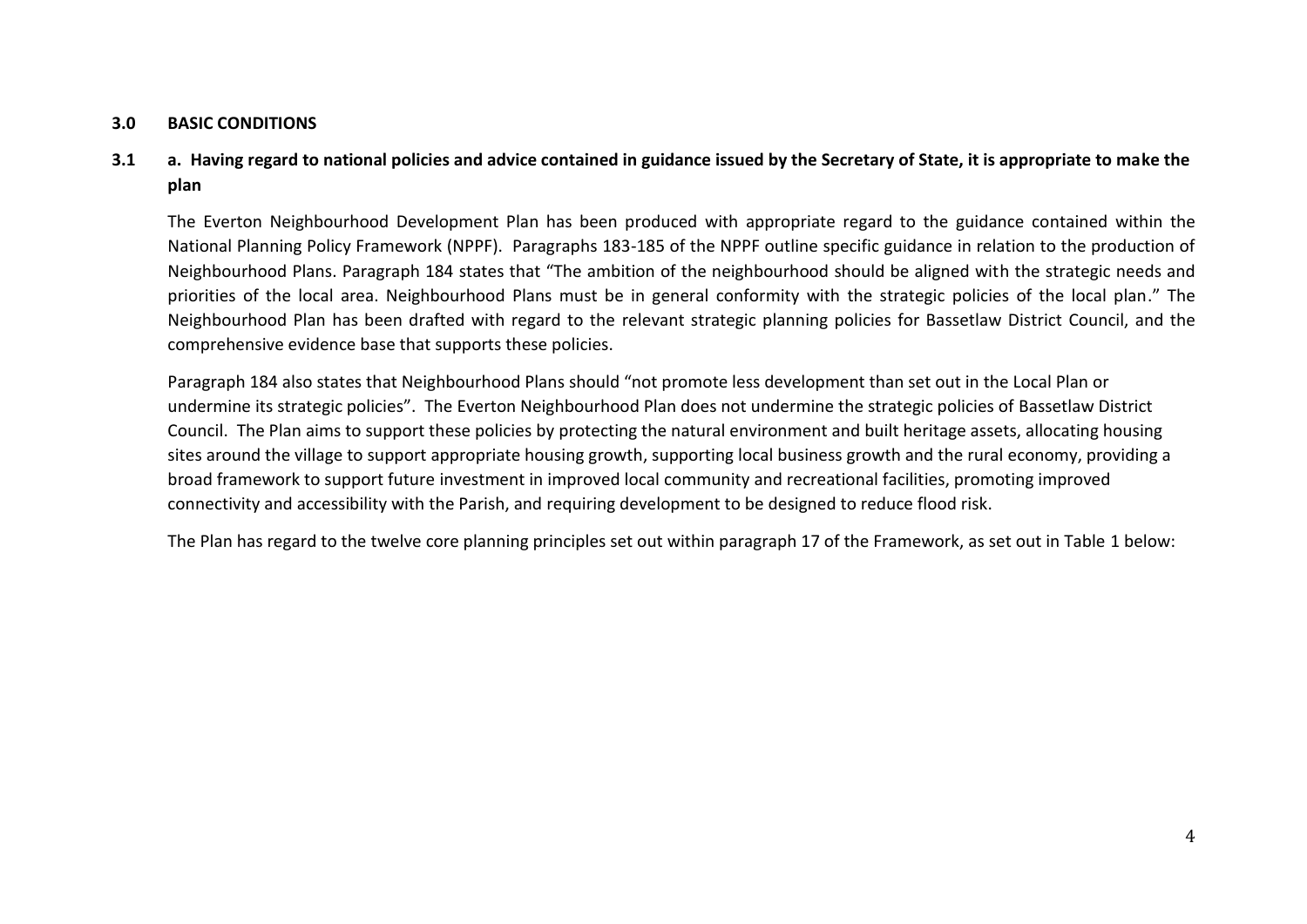## **3.0 BASIC CONDITIONS**

## **3.1 a. Having regard to national policies and advice contained in guidance issued by the Secretary of State, it is appropriate to make the plan**

The Everton Neighbourhood Development Plan has been produced with appropriate regard to the guidance contained within the National Planning Policy Framework (NPPF). Paragraphs 183-185 of the NPPF outline specific guidance in relation to the production of Neighbourhood Plans. Paragraph 184 states that "The ambition of the neighbourhood should be aligned with the strategic needs and priorities of the local area. Neighbourhood Plans must be in general conformity with the strategic policies of the local plan." The Neighbourhood Plan has been drafted with regard to the relevant strategic planning policies for Bassetlaw District Council, and the comprehensive evidence base that supports these policies.

Paragraph 184 also states that Neighbourhood Plans should "not promote less development than set out in the Local Plan or undermine its strategic policies". The Everton Neighbourhood Plan does not undermine the strategic policies of Bassetlaw District Council. The Plan aims to support these policies by protecting the natural environment and built heritage assets, allocating housing sites around the village to support appropriate housing growth, supporting local business growth and the rural economy, providing a broad framework to support future investment in improved local community and recreational facilities, promoting improved connectivity and accessibility with the Parish, and requiring development to be designed to reduce flood risk.

The Plan has regard to the twelve core planning principles set out within paragraph 17 of the Framework, as set out in Table 1 below: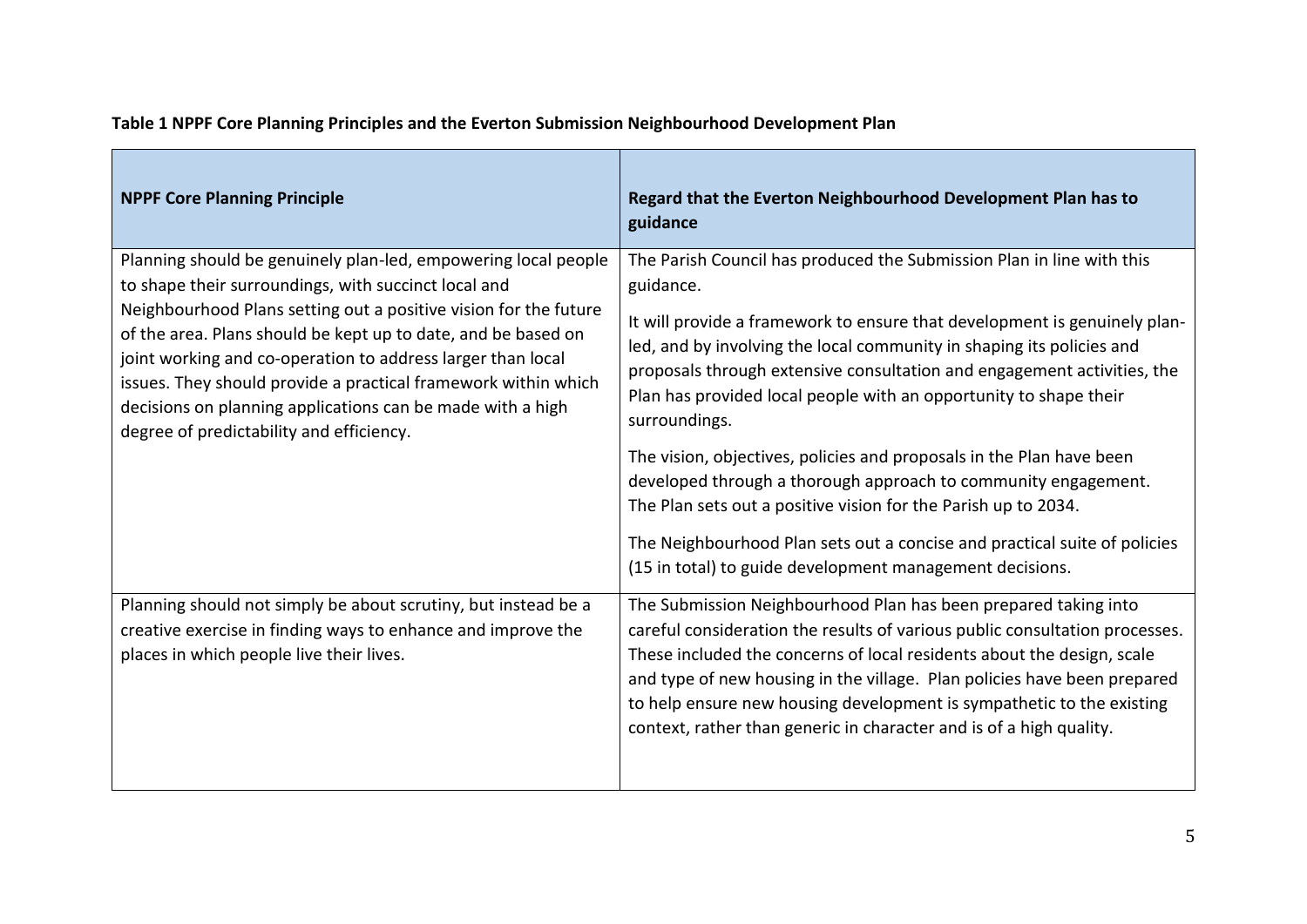| <b>NPPF Core Planning Principle</b>                                                                                                                                                                                                                                                                                                                                                                                                                                                                    | Regard that the Everton Neighbourhood Development Plan has to<br>guidance                                                                                                                                                                                                                                                                                                                                                                                                                                                                                                                                                                                                                                                                                      |
|--------------------------------------------------------------------------------------------------------------------------------------------------------------------------------------------------------------------------------------------------------------------------------------------------------------------------------------------------------------------------------------------------------------------------------------------------------------------------------------------------------|----------------------------------------------------------------------------------------------------------------------------------------------------------------------------------------------------------------------------------------------------------------------------------------------------------------------------------------------------------------------------------------------------------------------------------------------------------------------------------------------------------------------------------------------------------------------------------------------------------------------------------------------------------------------------------------------------------------------------------------------------------------|
| Planning should be genuinely plan-led, empowering local people<br>to shape their surroundings, with succinct local and<br>Neighbourhood Plans setting out a positive vision for the future<br>of the area. Plans should be kept up to date, and be based on<br>joint working and co-operation to address larger than local<br>issues. They should provide a practical framework within which<br>decisions on planning applications can be made with a high<br>degree of predictability and efficiency. | The Parish Council has produced the Submission Plan in line with this<br>guidance.<br>It will provide a framework to ensure that development is genuinely plan-<br>led, and by involving the local community in shaping its policies and<br>proposals through extensive consultation and engagement activities, the<br>Plan has provided local people with an opportunity to shape their<br>surroundings.<br>The vision, objectives, policies and proposals in the Plan have been<br>developed through a thorough approach to community engagement.<br>The Plan sets out a positive vision for the Parish up to 2034.<br>The Neighbourhood Plan sets out a concise and practical suite of policies<br>(15 in total) to guide development management decisions. |
| Planning should not simply be about scrutiny, but instead be a<br>creative exercise in finding ways to enhance and improve the<br>places in which people live their lives.                                                                                                                                                                                                                                                                                                                             | The Submission Neighbourhood Plan has been prepared taking into<br>careful consideration the results of various public consultation processes.<br>These included the concerns of local residents about the design, scale<br>and type of new housing in the village. Plan policies have been prepared<br>to help ensure new housing development is sympathetic to the existing<br>context, rather than generic in character and is of a high quality.                                                                                                                                                                                                                                                                                                           |

## **Table 1 NPPF Core Planning Principles and the Everton Submission Neighbourhood Development Plan**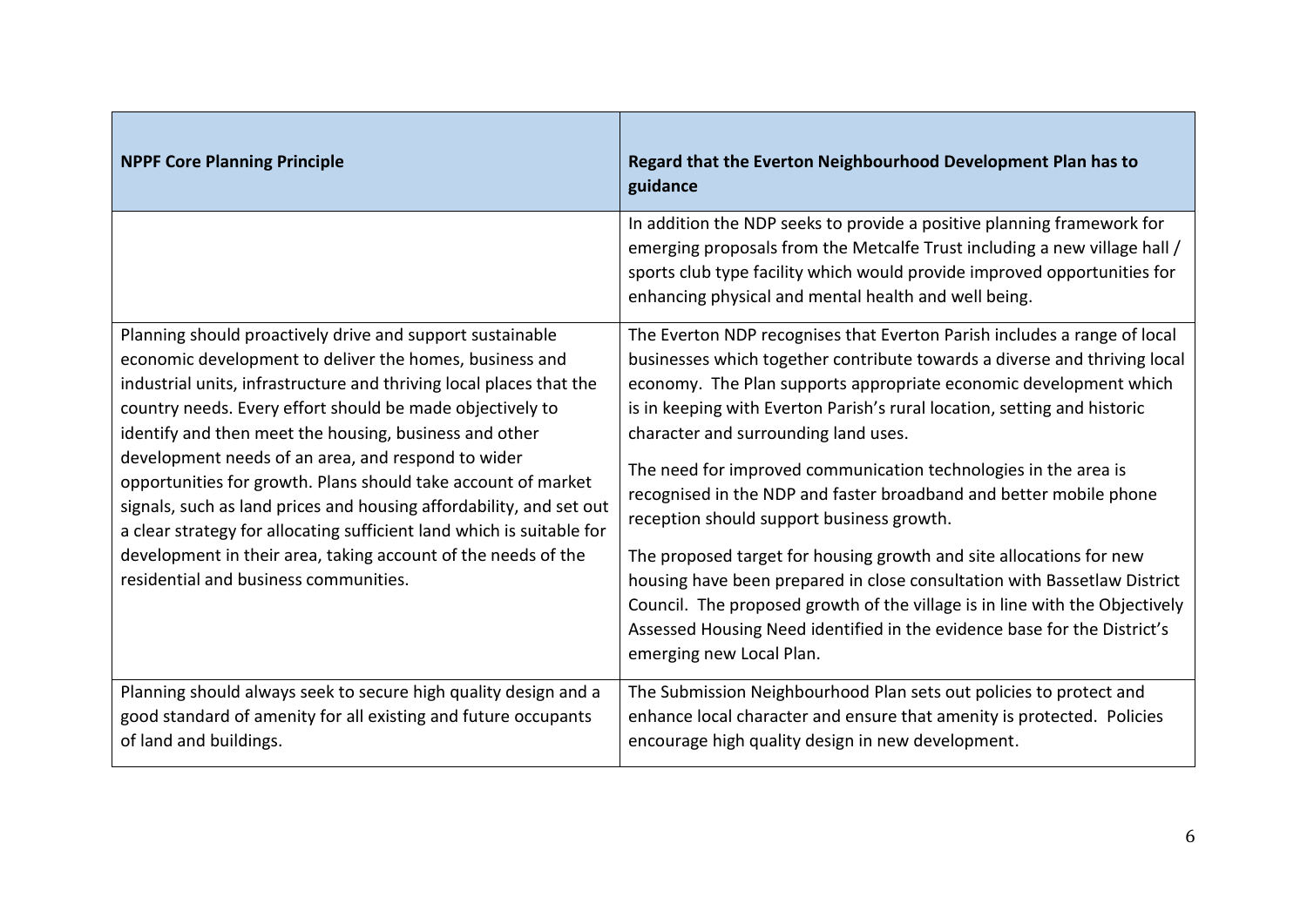| <b>NPPF Core Planning Principle</b>                                                                                                                                                                                                                                                                                                                                                                                                                                                                                                                                                                                                                                                                 | Regard that the Everton Neighbourhood Development Plan has to<br>guidance                                                                                                                                                                                                                                                                                                                                                                                                                                                                                                                                                                                                                                                                                                                                                                                                      |
|-----------------------------------------------------------------------------------------------------------------------------------------------------------------------------------------------------------------------------------------------------------------------------------------------------------------------------------------------------------------------------------------------------------------------------------------------------------------------------------------------------------------------------------------------------------------------------------------------------------------------------------------------------------------------------------------------------|--------------------------------------------------------------------------------------------------------------------------------------------------------------------------------------------------------------------------------------------------------------------------------------------------------------------------------------------------------------------------------------------------------------------------------------------------------------------------------------------------------------------------------------------------------------------------------------------------------------------------------------------------------------------------------------------------------------------------------------------------------------------------------------------------------------------------------------------------------------------------------|
|                                                                                                                                                                                                                                                                                                                                                                                                                                                                                                                                                                                                                                                                                                     | In addition the NDP seeks to provide a positive planning framework for<br>emerging proposals from the Metcalfe Trust including a new village hall /<br>sports club type facility which would provide improved opportunities for<br>enhancing physical and mental health and well being.                                                                                                                                                                                                                                                                                                                                                                                                                                                                                                                                                                                        |
| Planning should proactively drive and support sustainable<br>economic development to deliver the homes, business and<br>industrial units, infrastructure and thriving local places that the<br>country needs. Every effort should be made objectively to<br>identify and then meet the housing, business and other<br>development needs of an area, and respond to wider<br>opportunities for growth. Plans should take account of market<br>signals, such as land prices and housing affordability, and set out<br>a clear strategy for allocating sufficient land which is suitable for<br>development in their area, taking account of the needs of the<br>residential and business communities. | The Everton NDP recognises that Everton Parish includes a range of local<br>businesses which together contribute towards a diverse and thriving local<br>economy. The Plan supports appropriate economic development which<br>is in keeping with Everton Parish's rural location, setting and historic<br>character and surrounding land uses.<br>The need for improved communication technologies in the area is<br>recognised in the NDP and faster broadband and better mobile phone<br>reception should support business growth.<br>The proposed target for housing growth and site allocations for new<br>housing have been prepared in close consultation with Bassetlaw District<br>Council. The proposed growth of the village is in line with the Objectively<br>Assessed Housing Need identified in the evidence base for the District's<br>emerging new Local Plan. |
| Planning should always seek to secure high quality design and a<br>good standard of amenity for all existing and future occupants<br>of land and buildings.                                                                                                                                                                                                                                                                                                                                                                                                                                                                                                                                         | The Submission Neighbourhood Plan sets out policies to protect and<br>enhance local character and ensure that amenity is protected. Policies<br>encourage high quality design in new development.                                                                                                                                                                                                                                                                                                                                                                                                                                                                                                                                                                                                                                                                              |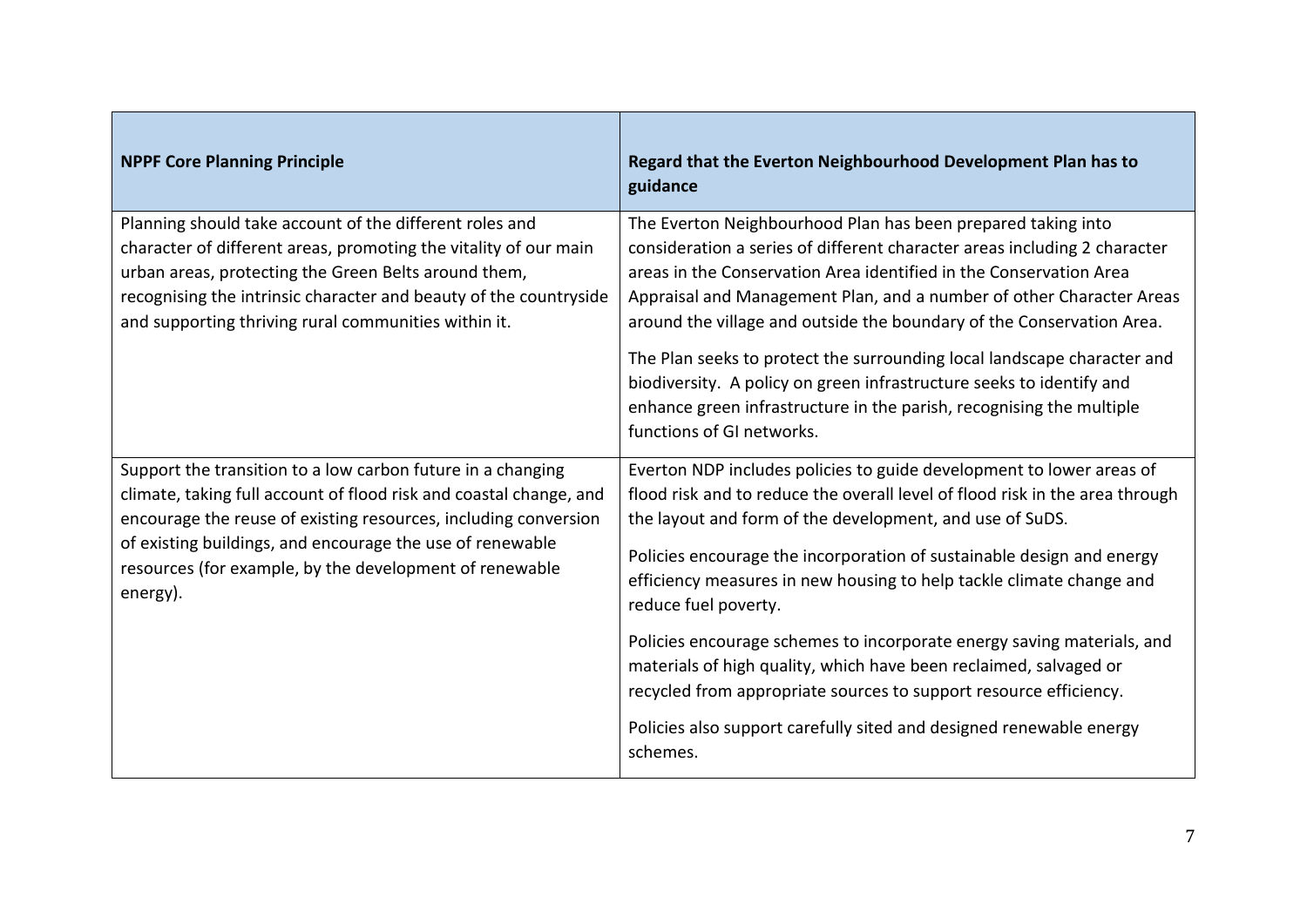| <b>NPPF Core Planning Principle</b>                                                                                                                                                                                                                                                                                                      | Regard that the Everton Neighbourhood Development Plan has to<br>guidance                                                                                                                                                                                                                                                                                                                                                                                                                                                                                                                                                                                                                        |
|------------------------------------------------------------------------------------------------------------------------------------------------------------------------------------------------------------------------------------------------------------------------------------------------------------------------------------------|--------------------------------------------------------------------------------------------------------------------------------------------------------------------------------------------------------------------------------------------------------------------------------------------------------------------------------------------------------------------------------------------------------------------------------------------------------------------------------------------------------------------------------------------------------------------------------------------------------------------------------------------------------------------------------------------------|
| Planning should take account of the different roles and<br>character of different areas, promoting the vitality of our main<br>urban areas, protecting the Green Belts around them,<br>recognising the intrinsic character and beauty of the countryside<br>and supporting thriving rural communities within it.                         | The Everton Neighbourhood Plan has been prepared taking into<br>consideration a series of different character areas including 2 character<br>areas in the Conservation Area identified in the Conservation Area<br>Appraisal and Management Plan, and a number of other Character Areas<br>around the village and outside the boundary of the Conservation Area.<br>The Plan seeks to protect the surrounding local landscape character and<br>biodiversity. A policy on green infrastructure seeks to identify and<br>enhance green infrastructure in the parish, recognising the multiple<br>functions of GI networks.                                                                         |
| Support the transition to a low carbon future in a changing<br>climate, taking full account of flood risk and coastal change, and<br>encourage the reuse of existing resources, including conversion<br>of existing buildings, and encourage the use of renewable<br>resources (for example, by the development of renewable<br>energy). | Everton NDP includes policies to guide development to lower areas of<br>flood risk and to reduce the overall level of flood risk in the area through<br>the layout and form of the development, and use of SuDS.<br>Policies encourage the incorporation of sustainable design and energy<br>efficiency measures in new housing to help tackle climate change and<br>reduce fuel poverty.<br>Policies encourage schemes to incorporate energy saving materials, and<br>materials of high quality, which have been reclaimed, salvaged or<br>recycled from appropriate sources to support resource efficiency.<br>Policies also support carefully sited and designed renewable energy<br>schemes. |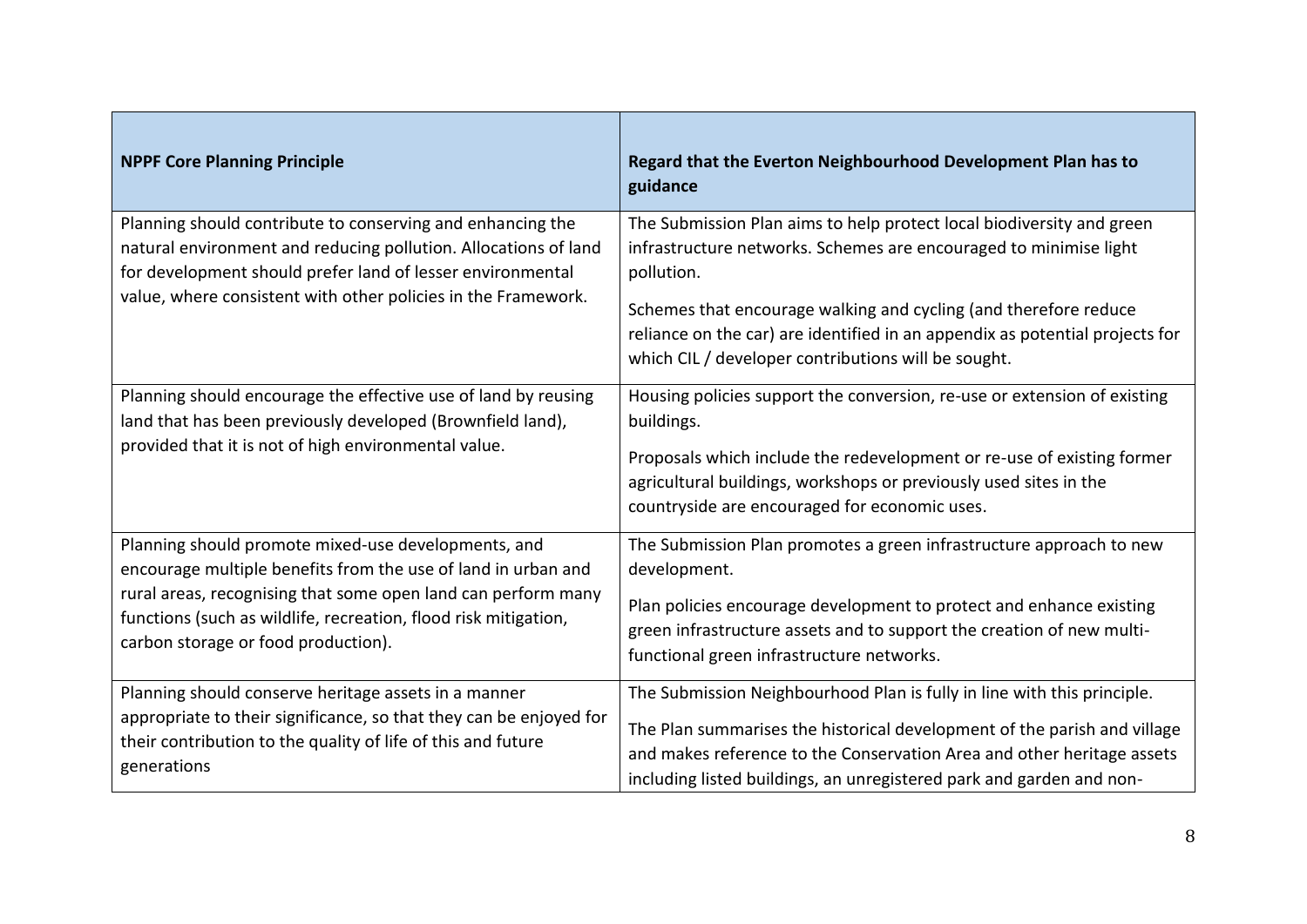| <b>NPPF Core Planning Principle</b>                                                                                                                                                                                                                                                             | Regard that the Everton Neighbourhood Development Plan has to<br>guidance                                                                                                                                                                                                                                                                                           |
|-------------------------------------------------------------------------------------------------------------------------------------------------------------------------------------------------------------------------------------------------------------------------------------------------|---------------------------------------------------------------------------------------------------------------------------------------------------------------------------------------------------------------------------------------------------------------------------------------------------------------------------------------------------------------------|
| Planning should contribute to conserving and enhancing the<br>natural environment and reducing pollution. Allocations of land<br>for development should prefer land of lesser environmental<br>value, where consistent with other policies in the Framework.                                    | The Submission Plan aims to help protect local biodiversity and green<br>infrastructure networks. Schemes are encouraged to minimise light<br>pollution.<br>Schemes that encourage walking and cycling (and therefore reduce<br>reliance on the car) are identified in an appendix as potential projects for<br>which CIL / developer contributions will be sought. |
| Planning should encourage the effective use of land by reusing<br>land that has been previously developed (Brownfield land),<br>provided that it is not of high environmental value.                                                                                                            | Housing policies support the conversion, re-use or extension of existing<br>buildings.<br>Proposals which include the redevelopment or re-use of existing former<br>agricultural buildings, workshops or previously used sites in the<br>countryside are encouraged for economic uses.                                                                              |
| Planning should promote mixed-use developments, and<br>encourage multiple benefits from the use of land in urban and<br>rural areas, recognising that some open land can perform many<br>functions (such as wildlife, recreation, flood risk mitigation,<br>carbon storage or food production). | The Submission Plan promotes a green infrastructure approach to new<br>development.<br>Plan policies encourage development to protect and enhance existing<br>green infrastructure assets and to support the creation of new multi-<br>functional green infrastructure networks.                                                                                    |
| Planning should conserve heritage assets in a manner<br>appropriate to their significance, so that they can be enjoyed for<br>their contribution to the quality of life of this and future<br>generations                                                                                       | The Submission Neighbourhood Plan is fully in line with this principle.<br>The Plan summarises the historical development of the parish and village<br>and makes reference to the Conservation Area and other heritage assets<br>including listed buildings, an unregistered park and garden and non-                                                               |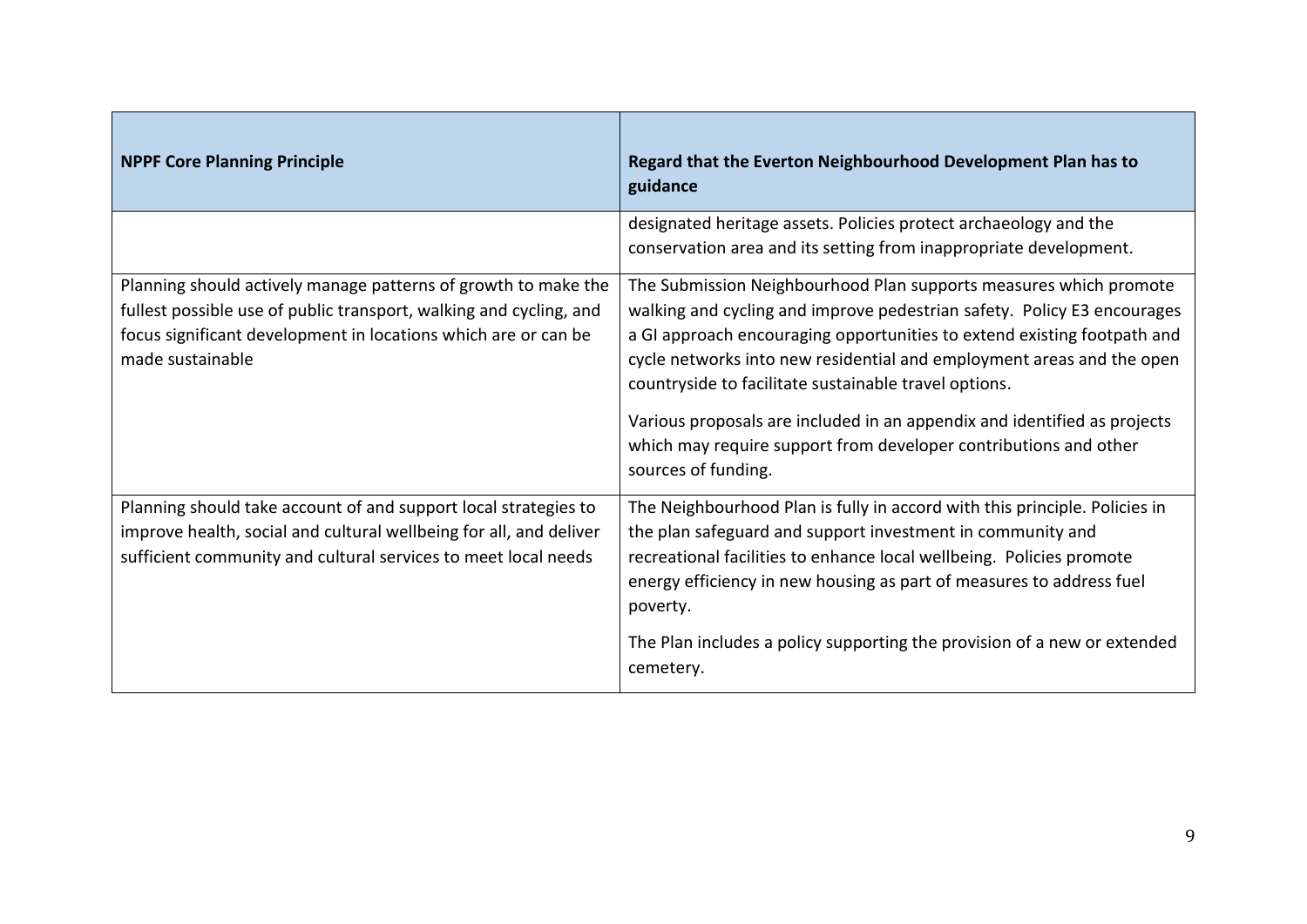| <b>NPPF Core Planning Principle</b>                                                                                                                                                                                        | Regard that the Everton Neighbourhood Development Plan has to<br>guidance                                                                                                                                                                                                                                                                                                                                                                                                                                                        |
|----------------------------------------------------------------------------------------------------------------------------------------------------------------------------------------------------------------------------|----------------------------------------------------------------------------------------------------------------------------------------------------------------------------------------------------------------------------------------------------------------------------------------------------------------------------------------------------------------------------------------------------------------------------------------------------------------------------------------------------------------------------------|
|                                                                                                                                                                                                                            | designated heritage assets. Policies protect archaeology and the<br>conservation area and its setting from inappropriate development.                                                                                                                                                                                                                                                                                                                                                                                            |
| Planning should actively manage patterns of growth to make the<br>fullest possible use of public transport, walking and cycling, and<br>focus significant development in locations which are or can be<br>made sustainable | The Submission Neighbourhood Plan supports measures which promote<br>walking and cycling and improve pedestrian safety. Policy E3 encourages<br>a GI approach encouraging opportunities to extend existing footpath and<br>cycle networks into new residential and employment areas and the open<br>countryside to facilitate sustainable travel options.<br>Various proposals are included in an appendix and identified as projects<br>which may require support from developer contributions and other<br>sources of funding. |
| Planning should take account of and support local strategies to<br>improve health, social and cultural wellbeing for all, and deliver<br>sufficient community and cultural services to meet local needs                    | The Neighbourhood Plan is fully in accord with this principle. Policies in<br>the plan safeguard and support investment in community and<br>recreational facilities to enhance local wellbeing. Policies promote<br>energy efficiency in new housing as part of measures to address fuel<br>poverty.<br>The Plan includes a policy supporting the provision of a new or extended<br>cemetery.                                                                                                                                    |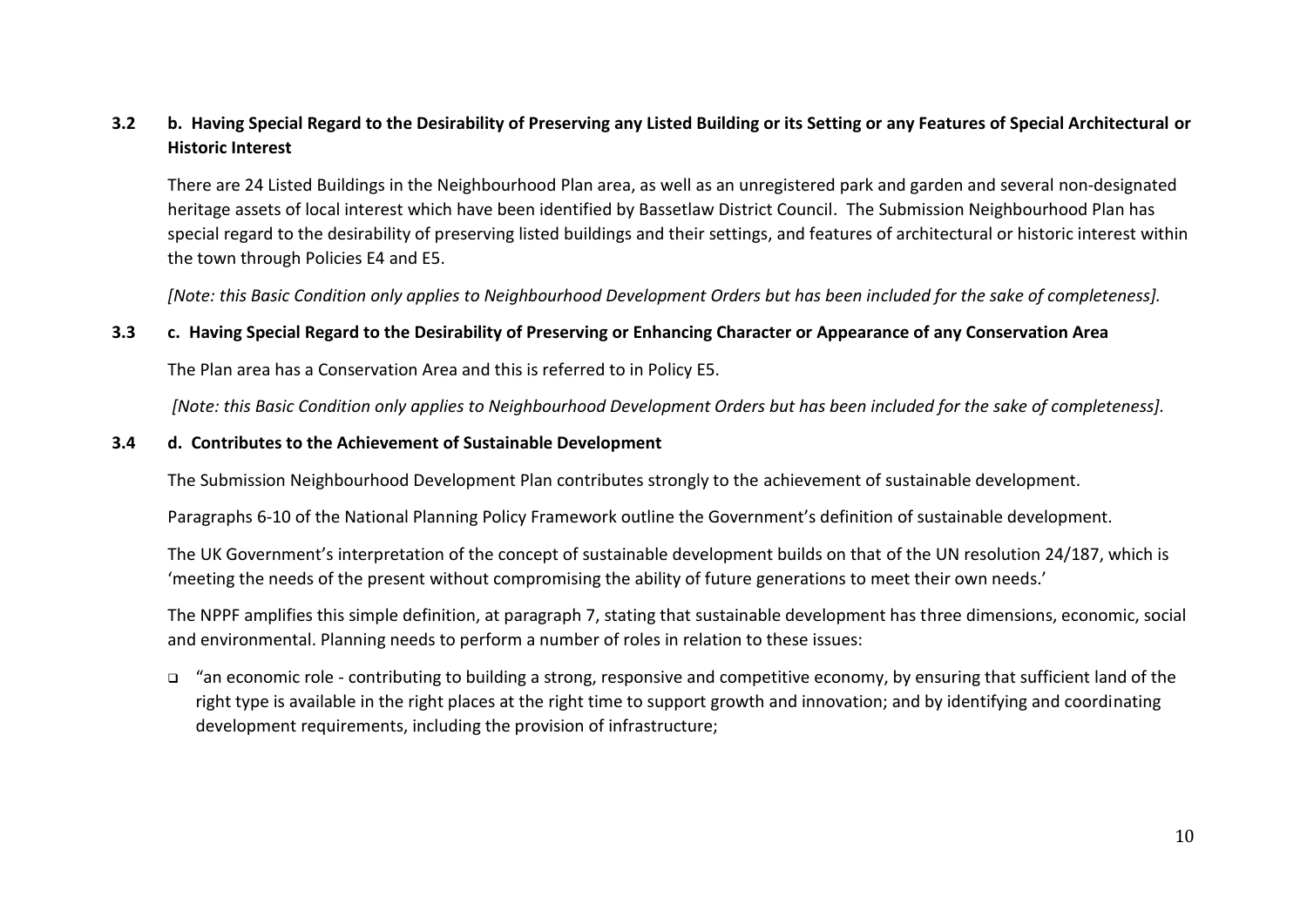## **3.2 b. Having Special Regard to the Desirability of Preserving any Listed Building or its Setting or any Features of Special Architectural or Historic Interest**

There are 24 Listed Buildings in the Neighbourhood Plan area, as well as an unregistered park and garden and several non-designated heritage assets of local interest which have been identified by Bassetlaw District Council. The Submission Neighbourhood Plan has special regard to the desirability of preserving listed buildings and their settings, and features of architectural or historic interest within the town through Policies E4 and E5.

*[Note: this Basic Condition only applies to Neighbourhood Development Orders but has been included for the sake of completeness].*

## **3.3 c. Having Special Regard to the Desirability of Preserving or Enhancing Character or Appearance of any Conservation Area**

The Plan area has a Conservation Area and this is referred to in Policy E5.

*[Note: this Basic Condition only applies to Neighbourhood Development Orders but has been included for the sake of completeness].*

#### **3.4 d. Contributes to the Achievement of Sustainable Development**

The Submission Neighbourhood Development Plan contributes strongly to the achievement of sustainable development.

Paragraphs 6-10 of the National Planning Policy Framework outline the Government's definition of sustainable development.

The UK Government's interpretation of the concept of sustainable development builds on that of the UN resolution 24/187, which is 'meeting the needs of the present without compromising the ability of future generations to meet their own needs.'

The NPPF amplifies this simple definition, at paragraph 7, stating that sustainable development has three dimensions, economic, social and environmental. Planning needs to perform a number of roles in relation to these issues:

❑ "an economic role - contributing to building a strong, responsive and competitive economy, by ensuring that sufficient land of the right type is available in the right places at the right time to support growth and innovation; and by identifying and coordinating development requirements, including the provision of infrastructure;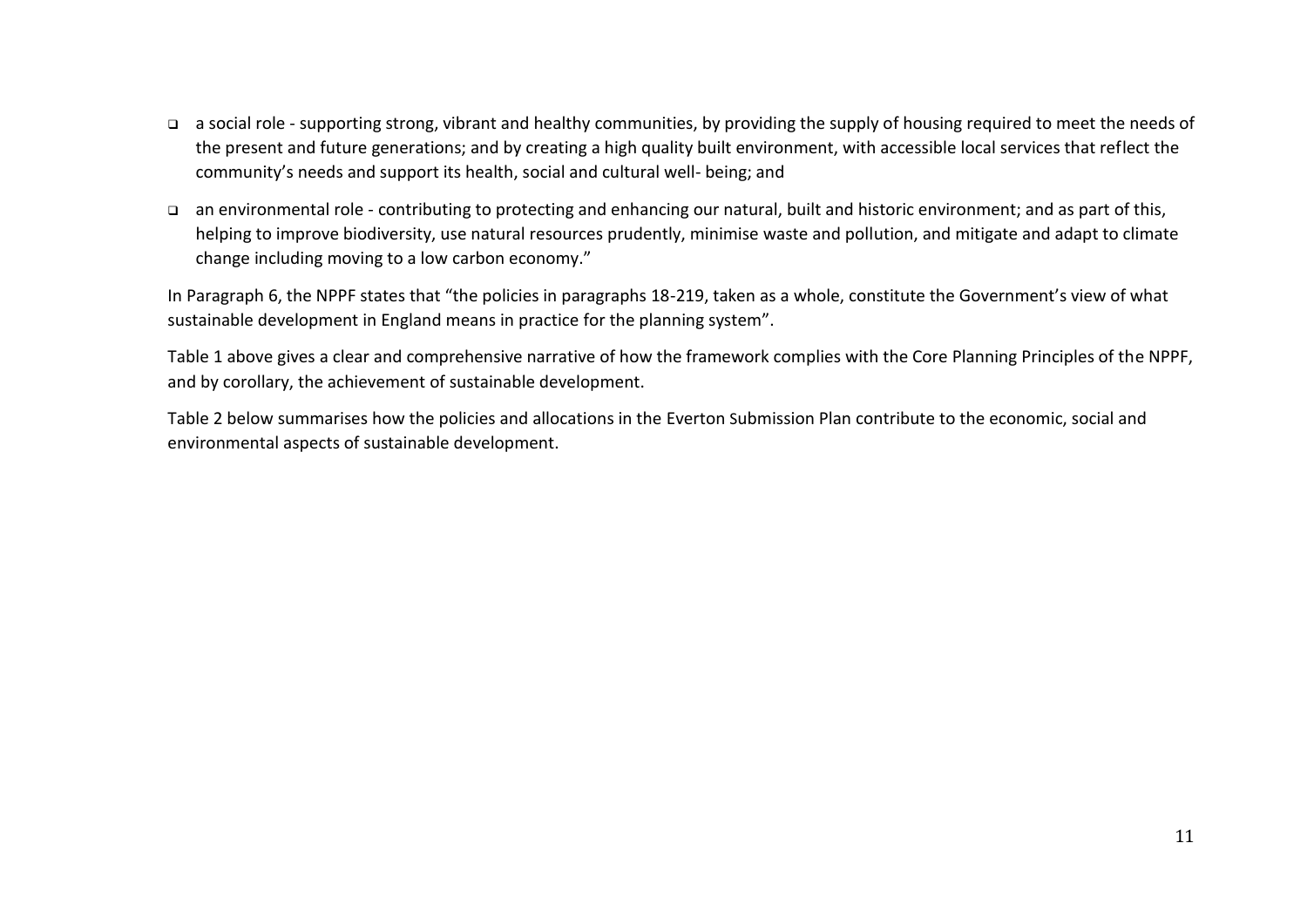- ❑ a social role supporting strong, vibrant and healthy communities, by providing the supply of housing required to meet the needs of the present and future generations; and by creating a high quality built environment, with accessible local services that reflect the community's needs and support its health, social and cultural well- being; and
- ❑ an environmental role contributing to protecting and enhancing our natural, built and historic environment; and as part of this, helping to improve biodiversity, use natural resources prudently, minimise waste and pollution, and mitigate and adapt to climate change including moving to a low carbon economy."

In Paragraph 6, the NPPF states that "the policies in paragraphs 18-219, taken as a whole, constitute the Government's view of what sustainable development in England means in practice for the planning system".

Table 1 above gives a clear and comprehensive narrative of how the framework complies with the Core Planning Principles of the NPPF, and by corollary, the achievement of sustainable development.

Table 2 below summarises how the policies and allocations in the Everton Submission Plan contribute to the economic, social and environmental aspects of sustainable development.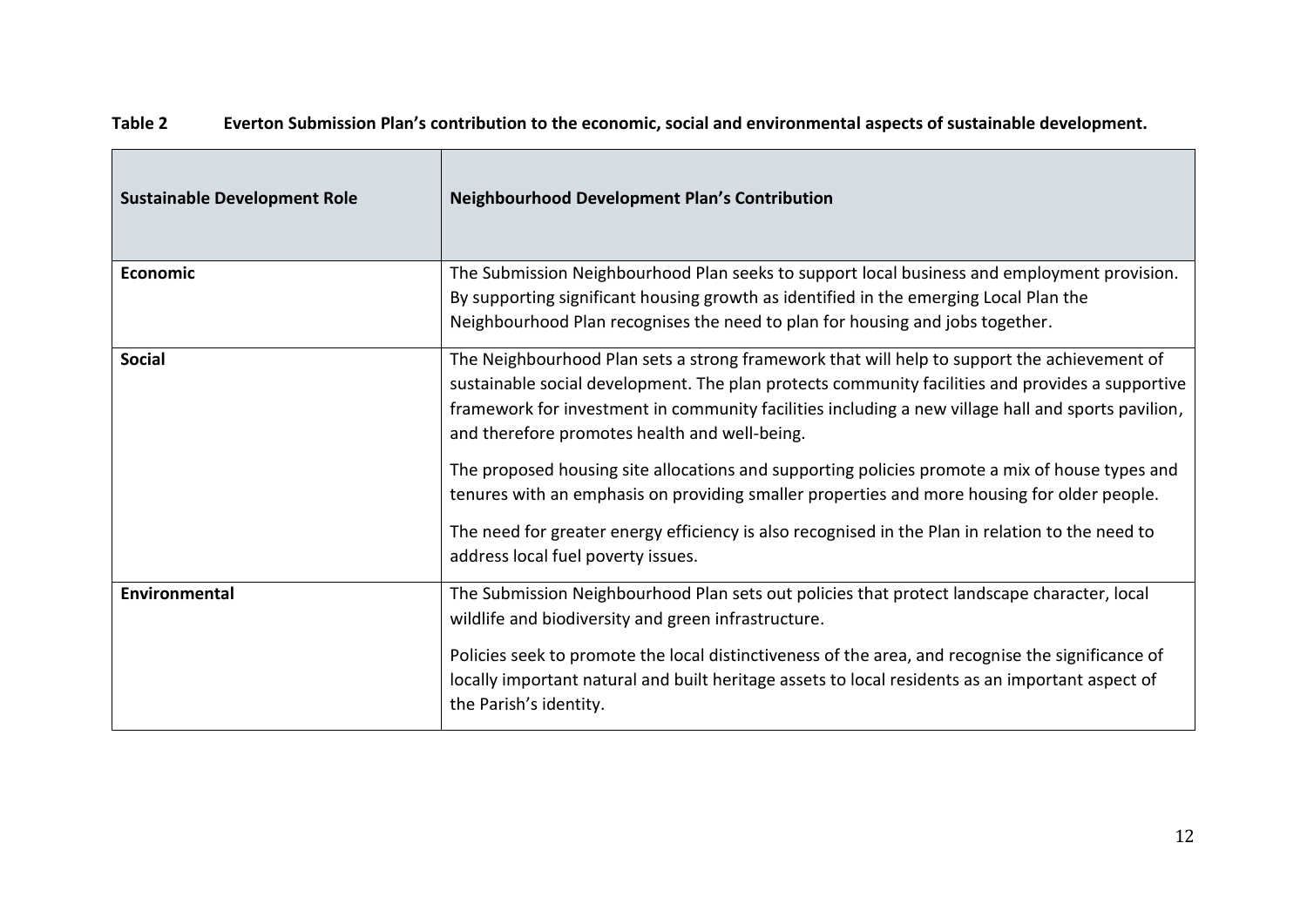| <b>Sustainable Development Role</b> | <b>Neighbourhood Development Plan's Contribution</b>                                                                                                                                                                                                                                                                                                                                                                                                                                                                                                    |
|-------------------------------------|---------------------------------------------------------------------------------------------------------------------------------------------------------------------------------------------------------------------------------------------------------------------------------------------------------------------------------------------------------------------------------------------------------------------------------------------------------------------------------------------------------------------------------------------------------|
| <b>Economic</b>                     | The Submission Neighbourhood Plan seeks to support local business and employment provision.<br>By supporting significant housing growth as identified in the emerging Local Plan the<br>Neighbourhood Plan recognises the need to plan for housing and jobs together.                                                                                                                                                                                                                                                                                   |
| <b>Social</b>                       | The Neighbourhood Plan sets a strong framework that will help to support the achievement of<br>sustainable social development. The plan protects community facilities and provides a supportive<br>framework for investment in community facilities including a new village hall and sports pavilion,<br>and therefore promotes health and well-being.<br>The proposed housing site allocations and supporting policies promote a mix of house types and<br>tenures with an emphasis on providing smaller properties and more housing for older people. |
|                                     | The need for greater energy efficiency is also recognised in the Plan in relation to the need to<br>address local fuel poverty issues.                                                                                                                                                                                                                                                                                                                                                                                                                  |
| Environmental                       | The Submission Neighbourhood Plan sets out policies that protect landscape character, local<br>wildlife and biodiversity and green infrastructure.<br>Policies seek to promote the local distinctiveness of the area, and recognise the significance of<br>locally important natural and built heritage assets to local residents as an important aspect of<br>the Parish's identity.                                                                                                                                                                   |

## **Table 2 Everton Submission Plan's contribution to the economic, social and environmental aspects of sustainable development.**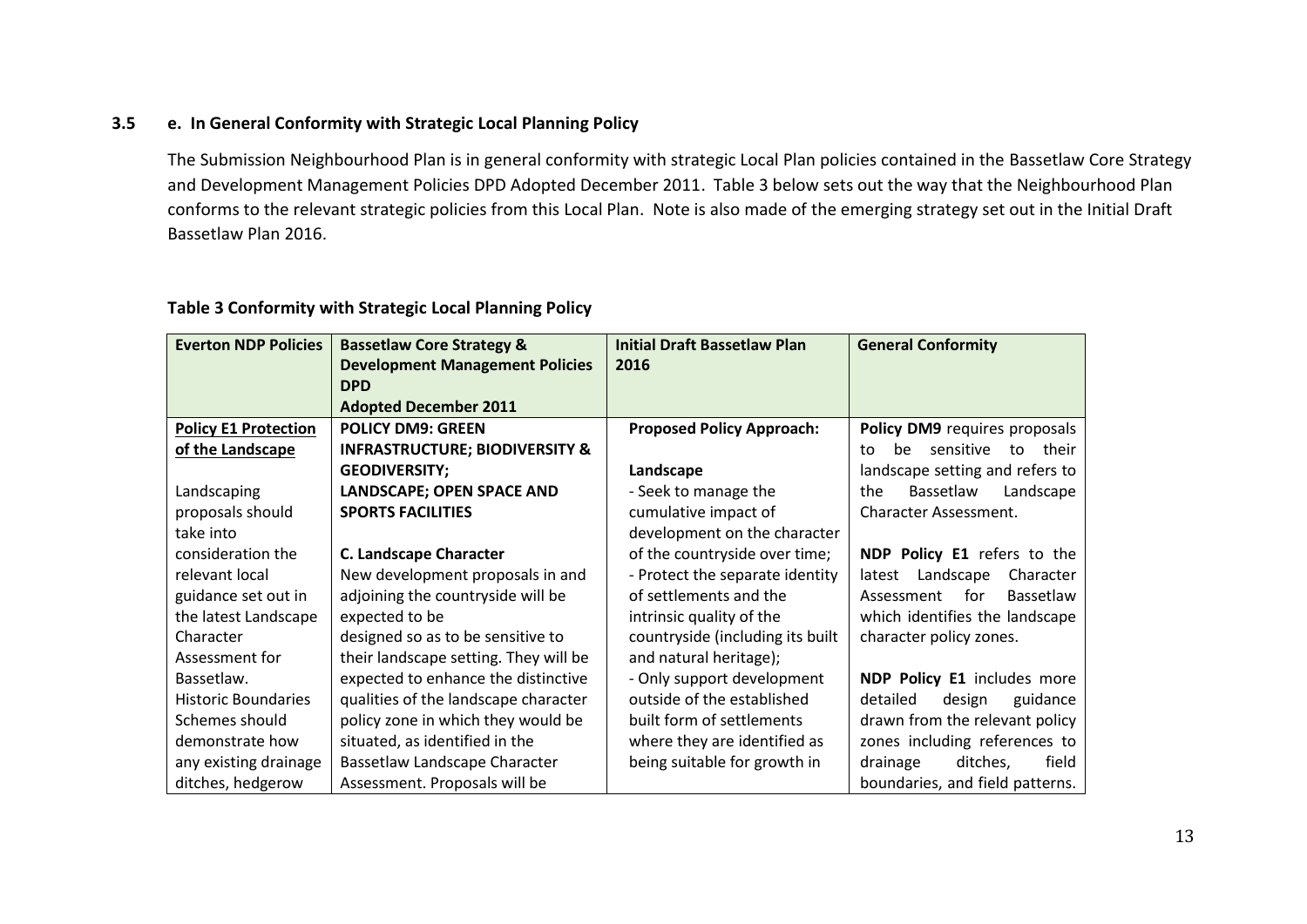## **3.5 e. In General Conformity with Strategic Local Planning Policy**

The Submission Neighbourhood Plan is in general conformity with strategic Local Plan policies contained in the Bassetlaw Core Strategy and Development Management Policies DPD Adopted December 2011. Table 3 below sets out the way that the Neighbourhood Plan conforms to the relevant strategic policies from this Local Plan. Note is also made of the emerging strategy set out in the Initial Draft Bassetlaw Plan 2016.

#### **Everton NDP Policies | Bassetlaw Core Strategy & Development Management Policies DPD Adopted December 2011 Initial Draft Bassetlaw Plan 2016 General Conformity Policy E1 Protection of the Landscape** Landscaping proposals should take into consideration the relevant local guidance set out in the latest Landscape **Character** Assessment for Bassetlaw. Historic Boundaries Schemes should demonstrate how any existing drainage ditches, hedgerow **POLICY DM9: GREEN INFRASTRUCTURE; BIODIVERSITY & GEODIVERSITY; LANDSCAPE; OPEN SPACE AND SPORTS FACILITIES C. Landscape Character** New development proposals in and adjoining the countryside will be expected to be designed so as to be sensitive to their landscape setting. They will be expected to enhance the distinctive qualities of the landscape character policy zone in which they would be situated, as identified in the Bassetlaw Landscape Character Assessment. Proposals will be **Proposed Policy Approach: Landscape**  - Seek to manage the cumulative impact of development on the character of the countryside over time; - Protect the separate identity of settlements and the intrinsic quality of the countryside (including its built and natural heritage); - Only support development outside of the established built form of settlements where they are identified as being suitable for growth in **Policy DM9** requires proposals to be sensitive to their landscape setting and refers to the Bassetlaw Landscape Character Assessment. **NDP Policy E1** refers to the latest Landscape Character Assessment for Bassetlaw which identifies the landscape character policy zones. **NDP Policy E1** includes more detailed design guidance drawn from the relevant policy zones including references to drainage ditches, field boundaries, and field patterns.

## **Table 3 Conformity with Strategic Local Planning Policy**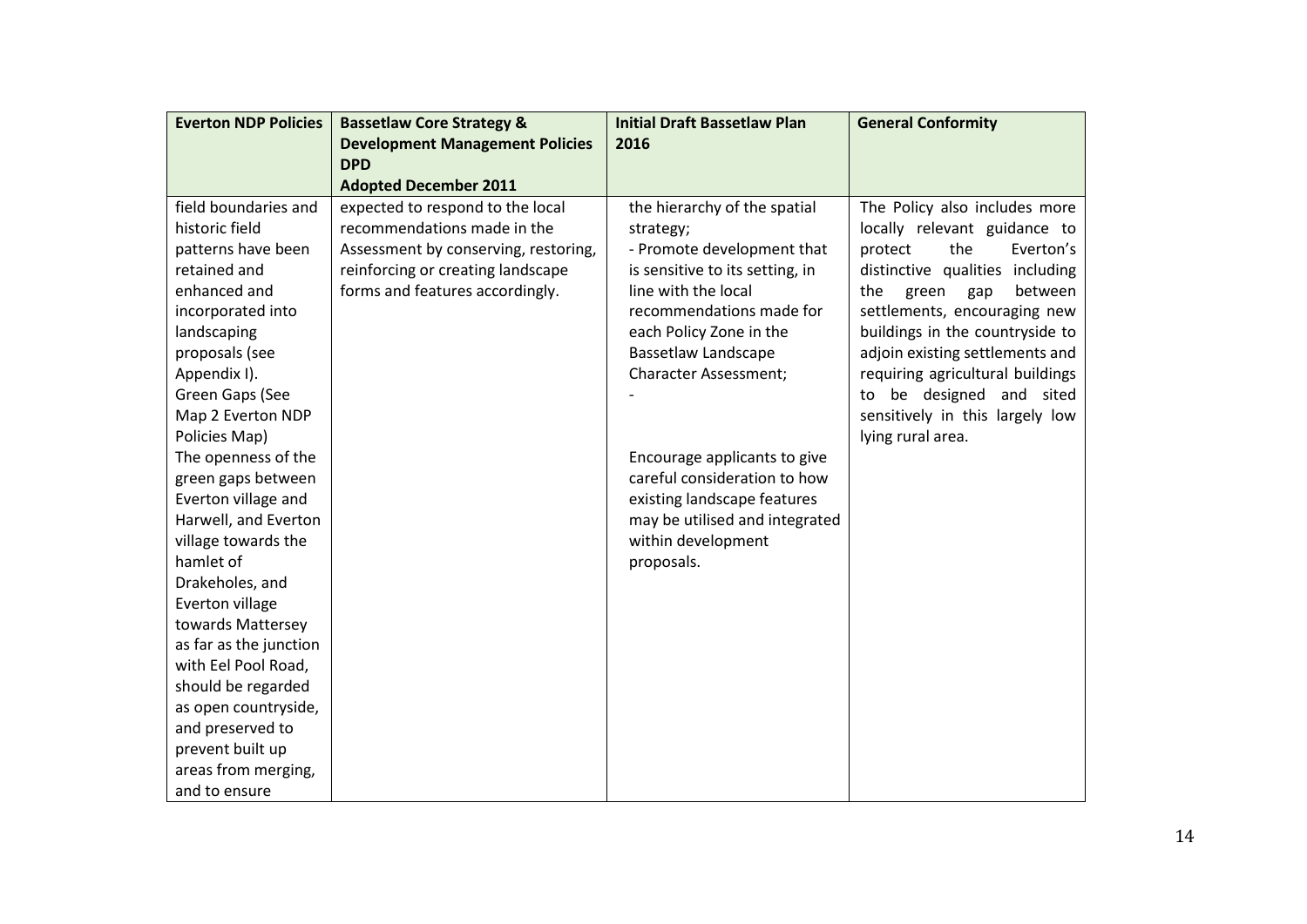| <b>Everton NDP Policies</b> | <b>Bassetlaw Core Strategy &amp;</b>       | <b>Initial Draft Bassetlaw Plan</b> | <b>General Conformity</b>          |
|-----------------------------|--------------------------------------------|-------------------------------------|------------------------------------|
|                             | <b>Development Management Policies</b>     | 2016                                |                                    |
|                             | <b>DPD</b><br><b>Adopted December 2011</b> |                                     |                                    |
| field boundaries and        | expected to respond to the local           | the hierarchy of the spatial        | The Policy also includes more      |
| historic field              | recommendations made in the                | strategy;                           | locally relevant guidance to       |
| patterns have been          | Assessment by conserving, restoring,       | - Promote development that          | the<br>Everton's<br>protect        |
| retained and                | reinforcing or creating landscape          | is sensitive to its setting, in     | distinctive qualities<br>including |
| enhanced and                | forms and features accordingly.            | line with the local                 | between<br>green<br>the<br>gap     |
| incorporated into           |                                            | recommendations made for            | settlements, encouraging new       |
| landscaping                 |                                            | each Policy Zone in the             | buildings in the countryside to    |
| proposals (see              |                                            | <b>Bassetlaw Landscape</b>          | adjoin existing settlements and    |
| Appendix I).                |                                            | <b>Character Assessment;</b>        | requiring agricultural buildings   |
| Green Gaps (See             |                                            |                                     | to be designed and sited           |
| Map 2 Everton NDP           |                                            |                                     | sensitively in this largely low    |
| Policies Map)               |                                            |                                     | lying rural area.                  |
| The openness of the         |                                            | Encourage applicants to give        |                                    |
| green gaps between          |                                            | careful consideration to how        |                                    |
| Everton village and         |                                            | existing landscape features         |                                    |
| Harwell, and Everton        |                                            | may be utilised and integrated      |                                    |
| village towards the         |                                            | within development                  |                                    |
| hamlet of                   |                                            | proposals.                          |                                    |
| Drakeholes, and             |                                            |                                     |                                    |
| Everton village             |                                            |                                     |                                    |
| towards Mattersey           |                                            |                                     |                                    |
| as far as the junction      |                                            |                                     |                                    |
| with Eel Pool Road,         |                                            |                                     |                                    |
| should be regarded          |                                            |                                     |                                    |
| as open countryside,        |                                            |                                     |                                    |
| and preserved to            |                                            |                                     |                                    |
| prevent built up            |                                            |                                     |                                    |
| areas from merging,         |                                            |                                     |                                    |
| and to ensure               |                                            |                                     |                                    |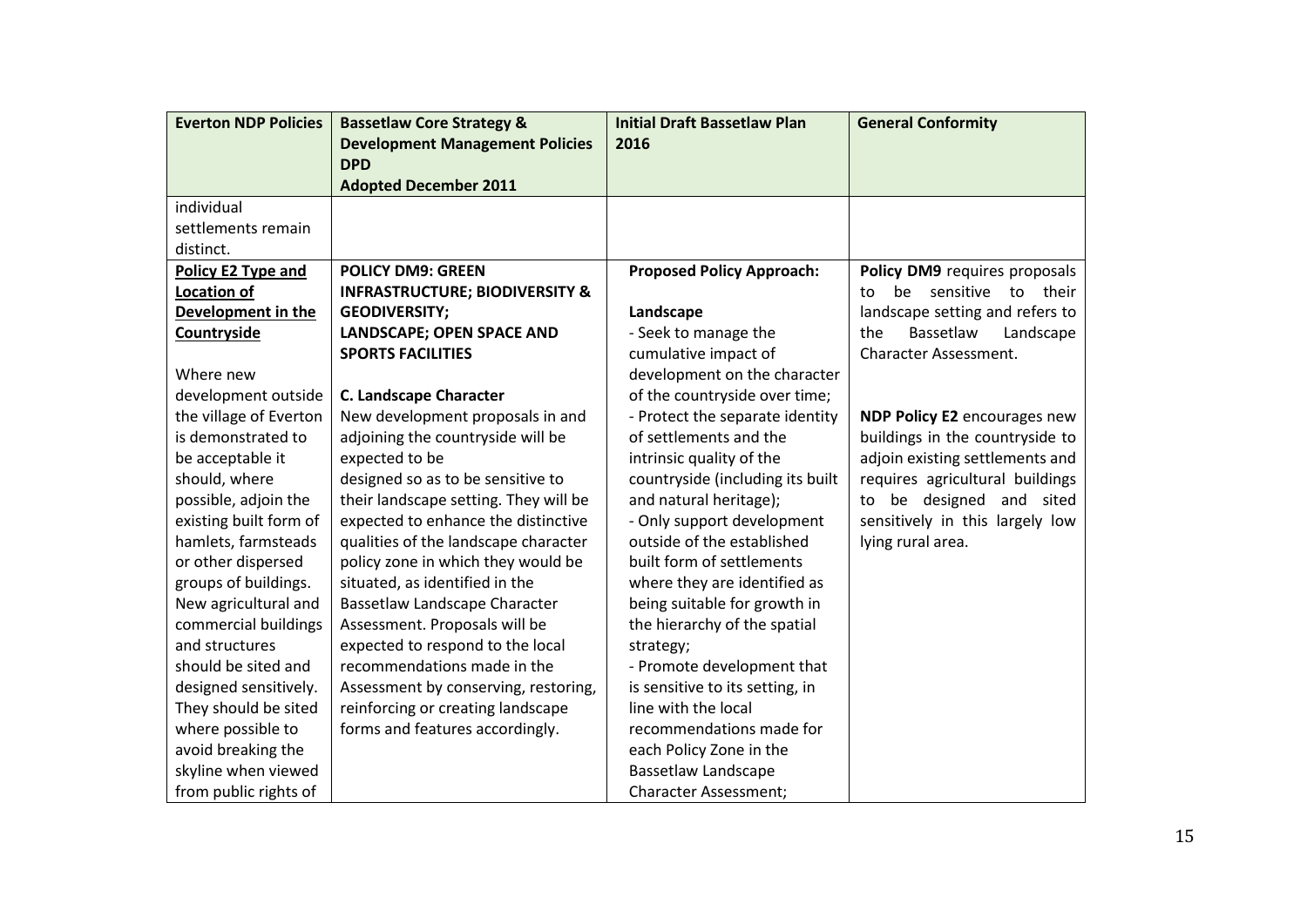| <b>Everton NDP Policies</b> | <b>Bassetlaw Core Strategy &amp;</b>      | <b>Initial Draft Bassetlaw Plan</b> | <b>General Conformity</b>           |
|-----------------------------|-------------------------------------------|-------------------------------------|-------------------------------------|
|                             | <b>Development Management Policies</b>    | 2016                                |                                     |
|                             | <b>DPD</b>                                |                                     |                                     |
|                             | <b>Adopted December 2011</b>              |                                     |                                     |
| individual                  |                                           |                                     |                                     |
| settlements remain          |                                           |                                     |                                     |
| distinct.                   |                                           |                                     |                                     |
| Policy E2 Type and          | <b>POLICY DM9: GREEN</b>                  | <b>Proposed Policy Approach:</b>    | Policy DM9 requires proposals       |
| Location of                 | <b>INFRASTRUCTURE; BIODIVERSITY &amp;</b> |                                     | be sensitive<br>to their<br>to      |
| Development in the          | <b>GEODIVERSITY;</b>                      | Landscape                           | landscape setting and refers to     |
| Countryside                 | LANDSCAPE; OPEN SPACE AND                 | - Seek to manage the                | Bassetlaw<br>the<br>Landscape       |
|                             | <b>SPORTS FACILITIES</b>                  | cumulative impact of                | Character Assessment.               |
| Where new                   |                                           | development on the character        |                                     |
| development outside         | <b>C. Landscape Character</b>             | of the countryside over time;       |                                     |
| the village of Everton      | New development proposals in and          | - Protect the separate identity     | <b>NDP Policy E2</b> encourages new |
| is demonstrated to          | adjoining the countryside will be         | of settlements and the              | buildings in the countryside to     |
| be acceptable it            | expected to be                            | intrinsic quality of the            | adjoin existing settlements and     |
| should, where               | designed so as to be sensitive to         | countryside (including its built    | requires agricultural buildings     |
| possible, adjoin the        | their landscape setting. They will be     | and natural heritage);              | be designed and sited<br>to         |
| existing built form of      | expected to enhance the distinctive       | - Only support development          | sensitively in this largely low     |
| hamlets, farmsteads         | qualities of the landscape character      | outside of the established          | lying rural area.                   |
| or other dispersed          | policy zone in which they would be        | built form of settlements           |                                     |
| groups of buildings.        | situated, as identified in the            | where they are identified as        |                                     |
| New agricultural and        | Bassetlaw Landscape Character             | being suitable for growth in        |                                     |
| commercial buildings        | Assessment. Proposals will be             | the hierarchy of the spatial        |                                     |
| and structures              | expected to respond to the local          | strategy;                           |                                     |
| should be sited and         | recommendations made in the               | - Promote development that          |                                     |
| designed sensitively.       | Assessment by conserving, restoring,      | is sensitive to its setting, in     |                                     |
| They should be sited        | reinforcing or creating landscape         | line with the local                 |                                     |
| where possible to           | forms and features accordingly.           | recommendations made for            |                                     |
| avoid breaking the          |                                           | each Policy Zone in the             |                                     |
| skyline when viewed         |                                           | <b>Bassetlaw Landscape</b>          |                                     |
| from public rights of       |                                           | <b>Character Assessment;</b>        |                                     |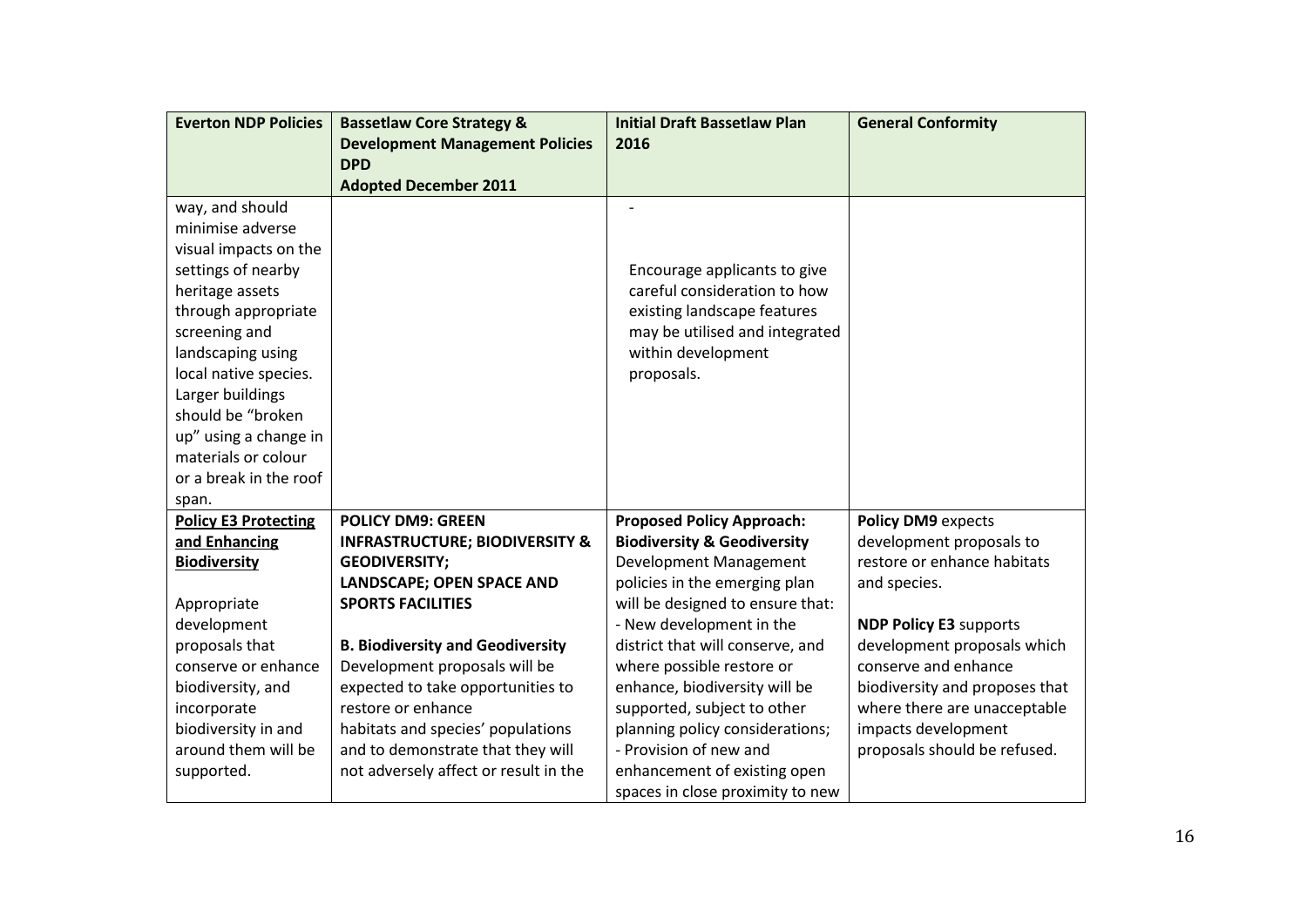| <b>Everton NDP Policies</b> | <b>Bassetlaw Core Strategy &amp;</b>      | <b>Initial Draft Bassetlaw Plan</b>    | <b>General Conformity</b>      |
|-----------------------------|-------------------------------------------|----------------------------------------|--------------------------------|
|                             | <b>Development Management Policies</b>    | 2016                                   |                                |
|                             | <b>DPD</b>                                |                                        |                                |
|                             | <b>Adopted December 2011</b>              |                                        |                                |
| way, and should             |                                           |                                        |                                |
| minimise adverse            |                                           |                                        |                                |
| visual impacts on the       |                                           |                                        |                                |
| settings of nearby          |                                           | Encourage applicants to give           |                                |
| heritage assets             |                                           | careful consideration to how           |                                |
| through appropriate         |                                           | existing landscape features            |                                |
| screening and               |                                           | may be utilised and integrated         |                                |
| landscaping using           |                                           | within development                     |                                |
| local native species.       |                                           | proposals.                             |                                |
| Larger buildings            |                                           |                                        |                                |
| should be "broken           |                                           |                                        |                                |
| up" using a change in       |                                           |                                        |                                |
| materials or colour         |                                           |                                        |                                |
| or a break in the roof      |                                           |                                        |                                |
| span.                       |                                           |                                        |                                |
| <b>Policy E3 Protecting</b> | <b>POLICY DM9: GREEN</b>                  | <b>Proposed Policy Approach:</b>       | <b>Policy DM9 expects</b>      |
| and Enhancing               | <b>INFRASTRUCTURE; BIODIVERSITY &amp;</b> | <b>Biodiversity &amp; Geodiversity</b> | development proposals to       |
| <b>Biodiversity</b>         | <b>GEODIVERSITY;</b>                      | Development Management                 | restore or enhance habitats    |
|                             | LANDSCAPE; OPEN SPACE AND                 | policies in the emerging plan          | and species.                   |
| Appropriate                 | <b>SPORTS FACILITIES</b>                  | will be designed to ensure that:       |                                |
| development                 |                                           | - New development in the               | <b>NDP Policy E3 supports</b>  |
| proposals that              | <b>B. Biodiversity and Geodiversity</b>   | district that will conserve, and       | development proposals which    |
| conserve or enhance         | Development proposals will be             | where possible restore or              | conserve and enhance           |
| biodiversity, and           | expected to take opportunities to         | enhance, biodiversity will be          | biodiversity and proposes that |
| incorporate                 | restore or enhance                        | supported, subject to other            | where there are unacceptable   |
| biodiversity in and         | habitats and species' populations         | planning policy considerations;        | impacts development            |
| around them will be         | and to demonstrate that they will         | - Provision of new and                 | proposals should be refused.   |
| supported.                  | not adversely affect or result in the     | enhancement of existing open           |                                |
|                             |                                           | spaces in close proximity to new       |                                |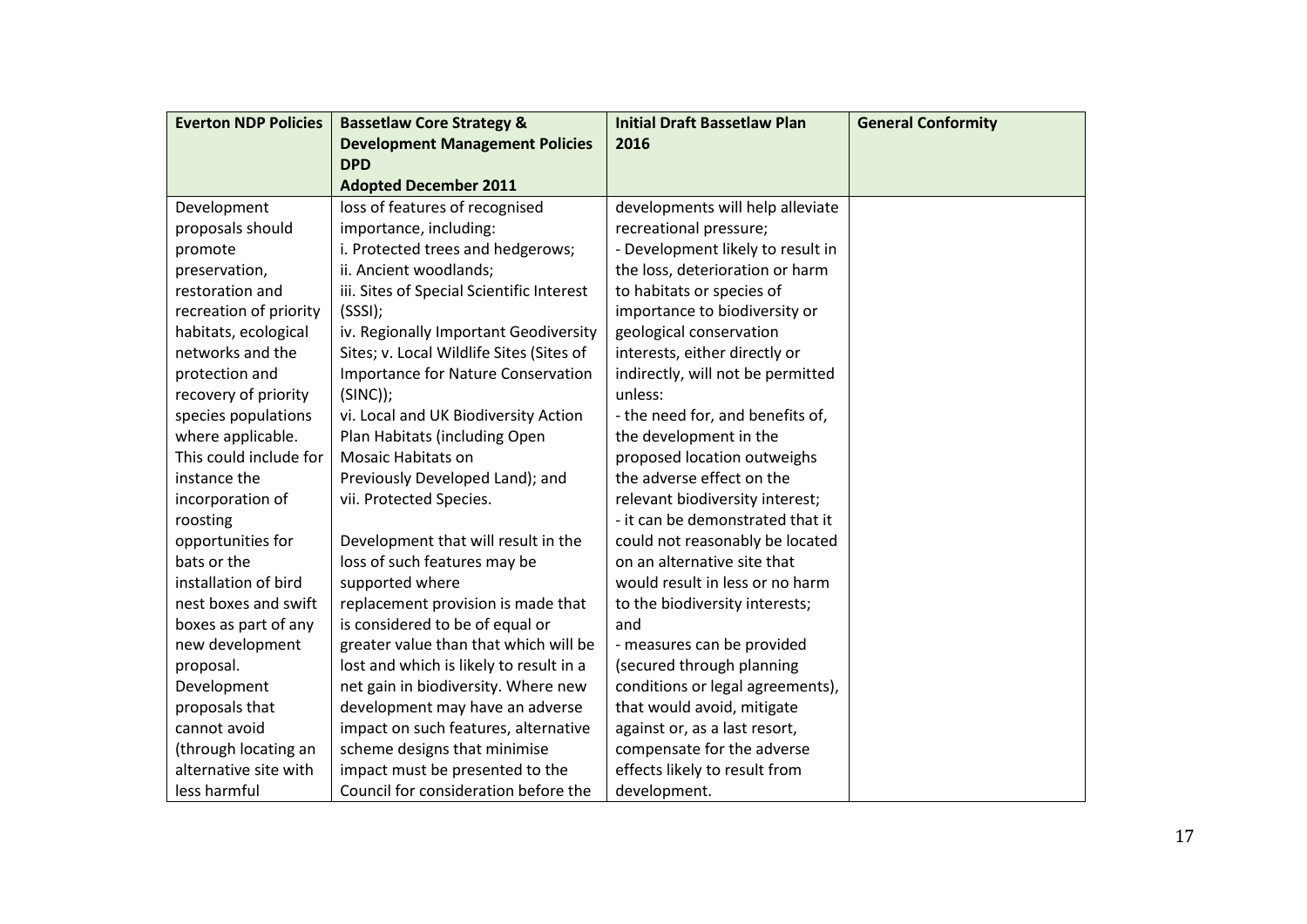| <b>Everton NDP Policies</b> | <b>Bassetlaw Core Strategy &amp;</b>      | <b>Initial Draft Bassetlaw Plan</b> | <b>General Conformity</b> |
|-----------------------------|-------------------------------------------|-------------------------------------|---------------------------|
|                             | <b>Development Management Policies</b>    | 2016                                |                           |
|                             | <b>DPD</b>                                |                                     |                           |
|                             | <b>Adopted December 2011</b>              |                                     |                           |
| Development                 | loss of features of recognised            | developments will help alleviate    |                           |
| proposals should            | importance, including:                    | recreational pressure;              |                           |
| promote                     | i. Protected trees and hedgerows;         | - Development likely to result in   |                           |
| preservation,               | ii. Ancient woodlands;                    | the loss, deterioration or harm     |                           |
| restoration and             | iii. Sites of Special Scientific Interest | to habitats or species of           |                           |
| recreation of priority      | (SSSI);                                   | importance to biodiversity or       |                           |
| habitats, ecological        | iv. Regionally Important Geodiversity     | geological conservation             |                           |
| networks and the            | Sites; v. Local Wildlife Sites (Sites of  | interests, either directly or       |                           |
| protection and              | <b>Importance for Nature Conservation</b> | indirectly, will not be permitted   |                           |
| recovery of priority        | $(SINC))$ ;                               | unless:                             |                           |
| species populations         | vi. Local and UK Biodiversity Action      | - the need for, and benefits of,    |                           |
| where applicable.           | Plan Habitats (including Open             | the development in the              |                           |
| This could include for      | <b>Mosaic Habitats on</b>                 | proposed location outweighs         |                           |
| instance the                | Previously Developed Land); and           | the adverse effect on the           |                           |
| incorporation of            | vii. Protected Species.                   | relevant biodiversity interest;     |                           |
| roosting                    |                                           | - it can be demonstrated that it    |                           |
| opportunities for           | Development that will result in the       | could not reasonably be located     |                           |
| bats or the                 | loss of such features may be              | on an alternative site that         |                           |
| installation of bird        | supported where                           | would result in less or no harm     |                           |
| nest boxes and swift        | replacement provision is made that        | to the biodiversity interests;      |                           |
| boxes as part of any        | is considered to be of equal or           | and                                 |                           |
| new development             | greater value than that which will be     | - measures can be provided          |                           |
| proposal.                   | lost and which is likely to result in a   | (secured through planning           |                           |
| Development                 | net gain in biodiversity. Where new       | conditions or legal agreements),    |                           |
| proposals that              | development may have an adverse           | that would avoid, mitigate          |                           |
| cannot avoid                | impact on such features, alternative      | against or, as a last resort,       |                           |
| (through locating an        | scheme designs that minimise              | compensate for the adverse          |                           |
| alternative site with       | impact must be presented to the           | effects likely to result from       |                           |
| less harmful                | Council for consideration before the      | development.                        |                           |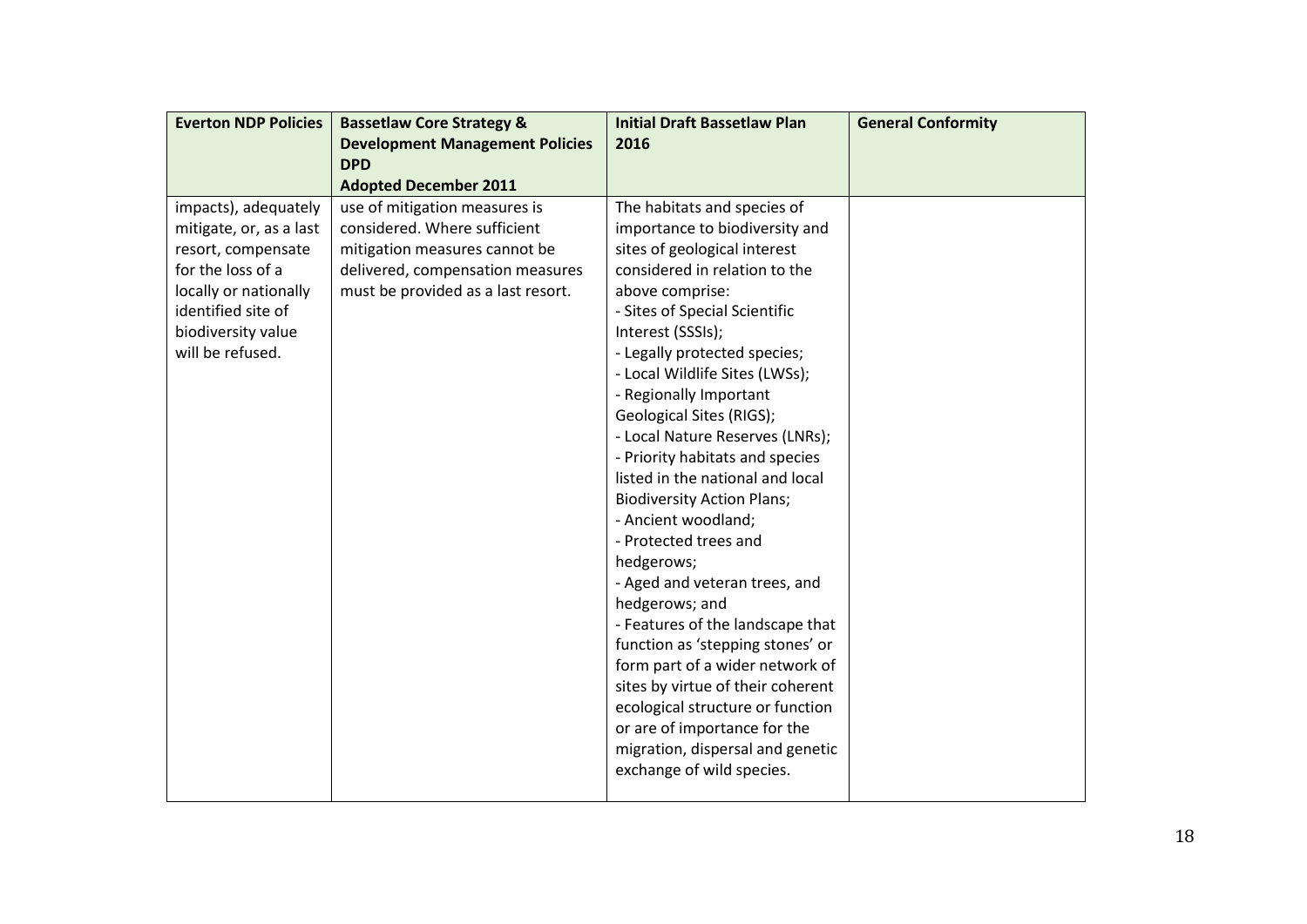| <b>Everton NDP Policies</b> | <b>Bassetlaw Core Strategy &amp;</b>   | <b>Initial Draft Bassetlaw Plan</b> | <b>General Conformity</b> |
|-----------------------------|----------------------------------------|-------------------------------------|---------------------------|
|                             | <b>Development Management Policies</b> | 2016                                |                           |
|                             | <b>DPD</b>                             |                                     |                           |
|                             | <b>Adopted December 2011</b>           |                                     |                           |
| impacts), adequately        | use of mitigation measures is          | The habitats and species of         |                           |
| mitigate, or, as a last     | considered. Where sufficient           | importance to biodiversity and      |                           |
| resort, compensate          | mitigation measures cannot be          | sites of geological interest        |                           |
| for the loss of a           | delivered, compensation measures       | considered in relation to the       |                           |
| locally or nationally       | must be provided as a last resort.     | above comprise:                     |                           |
| identified site of          |                                        | - Sites of Special Scientific       |                           |
| biodiversity value          |                                        | Interest (SSSIs);                   |                           |
| will be refused.            |                                        | - Legally protected species;        |                           |
|                             |                                        | - Local Wildlife Sites (LWSs);      |                           |
|                             |                                        | - Regionally Important              |                           |
|                             |                                        | Geological Sites (RIGS);            |                           |
|                             |                                        | - Local Nature Reserves (LNRs);     |                           |
|                             |                                        | - Priority habitats and species     |                           |
|                             |                                        | listed in the national and local    |                           |
|                             |                                        | <b>Biodiversity Action Plans;</b>   |                           |
|                             |                                        | - Ancient woodland;                 |                           |
|                             |                                        | - Protected trees and               |                           |
|                             |                                        | hedgerows;                          |                           |
|                             |                                        | - Aged and veteran trees, and       |                           |
|                             |                                        | hedgerows; and                      |                           |
|                             |                                        | - Features of the landscape that    |                           |
|                             |                                        | function as 'stepping stones' or    |                           |
|                             |                                        | form part of a wider network of     |                           |
|                             |                                        | sites by virtue of their coherent   |                           |
|                             |                                        | ecological structure or function    |                           |
|                             |                                        | or are of importance for the        |                           |
|                             |                                        | migration, dispersal and genetic    |                           |
|                             |                                        | exchange of wild species.           |                           |
|                             |                                        |                                     |                           |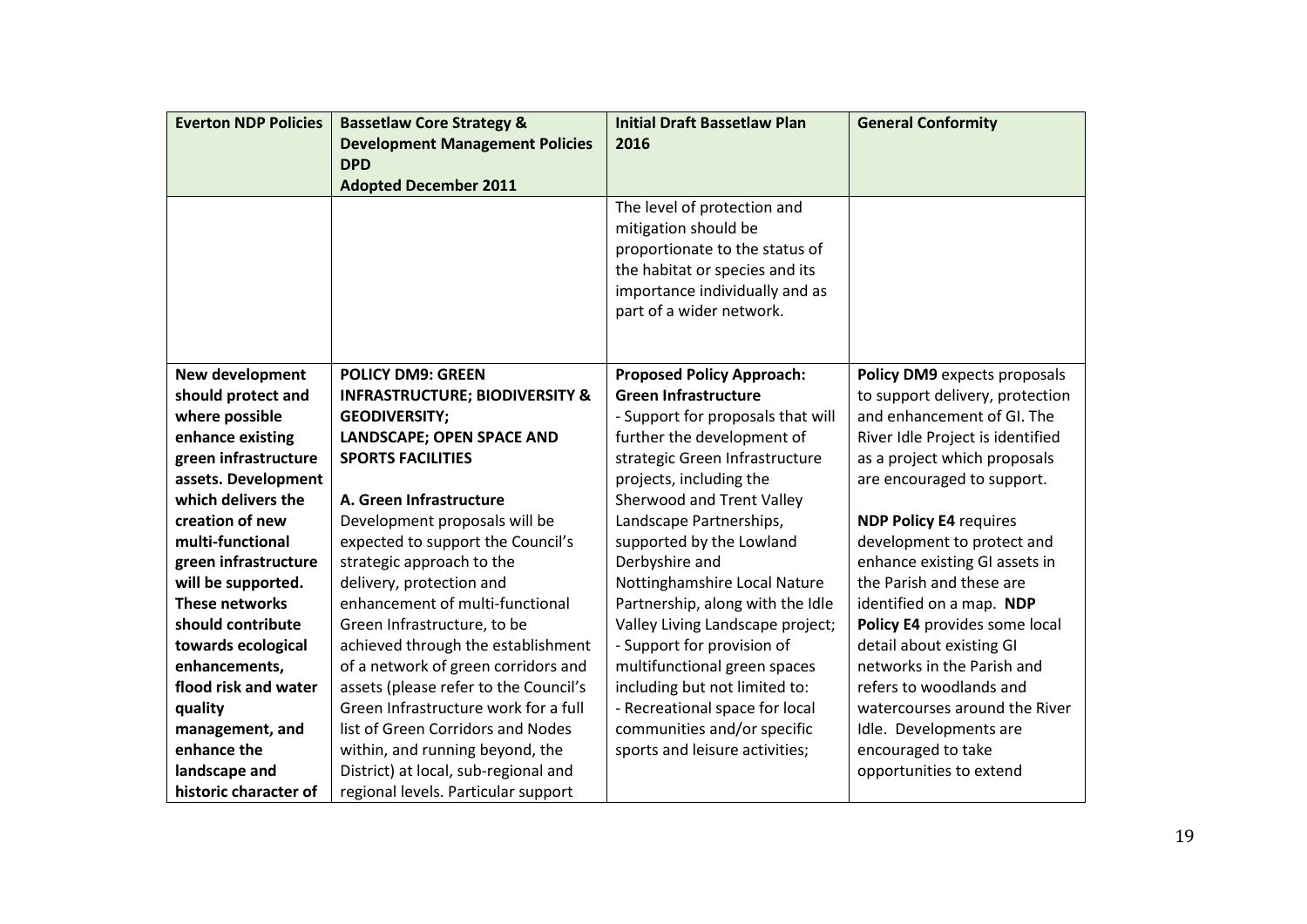| <b>Everton NDP Policies</b> | <b>Bassetlaw Core Strategy &amp;</b>      | <b>Initial Draft Bassetlaw Plan</b> | <b>General Conformity</b>        |
|-----------------------------|-------------------------------------------|-------------------------------------|----------------------------------|
|                             | <b>Development Management Policies</b>    | 2016                                |                                  |
|                             | <b>DPD</b>                                |                                     |                                  |
|                             | <b>Adopted December 2011</b>              |                                     |                                  |
|                             |                                           | The level of protection and         |                                  |
|                             |                                           | mitigation should be                |                                  |
|                             |                                           | proportionate to the status of      |                                  |
|                             |                                           | the habitat or species and its      |                                  |
|                             |                                           | importance individually and as      |                                  |
|                             |                                           | part of a wider network.            |                                  |
|                             |                                           |                                     |                                  |
|                             |                                           |                                     |                                  |
| New development             | <b>POLICY DM9: GREEN</b>                  | <b>Proposed Policy Approach:</b>    | Policy DM9 expects proposals     |
| should protect and          | <b>INFRASTRUCTURE; BIODIVERSITY &amp;</b> | <b>Green Infrastructure</b>         | to support delivery, protection  |
| where possible              | <b>GEODIVERSITY;</b>                      | - Support for proposals that will   | and enhancement of GI. The       |
| enhance existing            | LANDSCAPE; OPEN SPACE AND                 | further the development of          | River Idle Project is identified |
| green infrastructure        | <b>SPORTS FACILITIES</b>                  | strategic Green Infrastructure      | as a project which proposals     |
| assets. Development         |                                           | projects, including the             | are encouraged to support.       |
| which delivers the          | A. Green Infrastructure                   | Sherwood and Trent Valley           |                                  |
| creation of new             | Development proposals will be             | Landscape Partnerships,             | <b>NDP Policy E4 requires</b>    |
| multi-functional            | expected to support the Council's         | supported by the Lowland            | development to protect and       |
| green infrastructure        | strategic approach to the                 | Derbyshire and                      | enhance existing GI assets in    |
| will be supported.          | delivery, protection and                  | Nottinghamshire Local Nature        | the Parish and these are         |
| <b>These networks</b>       | enhancement of multi-functional           | Partnership, along with the Idle    | identified on a map. NDP         |
| should contribute           | Green Infrastructure, to be               | Valley Living Landscape project;    | Policy E4 provides some local    |
| towards ecological          | achieved through the establishment        | - Support for provision of          | detail about existing GI         |
| enhancements,               | of a network of green corridors and       | multifunctional green spaces        | networks in the Parish and       |
| flood risk and water        | assets (please refer to the Council's     | including but not limited to:       | refers to woodlands and          |
| quality                     | Green Infrastructure work for a full      | - Recreational space for local      | watercourses around the River    |
| management, and             | list of Green Corridors and Nodes         | communities and/or specific         | Idle. Developments are           |
| enhance the                 | within, and running beyond, the           | sports and leisure activities;      | encouraged to take               |
| landscape and               | District) at local, sub-regional and      |                                     | opportunities to extend          |
| historic character of       | regional levels. Particular support       |                                     |                                  |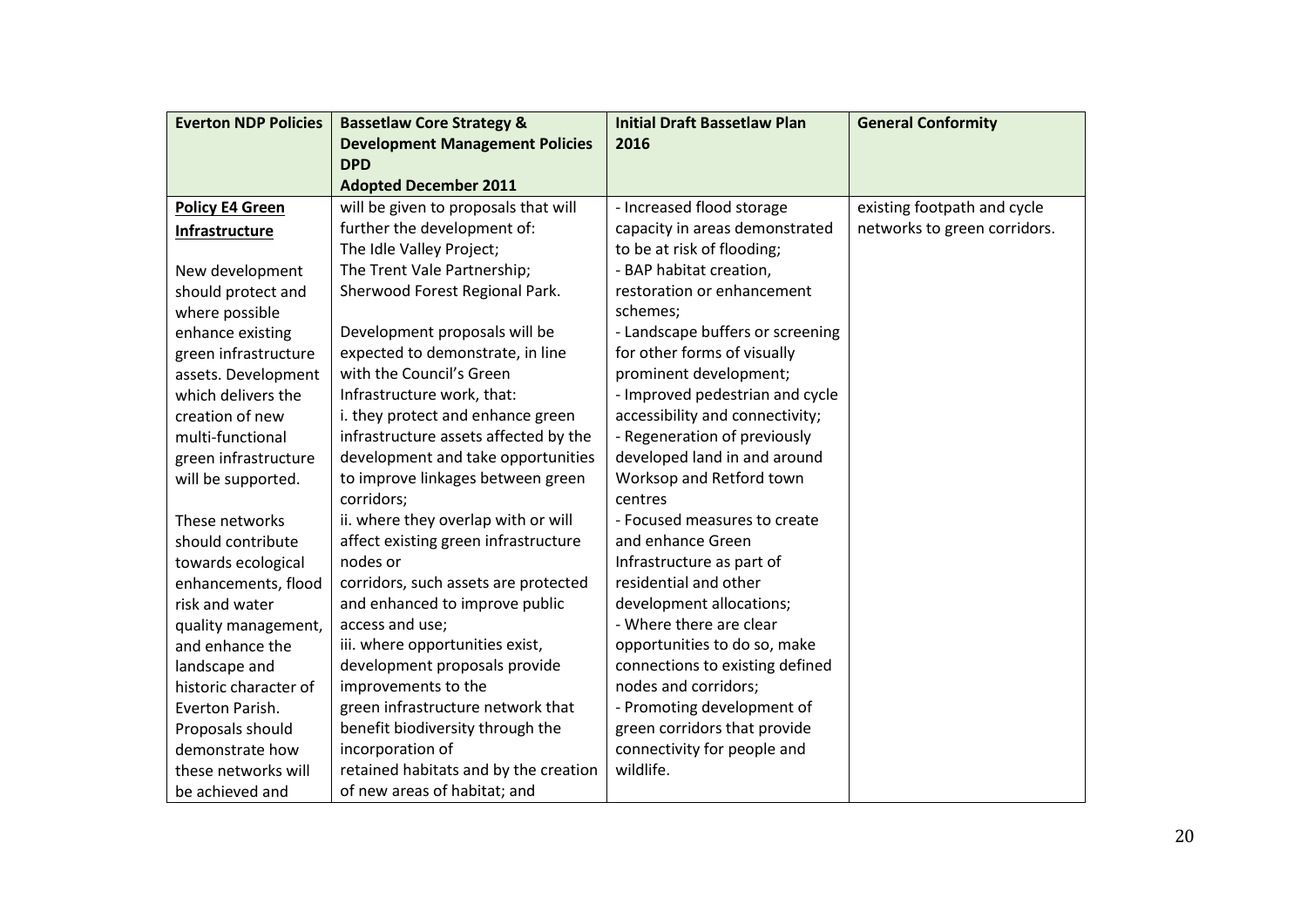| <b>Everton NDP Policies</b> | <b>Bassetlaw Core Strategy &amp;</b>   | <b>Initial Draft Bassetlaw Plan</b> | <b>General Conformity</b>    |
|-----------------------------|----------------------------------------|-------------------------------------|------------------------------|
|                             | <b>Development Management Policies</b> | 2016                                |                              |
|                             | <b>DPD</b>                             |                                     |                              |
|                             | <b>Adopted December 2011</b>           |                                     |                              |
| <b>Policy E4 Green</b>      | will be given to proposals that will   | - Increased flood storage           | existing footpath and cycle  |
| Infrastructure              | further the development of:            | capacity in areas demonstrated      | networks to green corridors. |
|                             | The Idle Valley Project;               | to be at risk of flooding;          |                              |
| New development             | The Trent Vale Partnership;            | - BAP habitat creation,             |                              |
| should protect and          | Sherwood Forest Regional Park.         | restoration or enhancement          |                              |
| where possible              |                                        | schemes;                            |                              |
| enhance existing            | Development proposals will be          | - Landscape buffers or screening    |                              |
| green infrastructure        | expected to demonstrate, in line       | for other forms of visually         |                              |
| assets. Development         | with the Council's Green               | prominent development;              |                              |
| which delivers the          | Infrastructure work, that:             | - Improved pedestrian and cycle     |                              |
| creation of new             | i. they protect and enhance green      | accessibility and connectivity;     |                              |
| multi-functional            | infrastructure assets affected by the  | - Regeneration of previously        |                              |
| green infrastructure        | development and take opportunities     | developed land in and around        |                              |
| will be supported.          | to improve linkages between green      | Worksop and Retford town            |                              |
|                             | corridors;                             | centres                             |                              |
| These networks              | ii. where they overlap with or will    | - Focused measures to create        |                              |
| should contribute           | affect existing green infrastructure   | and enhance Green                   |                              |
| towards ecological          | nodes or                               | Infrastructure as part of           |                              |
| enhancements, flood         | corridors, such assets are protected   | residential and other               |                              |
| risk and water              | and enhanced to improve public         | development allocations;            |                              |
| quality management,         | access and use;                        | - Where there are clear             |                              |
| and enhance the             | iii. where opportunities exist,        | opportunities to do so, make        |                              |
| landscape and               | development proposals provide          | connections to existing defined     |                              |
| historic character of       | improvements to the                    | nodes and corridors;                |                              |
| Everton Parish.             | green infrastructure network that      | - Promoting development of          |                              |
| Proposals should            | benefit biodiversity through the       | green corridors that provide        |                              |
| demonstrate how             | incorporation of                       | connectivity for people and         |                              |
| these networks will         | retained habitats and by the creation  | wildlife.                           |                              |
| be achieved and             | of new areas of habitat; and           |                                     |                              |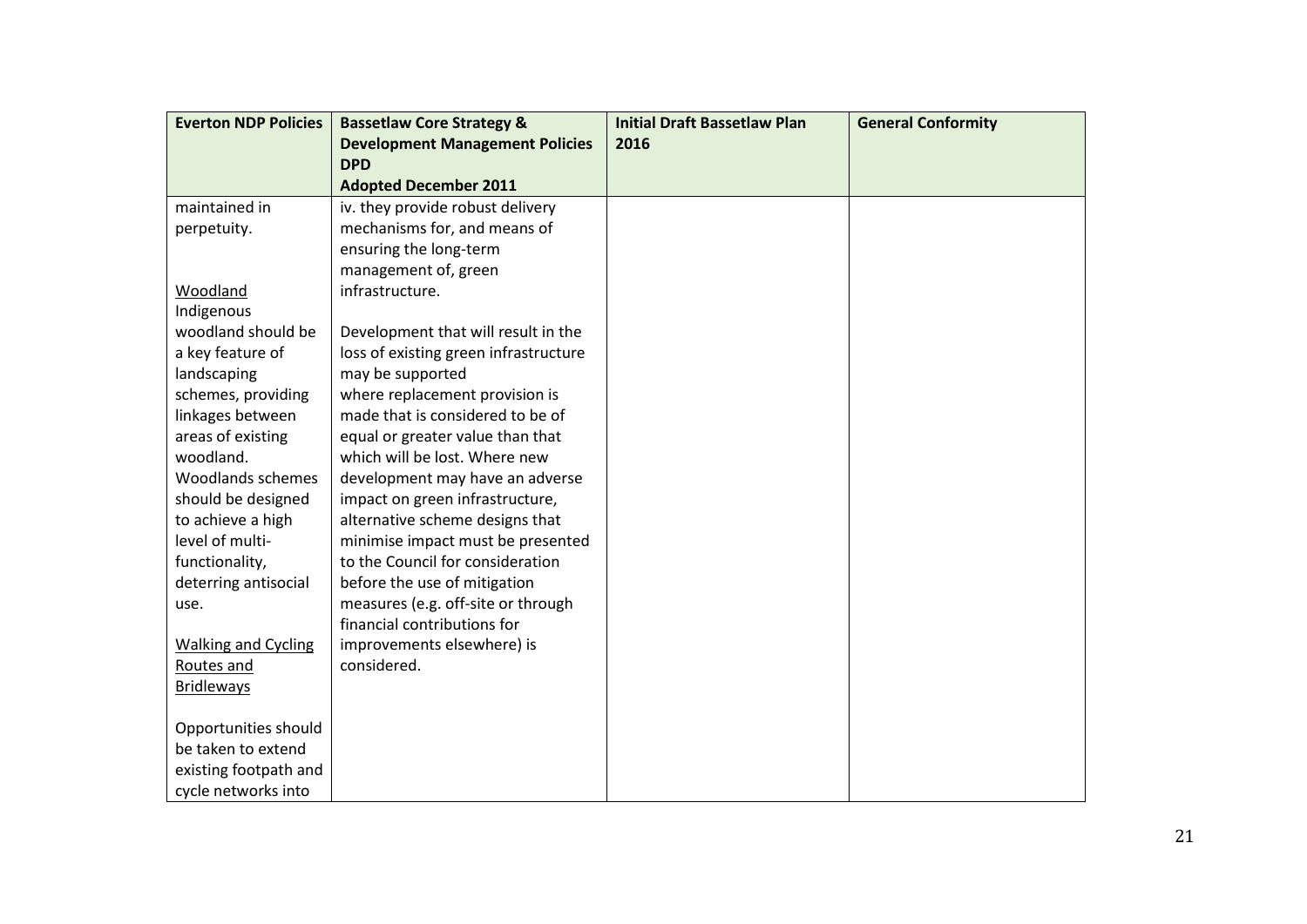| <b>Everton NDP Policies</b> | <b>Bassetlaw Core Strategy &amp;</b>   | <b>Initial Draft Bassetlaw Plan</b> | <b>General Conformity</b> |
|-----------------------------|----------------------------------------|-------------------------------------|---------------------------|
|                             | <b>Development Management Policies</b> | 2016                                |                           |
|                             | <b>DPD</b>                             |                                     |                           |
|                             | <b>Adopted December 2011</b>           |                                     |                           |
| maintained in               | iv. they provide robust delivery       |                                     |                           |
| perpetuity.                 | mechanisms for, and means of           |                                     |                           |
|                             | ensuring the long-term                 |                                     |                           |
|                             | management of, green                   |                                     |                           |
| Woodland                    | infrastructure.                        |                                     |                           |
| Indigenous                  |                                        |                                     |                           |
| woodland should be          | Development that will result in the    |                                     |                           |
| a key feature of            | loss of existing green infrastructure  |                                     |                           |
| landscaping                 | may be supported                       |                                     |                           |
| schemes, providing          | where replacement provision is         |                                     |                           |
| linkages between            | made that is considered to be of       |                                     |                           |
| areas of existing           | equal or greater value than that       |                                     |                           |
| woodland.                   | which will be lost. Where new          |                                     |                           |
| Woodlands schemes           | development may have an adverse        |                                     |                           |
| should be designed          | impact on green infrastructure,        |                                     |                           |
| to achieve a high           | alternative scheme designs that        |                                     |                           |
| level of multi-             | minimise impact must be presented      |                                     |                           |
| functionality,              | to the Council for consideration       |                                     |                           |
| deterring antisocial        | before the use of mitigation           |                                     |                           |
| use.                        | measures (e.g. off-site or through     |                                     |                           |
|                             | financial contributions for            |                                     |                           |
| <b>Walking and Cycling</b>  | improvements elsewhere) is             |                                     |                           |
| Routes and                  | considered.                            |                                     |                           |
| <b>Bridleways</b>           |                                        |                                     |                           |
|                             |                                        |                                     |                           |
| Opportunities should        |                                        |                                     |                           |
| be taken to extend          |                                        |                                     |                           |
| existing footpath and       |                                        |                                     |                           |
| cycle networks into         |                                        |                                     |                           |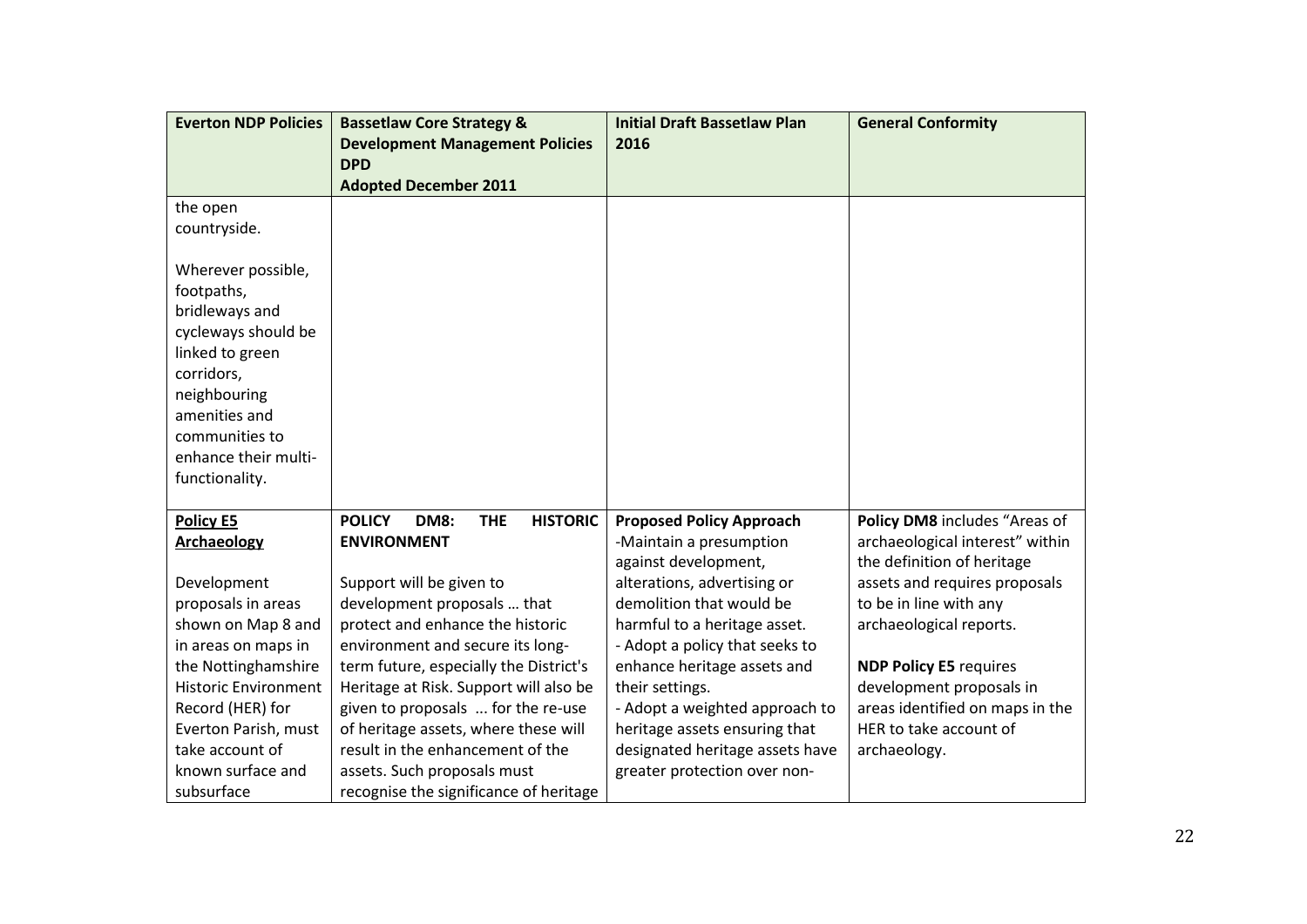| <b>Everton NDP Policies</b>                                                                                                                                                                             | <b>Bassetlaw Core Strategy &amp;</b>                          | <b>Initial Draft Bassetlaw Plan</b> | <b>General Conformity</b>       |
|---------------------------------------------------------------------------------------------------------------------------------------------------------------------------------------------------------|---------------------------------------------------------------|-------------------------------------|---------------------------------|
|                                                                                                                                                                                                         | <b>Development Management Policies</b>                        | 2016                                |                                 |
|                                                                                                                                                                                                         | <b>DPD</b>                                                    |                                     |                                 |
|                                                                                                                                                                                                         | <b>Adopted December 2011</b>                                  |                                     |                                 |
| the open                                                                                                                                                                                                |                                                               |                                     |                                 |
| countryside.                                                                                                                                                                                            |                                                               |                                     |                                 |
| Wherever possible,<br>footpaths,<br>bridleways and<br>cycleways should be<br>linked to green<br>corridors,<br>neighbouring<br>amenities and<br>communities to<br>enhance their multi-<br>functionality. |                                                               |                                     |                                 |
| <b>Policy E5</b>                                                                                                                                                                                        | <b>POLICY</b><br><b>HISTORIC</b><br><b>DM8:</b><br><b>THE</b> | <b>Proposed Policy Approach</b>     | Policy DM8 includes "Areas of   |
| <b>Archaeology</b>                                                                                                                                                                                      | <b>ENVIRONMENT</b>                                            | -Maintain a presumption             | archaeological interest" within |
|                                                                                                                                                                                                         |                                                               | against development,                | the definition of heritage      |
| Development                                                                                                                                                                                             | Support will be given to                                      | alterations, advertising or         | assets and requires proposals   |
| proposals in areas                                                                                                                                                                                      | development proposals  that                                   | demolition that would be            | to be in line with any          |
| shown on Map 8 and                                                                                                                                                                                      | protect and enhance the historic                              | harmful to a heritage asset.        | archaeological reports.         |
| in areas on maps in                                                                                                                                                                                     | environment and secure its long-                              | - Adopt a policy that seeks to      |                                 |
| the Nottinghamshire                                                                                                                                                                                     | term future, especially the District's                        | enhance heritage assets and         | <b>NDP Policy E5 requires</b>   |
| <b>Historic Environment</b>                                                                                                                                                                             | Heritage at Risk. Support will also be                        | their settings.                     | development proposals in        |
| Record (HER) for                                                                                                                                                                                        | given to proposals  for the re-use                            | - Adopt a weighted approach to      | areas identified on maps in the |
| Everton Parish, must                                                                                                                                                                                    | of heritage assets, where these will                          | heritage assets ensuring that       | HER to take account of          |
| take account of                                                                                                                                                                                         | result in the enhancement of the                              | designated heritage assets have     | archaeology.                    |
| known surface and                                                                                                                                                                                       | assets. Such proposals must                                   | greater protection over non-        |                                 |
| subsurface                                                                                                                                                                                              | recognise the significance of heritage                        |                                     |                                 |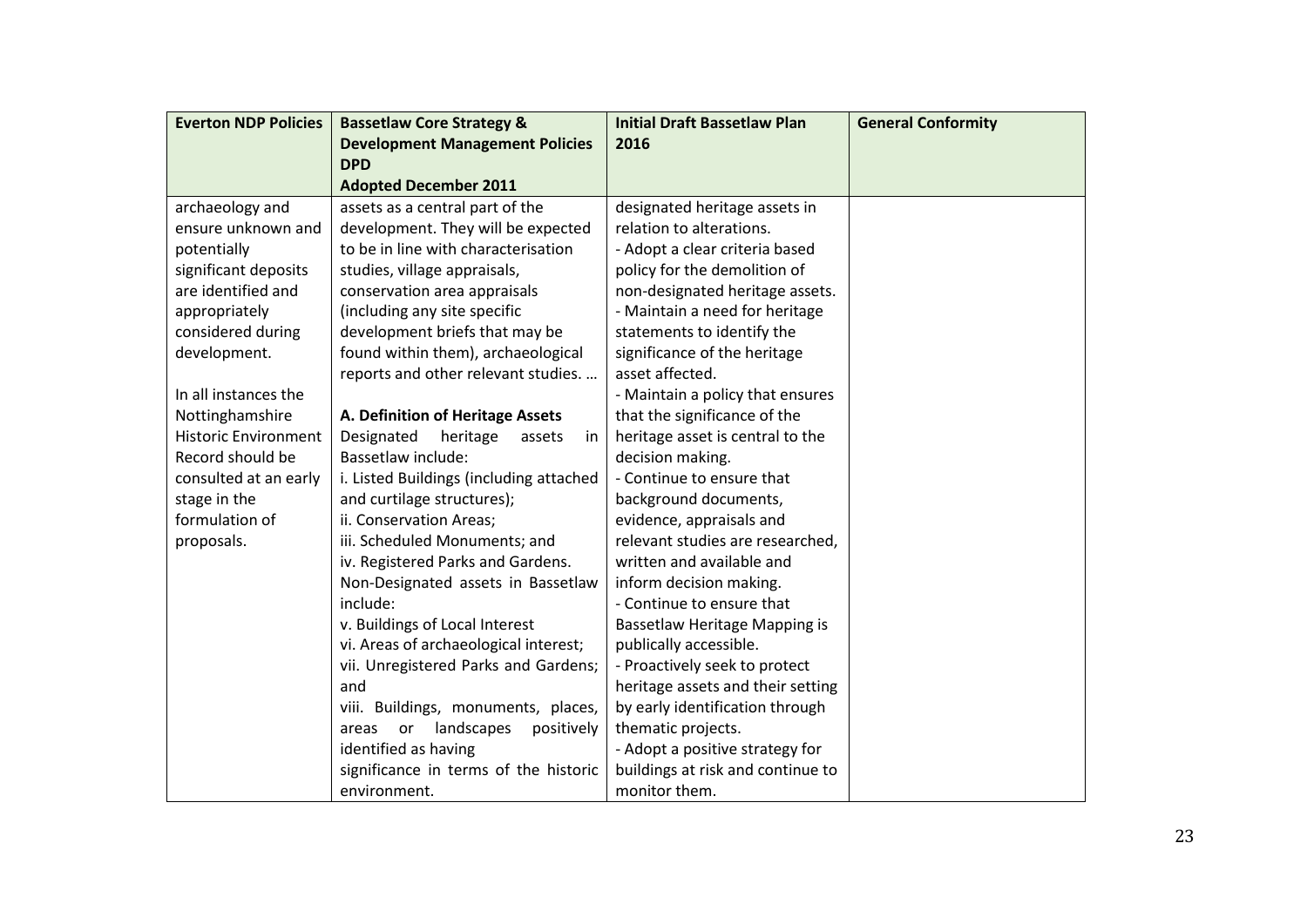| <b>Everton NDP Policies</b> | <b>Bassetlaw Core Strategy &amp;</b>    | <b>Initial Draft Bassetlaw Plan</b> | <b>General Conformity</b> |
|-----------------------------|-----------------------------------------|-------------------------------------|---------------------------|
|                             | <b>Development Management Policies</b>  | 2016                                |                           |
|                             | <b>DPD</b>                              |                                     |                           |
|                             | <b>Adopted December 2011</b>            |                                     |                           |
| archaeology and             | assets as a central part of the         | designated heritage assets in       |                           |
| ensure unknown and          | development. They will be expected      | relation to alterations.            |                           |
| potentially                 | to be in line with characterisation     | - Adopt a clear criteria based      |                           |
| significant deposits        | studies, village appraisals,            | policy for the demolition of        |                           |
| are identified and          | conservation area appraisals            | non-designated heritage assets.     |                           |
| appropriately               | (including any site specific            | - Maintain a need for heritage      |                           |
| considered during           | development briefs that may be          | statements to identify the          |                           |
| development.                | found within them), archaeological      | significance of the heritage        |                           |
|                             | reports and other relevant studies.     | asset affected.                     |                           |
| In all instances the        |                                         | - Maintain a policy that ensures    |                           |
| Nottinghamshire             | A. Definition of Heritage Assets        | that the significance of the        |                           |
| <b>Historic Environment</b> | Designated<br>heritage<br>assets<br>in  | heritage asset is central to the    |                           |
| Record should be            | Bassetlaw include:                      | decision making.                    |                           |
| consulted at an early       | i. Listed Buildings (including attached | - Continue to ensure that           |                           |
| stage in the                | and curtilage structures);              | background documents,               |                           |
| formulation of              | ii. Conservation Areas;                 | evidence, appraisals and            |                           |
| proposals.                  | iii. Scheduled Monuments; and           | relevant studies are researched,    |                           |
|                             | iv. Registered Parks and Gardens.       | written and available and           |                           |
|                             | Non-Designated assets in Bassetlaw      | inform decision making.             |                           |
|                             | include:                                | - Continue to ensure that           |                           |
|                             | v. Buildings of Local Interest          | Bassetlaw Heritage Mapping is       |                           |
|                             | vi. Areas of archaeological interest;   | publically accessible.              |                           |
|                             | vii. Unregistered Parks and Gardens;    | - Proactively seek to protect       |                           |
|                             | and                                     | heritage assets and their setting   |                           |
|                             | viii. Buildings, monuments, places,     | by early identification through     |                           |
|                             | landscapes<br>positively<br>areas or    | thematic projects.                  |                           |
|                             | identified as having                    | - Adopt a positive strategy for     |                           |
|                             | significance in terms of the historic   | buildings at risk and continue to   |                           |
|                             | environment.                            | monitor them.                       |                           |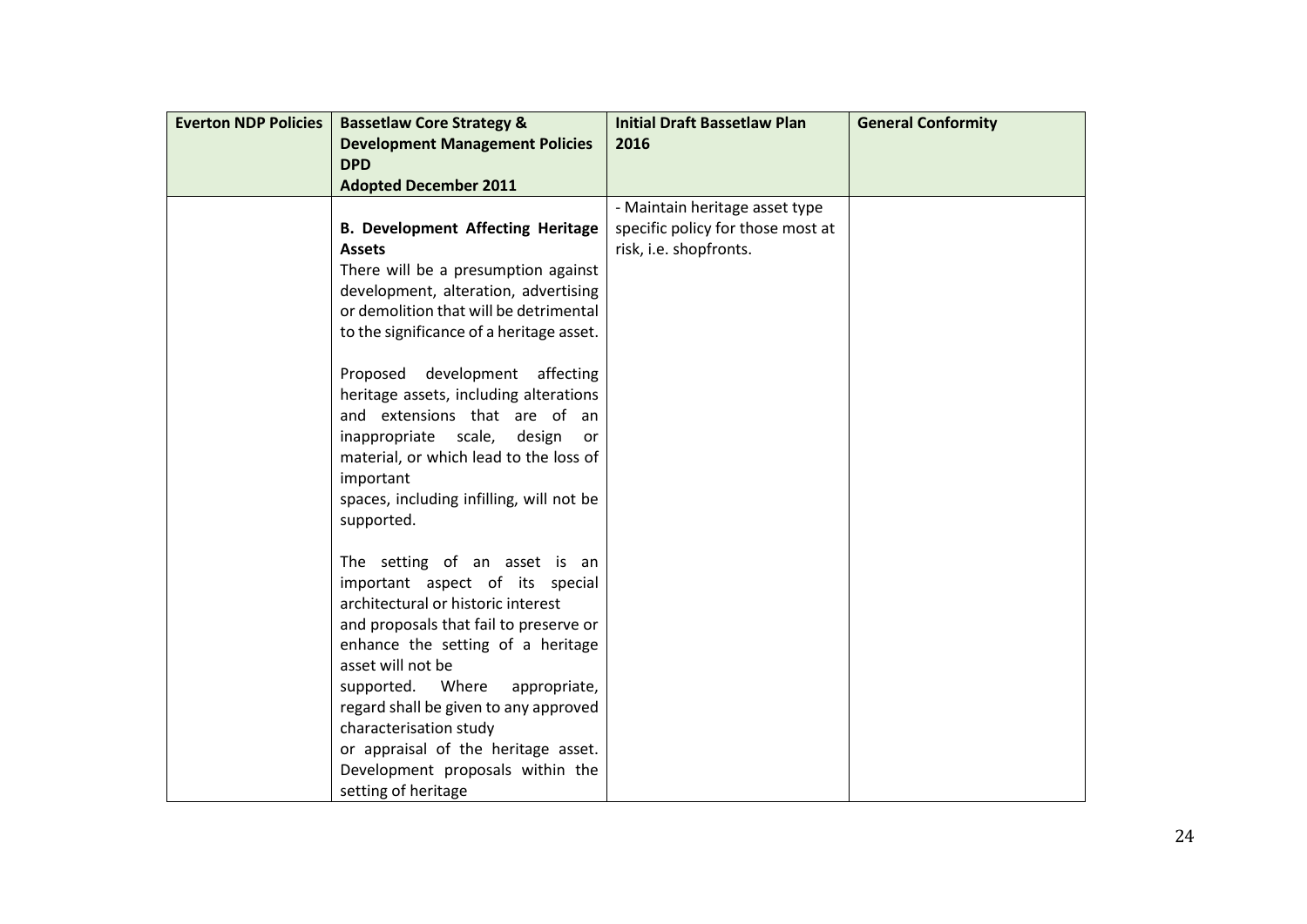| <b>Everton NDP Policies</b> | <b>Bassetlaw Core Strategy &amp;</b>     | <b>Initial Draft Bassetlaw Plan</b> | <b>General Conformity</b> |
|-----------------------------|------------------------------------------|-------------------------------------|---------------------------|
|                             | <b>Development Management Policies</b>   | 2016                                |                           |
|                             | <b>DPD</b>                               |                                     |                           |
|                             | <b>Adopted December 2011</b>             |                                     |                           |
|                             |                                          | - Maintain heritage asset type      |                           |
|                             | <b>B. Development Affecting Heritage</b> | specific policy for those most at   |                           |
|                             | <b>Assets</b>                            | risk, i.e. shopfronts.              |                           |
|                             | There will be a presumption against      |                                     |                           |
|                             | development, alteration, advertising     |                                     |                           |
|                             | or demolition that will be detrimental   |                                     |                           |
|                             | to the significance of a heritage asset. |                                     |                           |
|                             |                                          |                                     |                           |
|                             | Proposed development affecting           |                                     |                           |
|                             | heritage assets, including alterations   |                                     |                           |
|                             | and extensions that are of an            |                                     |                           |
|                             | inappropriate scale,<br>design<br>or -   |                                     |                           |
|                             | material, or which lead to the loss of   |                                     |                           |
|                             | important                                |                                     |                           |
|                             | spaces, including infilling, will not be |                                     |                           |
|                             | supported.                               |                                     |                           |
|                             |                                          |                                     |                           |
|                             | The setting of an asset is an            |                                     |                           |
|                             | important aspect of its special          |                                     |                           |
|                             | architectural or historic interest       |                                     |                           |
|                             | and proposals that fail to preserve or   |                                     |                           |
|                             | enhance the setting of a heritage        |                                     |                           |
|                             | asset will not be                        |                                     |                           |
|                             | Where<br>supported.<br>appropriate,      |                                     |                           |
|                             | regard shall be given to any approved    |                                     |                           |
|                             | characterisation study                   |                                     |                           |
|                             | or appraisal of the heritage asset.      |                                     |                           |
|                             | Development proposals within the         |                                     |                           |
|                             | setting of heritage                      |                                     |                           |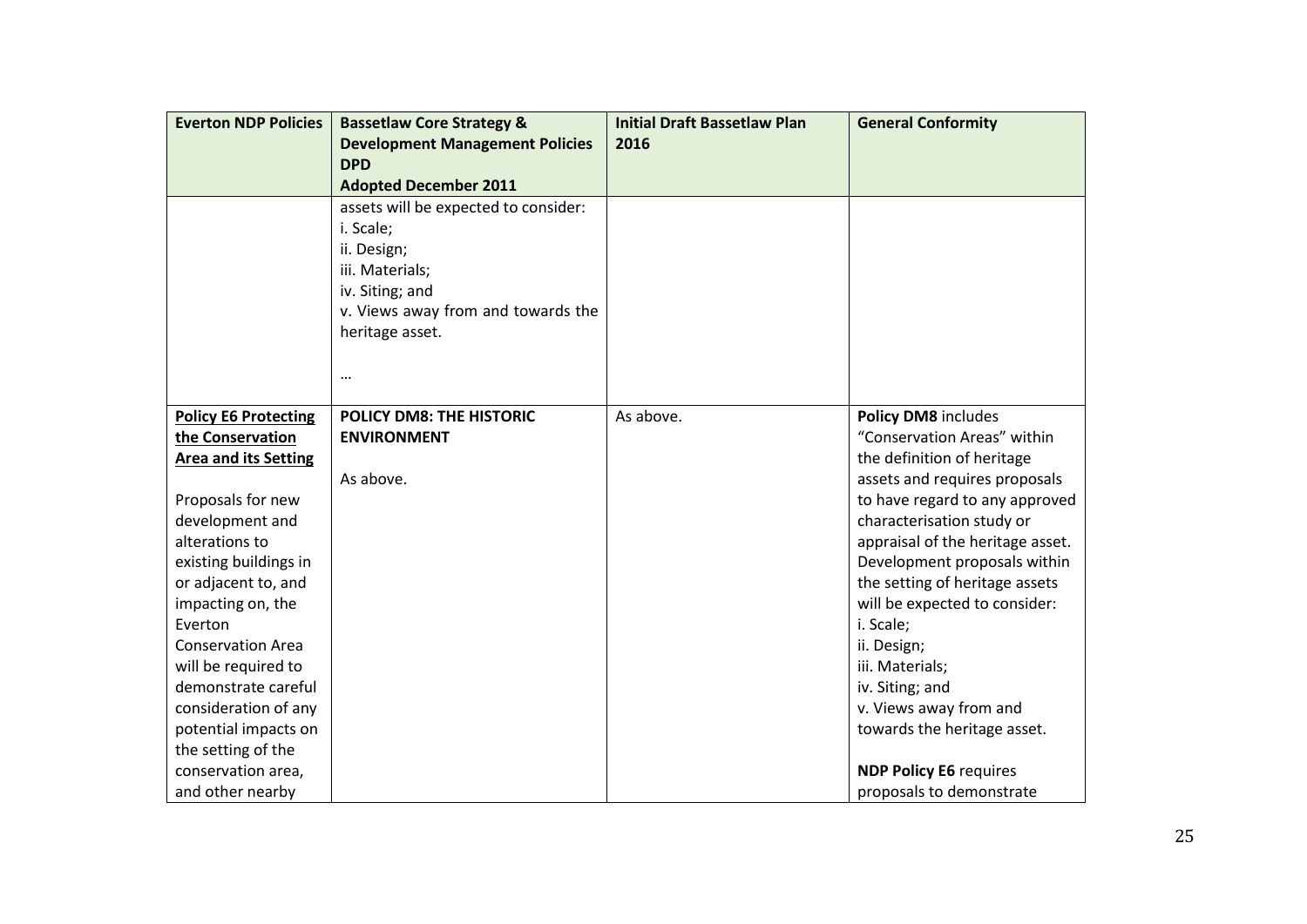| <b>Everton NDP Policies</b> | <b>Bassetlaw Core Strategy &amp;</b>   | <b>Initial Draft Bassetlaw Plan</b> | <b>General Conformity</b>        |
|-----------------------------|----------------------------------------|-------------------------------------|----------------------------------|
|                             | <b>Development Management Policies</b> | 2016                                |                                  |
|                             | <b>DPD</b>                             |                                     |                                  |
|                             | <b>Adopted December 2011</b>           |                                     |                                  |
|                             | assets will be expected to consider:   |                                     |                                  |
|                             | i. Scale;                              |                                     |                                  |
|                             | ii. Design;                            |                                     |                                  |
|                             | iii. Materials;                        |                                     |                                  |
|                             | iv. Siting; and                        |                                     |                                  |
|                             | v. Views away from and towards the     |                                     |                                  |
|                             | heritage asset.                        |                                     |                                  |
|                             |                                        |                                     |                                  |
|                             | $\ddotsc$                              |                                     |                                  |
|                             |                                        |                                     |                                  |
| <b>Policy E6 Protecting</b> | <b>POLICY DM8: THE HISTORIC</b>        | As above.                           | Policy DM8 includes              |
| the Conservation            | <b>ENVIRONMENT</b>                     |                                     | "Conservation Areas" within      |
| <b>Area and its Setting</b> |                                        |                                     | the definition of heritage       |
|                             | As above.                              |                                     | assets and requires proposals    |
| Proposals for new           |                                        |                                     | to have regard to any approved   |
| development and             |                                        |                                     | characterisation study or        |
| alterations to              |                                        |                                     | appraisal of the heritage asset. |
| existing buildings in       |                                        |                                     | Development proposals within     |
| or adjacent to, and         |                                        |                                     | the setting of heritage assets   |
| impacting on, the           |                                        |                                     | will be expected to consider:    |
| Everton                     |                                        |                                     | i. Scale;                        |
| <b>Conservation Area</b>    |                                        |                                     | ii. Design;                      |
| will be required to         |                                        |                                     | iii. Materials;                  |
| demonstrate careful         |                                        |                                     | iv. Siting; and                  |
| consideration of any        |                                        |                                     | v. Views away from and           |
| potential impacts on        |                                        |                                     | towards the heritage asset.      |
| the setting of the          |                                        |                                     |                                  |
| conservation area,          |                                        |                                     | <b>NDP Policy E6 requires</b>    |
| and other nearby            |                                        |                                     | proposals to demonstrate         |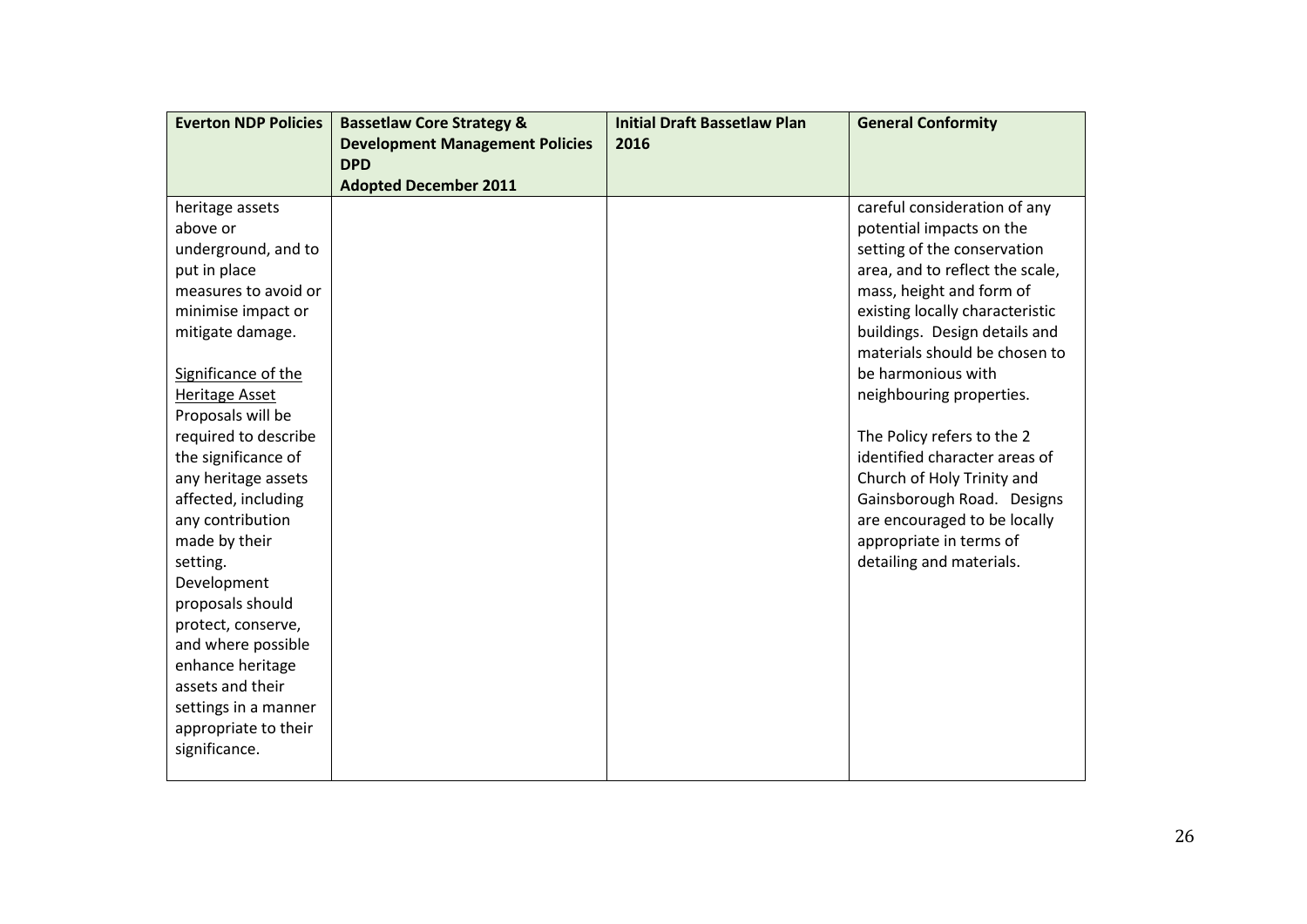| <b>Everton NDP Policies</b> | <b>Bassetlaw Core Strategy &amp;</b>   | <b>Initial Draft Bassetlaw Plan</b> | <b>General Conformity</b>       |
|-----------------------------|----------------------------------------|-------------------------------------|---------------------------------|
|                             | <b>Development Management Policies</b> | 2016                                |                                 |
|                             | <b>DPD</b>                             |                                     |                                 |
|                             | <b>Adopted December 2011</b>           |                                     |                                 |
| heritage assets             |                                        |                                     | careful consideration of any    |
| above or                    |                                        |                                     | potential impacts on the        |
| underground, and to         |                                        |                                     | setting of the conservation     |
| put in place                |                                        |                                     | area, and to reflect the scale, |
| measures to avoid or        |                                        |                                     | mass, height and form of        |
| minimise impact or          |                                        |                                     | existing locally characteristic |
| mitigate damage.            |                                        |                                     | buildings. Design details and   |
|                             |                                        |                                     | materials should be chosen to   |
| Significance of the         |                                        |                                     | be harmonious with              |
| Heritage Asset              |                                        |                                     | neighbouring properties.        |
| Proposals will be           |                                        |                                     |                                 |
| required to describe        |                                        |                                     | The Policy refers to the 2      |
| the significance of         |                                        |                                     | identified character areas of   |
| any heritage assets         |                                        |                                     | Church of Holy Trinity and      |
| affected, including         |                                        |                                     | Gainsborough Road. Designs      |
| any contribution            |                                        |                                     | are encouraged to be locally    |
| made by their               |                                        |                                     | appropriate in terms of         |
| setting.                    |                                        |                                     | detailing and materials.        |
| Development                 |                                        |                                     |                                 |
| proposals should            |                                        |                                     |                                 |
| protect, conserve,          |                                        |                                     |                                 |
| and where possible          |                                        |                                     |                                 |
| enhance heritage            |                                        |                                     |                                 |
| assets and their            |                                        |                                     |                                 |
| settings in a manner        |                                        |                                     |                                 |
| appropriate to their        |                                        |                                     |                                 |
| significance.               |                                        |                                     |                                 |
|                             |                                        |                                     |                                 |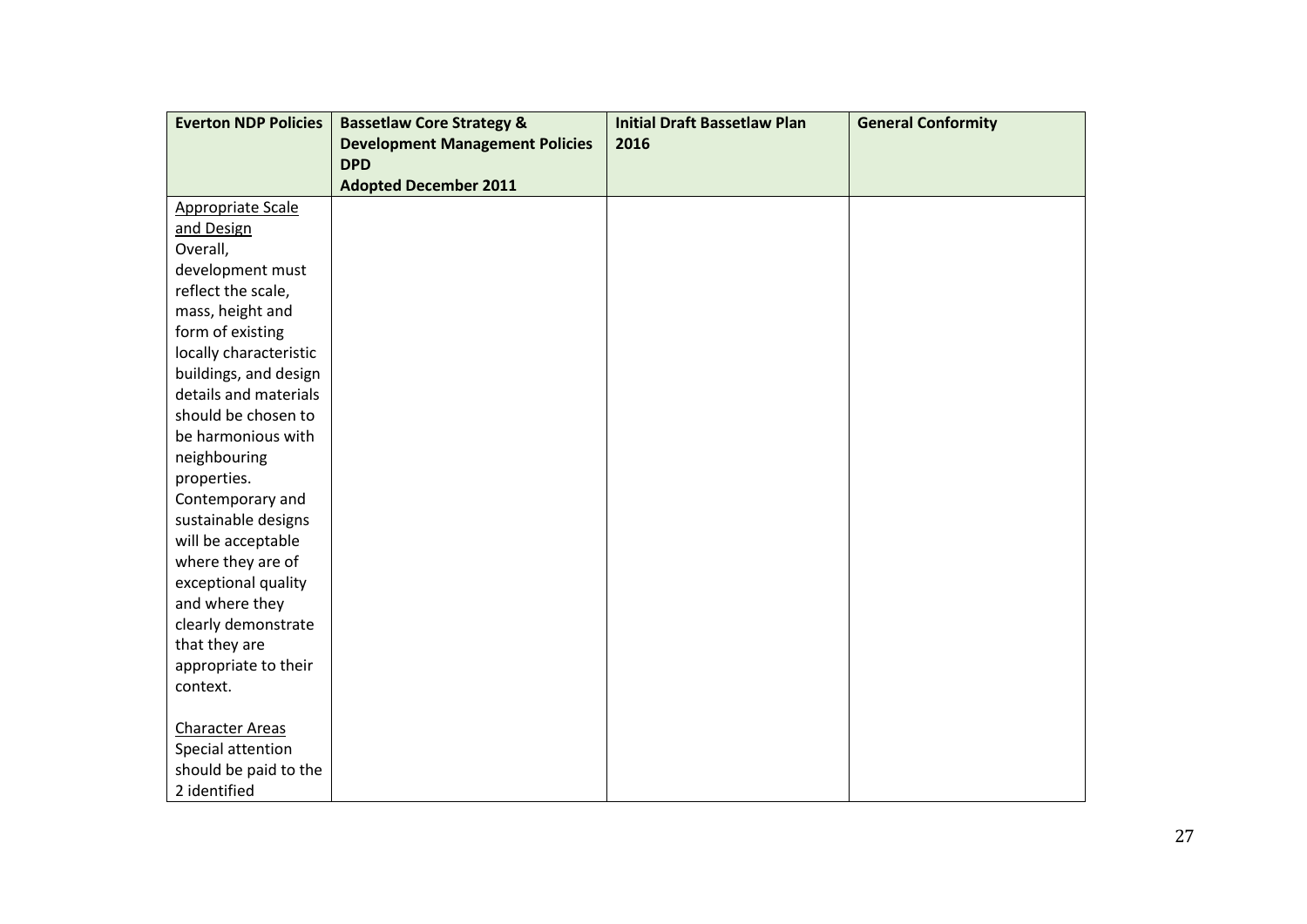| <b>Everton NDP Policies</b> | <b>Bassetlaw Core Strategy &amp;</b>   | <b>Initial Draft Bassetlaw Plan</b> | <b>General Conformity</b> |
|-----------------------------|----------------------------------------|-------------------------------------|---------------------------|
|                             | <b>Development Management Policies</b> | 2016                                |                           |
|                             | <b>DPD</b>                             |                                     |                           |
|                             | <b>Adopted December 2011</b>           |                                     |                           |
| Appropriate Scale           |                                        |                                     |                           |
| and Design                  |                                        |                                     |                           |
| Overall,                    |                                        |                                     |                           |
| development must            |                                        |                                     |                           |
| reflect the scale,          |                                        |                                     |                           |
| mass, height and            |                                        |                                     |                           |
| form of existing            |                                        |                                     |                           |
| locally characteristic      |                                        |                                     |                           |
| buildings, and design       |                                        |                                     |                           |
| details and materials       |                                        |                                     |                           |
| should be chosen to         |                                        |                                     |                           |
| be harmonious with          |                                        |                                     |                           |
| neighbouring                |                                        |                                     |                           |
| properties.                 |                                        |                                     |                           |
| Contemporary and            |                                        |                                     |                           |
| sustainable designs         |                                        |                                     |                           |
| will be acceptable          |                                        |                                     |                           |
| where they are of           |                                        |                                     |                           |
| exceptional quality         |                                        |                                     |                           |
| and where they              |                                        |                                     |                           |
| clearly demonstrate         |                                        |                                     |                           |
| that they are               |                                        |                                     |                           |
| appropriate to their        |                                        |                                     |                           |
| context.                    |                                        |                                     |                           |
| <b>Character Areas</b>      |                                        |                                     |                           |
| Special attention           |                                        |                                     |                           |
| should be paid to the       |                                        |                                     |                           |
| 2 identified                |                                        |                                     |                           |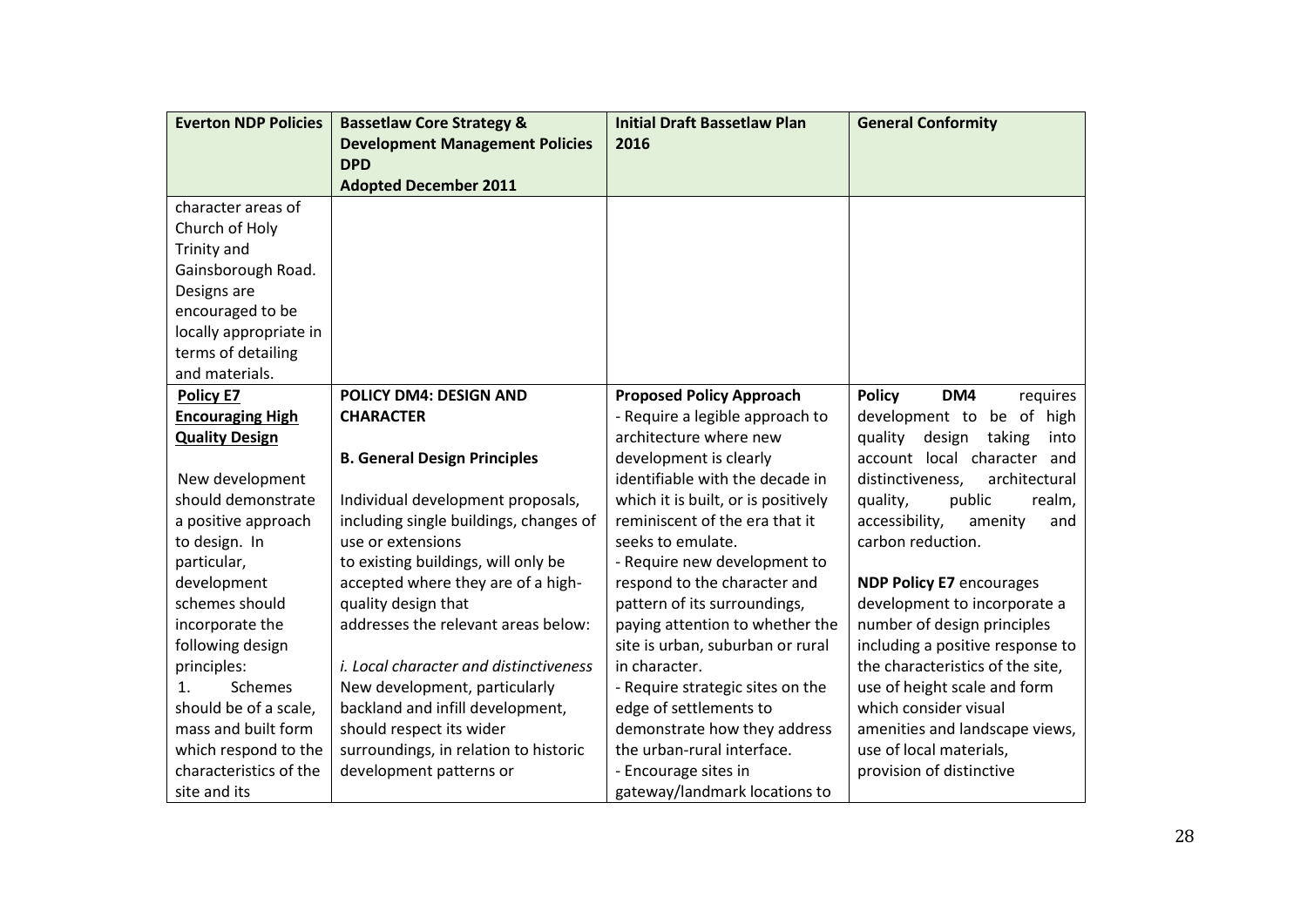| <b>Everton NDP Policies</b> | <b>Bassetlaw Core Strategy &amp;</b>          | <b>Initial Draft Bassetlaw Plan</b> | <b>General Conformity</b>           |
|-----------------------------|-----------------------------------------------|-------------------------------------|-------------------------------------|
|                             | <b>Development Management Policies</b>        | 2016                                |                                     |
|                             | <b>DPD</b>                                    |                                     |                                     |
|                             | <b>Adopted December 2011</b>                  |                                     |                                     |
| character areas of          |                                               |                                     |                                     |
| Church of Holy              |                                               |                                     |                                     |
| Trinity and                 |                                               |                                     |                                     |
| Gainsborough Road.          |                                               |                                     |                                     |
| Designs are                 |                                               |                                     |                                     |
| encouraged to be            |                                               |                                     |                                     |
| locally appropriate in      |                                               |                                     |                                     |
| terms of detailing          |                                               |                                     |                                     |
| and materials.              |                                               |                                     |                                     |
| <b>Policy E7</b>            | <b>POLICY DM4: DESIGN AND</b>                 | <b>Proposed Policy Approach</b>     | <b>Policy</b><br>DM4<br>requires    |
| <b>Encouraging High</b>     | <b>CHARACTER</b>                              | - Require a legible approach to     | development to be of high           |
| <b>Quality Design</b>       |                                               | architecture where new              | quality<br>design<br>taking<br>into |
|                             | <b>B. General Design Principles</b>           | development is clearly              | account local character and         |
| New development             |                                               | identifiable with the decade in     | distinctiveness,<br>architectural   |
| should demonstrate          | Individual development proposals,             | which it is built, or is positively | quality,<br>public<br>realm,        |
| a positive approach         | including single buildings, changes of        | reminiscent of the era that it      | accessibility,<br>amenity<br>and    |
| to design. In               | use or extensions                             | seeks to emulate.                   | carbon reduction.                   |
| particular,                 | to existing buildings, will only be           | - Require new development to        |                                     |
| development                 | accepted where they are of a high-            | respond to the character and        | <b>NDP Policy E7 encourages</b>     |
| schemes should              | quality design that                           | pattern of its surroundings,        | development to incorporate a        |
| incorporate the             | addresses the relevant areas below:           | paying attention to whether the     | number of design principles         |
| following design            |                                               | site is urban, suburban or rural    | including a positive response to    |
| principles:                 | <i>i. Local character and distinctiveness</i> | in character.                       | the characteristics of the site,    |
| Schemes<br>1.               | New development, particularly                 | - Require strategic sites on the    | use of height scale and form        |
| should be of a scale,       | backland and infill development,              | edge of settlements to              | which consider visual               |
| mass and built form         | should respect its wider                      | demonstrate how they address        | amenities and landscape views,      |
| which respond to the        | surroundings, in relation to historic         | the urban-rural interface.          | use of local materials,             |
| characteristics of the      | development patterns or                       | - Encourage sites in                | provision of distinctive            |
| site and its                |                                               | gateway/landmark locations to       |                                     |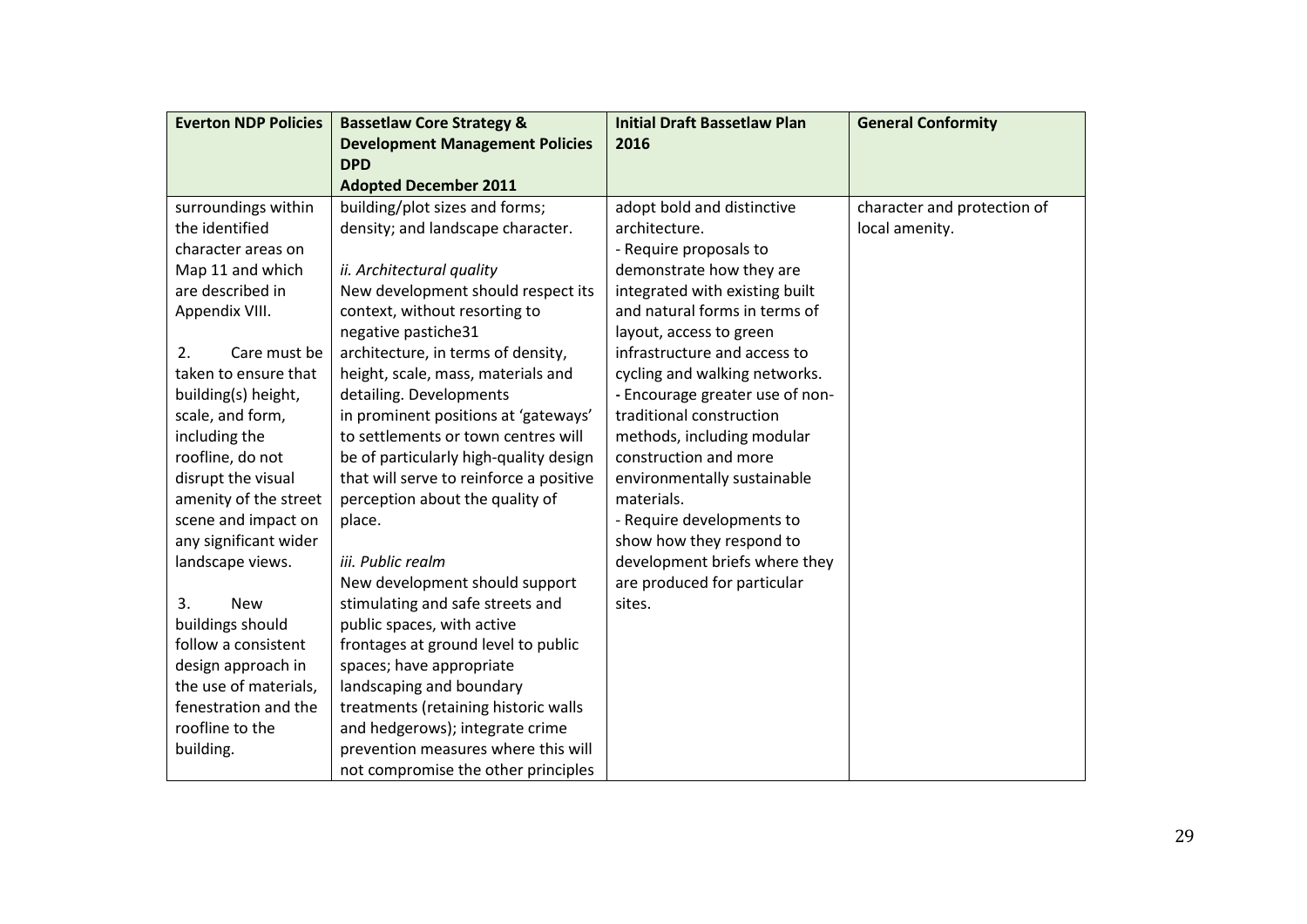| <b>Everton NDP Policies</b> | <b>Bassetlaw Core Strategy &amp;</b>    | <b>Initial Draft Bassetlaw Plan</b> | <b>General Conformity</b>   |
|-----------------------------|-----------------------------------------|-------------------------------------|-----------------------------|
|                             | <b>Development Management Policies</b>  | 2016                                |                             |
|                             | <b>DPD</b>                              |                                     |                             |
|                             | <b>Adopted December 2011</b>            |                                     |                             |
| surroundings within         | building/plot sizes and forms;          | adopt bold and distinctive          | character and protection of |
| the identified              | density; and landscape character.       | architecture.                       | local amenity.              |
| character areas on          |                                         | - Require proposals to              |                             |
| Map 11 and which            | ii. Architectural quality               | demonstrate how they are            |                             |
| are described in            | New development should respect its      | integrated with existing built      |                             |
| Appendix VIII.              | context, without resorting to           | and natural forms in terms of       |                             |
|                             | negative pastiche31                     | layout, access to green             |                             |
| 2.<br>Care must be          | architecture, in terms of density,      | infrastructure and access to        |                             |
| taken to ensure that        | height, scale, mass, materials and      | cycling and walking networks.       |                             |
| building(s) height,         | detailing. Developments                 | - Encourage greater use of non-     |                             |
| scale, and form,            | in prominent positions at 'gateways'    | traditional construction            |                             |
| including the               | to settlements or town centres will     | methods, including modular          |                             |
| roofline, do not            | be of particularly high-quality design  | construction and more               |                             |
| disrupt the visual          | that will serve to reinforce a positive | environmentally sustainable         |                             |
| amenity of the street       | perception about the quality of         | materials.                          |                             |
| scene and impact on         | place.                                  | - Require developments to           |                             |
| any significant wider       |                                         | show how they respond to            |                             |
| landscape views.            | iii. Public realm                       | development briefs where they       |                             |
|                             | New development should support          | are produced for particular         |                             |
| 3.<br><b>New</b>            | stimulating and safe streets and        | sites.                              |                             |
| buildings should            | public spaces, with active              |                                     |                             |
| follow a consistent         | frontages at ground level to public     |                                     |                             |
| design approach in          | spaces; have appropriate                |                                     |                             |
| the use of materials,       | landscaping and boundary                |                                     |                             |
| fenestration and the        | treatments (retaining historic walls    |                                     |                             |
| roofline to the             | and hedgerows); integrate crime         |                                     |                             |
| building.                   | prevention measures where this will     |                                     |                             |
|                             | not compromise the other principles     |                                     |                             |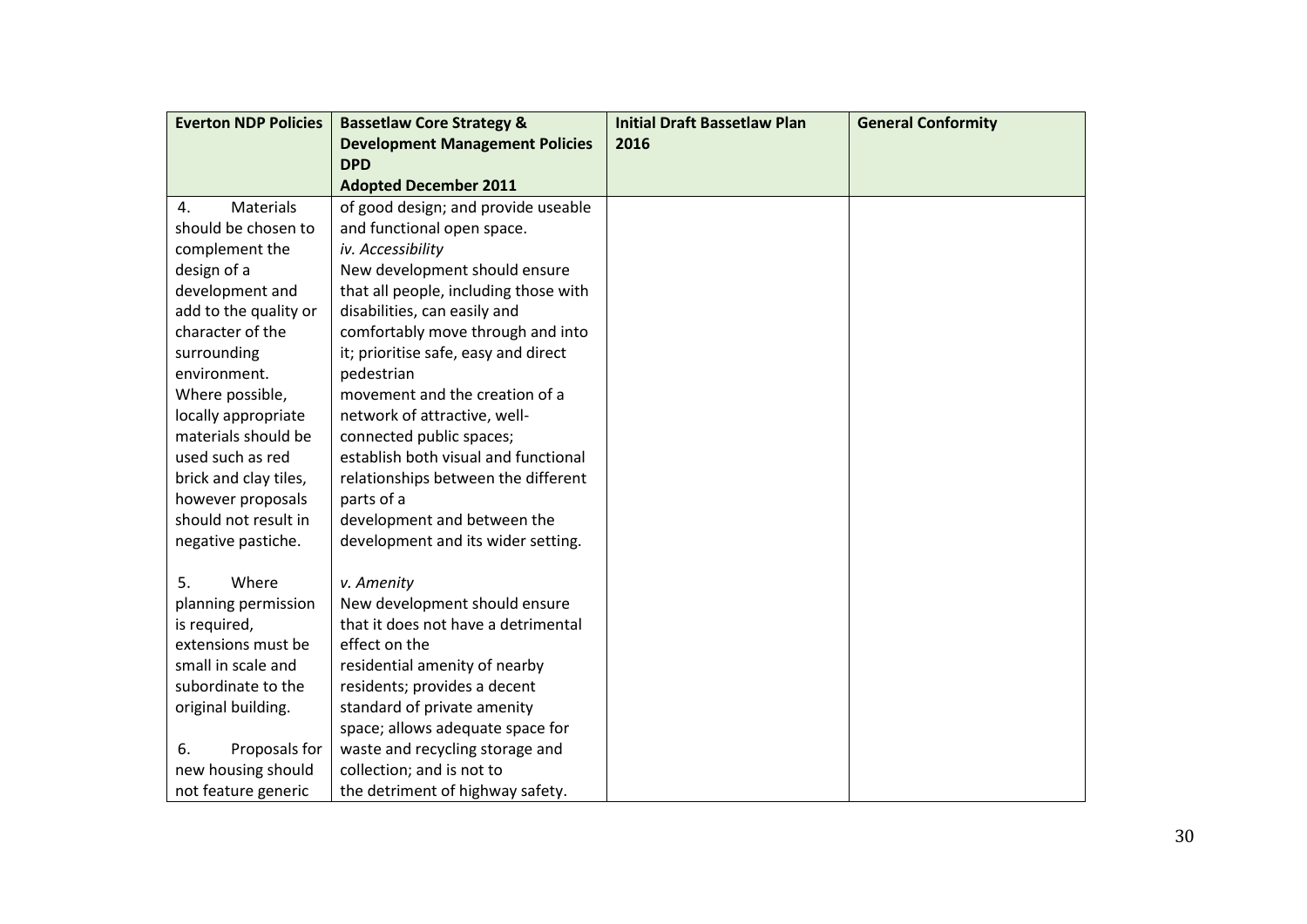| <b>Everton NDP Policies</b> | <b>Bassetlaw Core Strategy &amp;</b>   | <b>Initial Draft Bassetlaw Plan</b> | <b>General Conformity</b> |
|-----------------------------|----------------------------------------|-------------------------------------|---------------------------|
|                             | <b>Development Management Policies</b> | 2016                                |                           |
|                             | <b>DPD</b>                             |                                     |                           |
|                             | <b>Adopted December 2011</b>           |                                     |                           |
| Materials<br>4.             | of good design; and provide useable    |                                     |                           |
| should be chosen to         | and functional open space.             |                                     |                           |
| complement the              | iv. Accessibility                      |                                     |                           |
| design of a                 | New development should ensure          |                                     |                           |
| development and             | that all people, including those with  |                                     |                           |
| add to the quality or       | disabilities, can easily and           |                                     |                           |
| character of the            | comfortably move through and into      |                                     |                           |
| surrounding                 | it; prioritise safe, easy and direct   |                                     |                           |
| environment.                | pedestrian                             |                                     |                           |
| Where possible,             | movement and the creation of a         |                                     |                           |
| locally appropriate         | network of attractive, well-           |                                     |                           |
| materials should be         | connected public spaces;               |                                     |                           |
| used such as red            | establish both visual and functional   |                                     |                           |
| brick and clay tiles,       | relationships between the different    |                                     |                           |
| however proposals           | parts of a                             |                                     |                           |
| should not result in        | development and between the            |                                     |                           |
| negative pastiche.          | development and its wider setting.     |                                     |                           |
|                             |                                        |                                     |                           |
| Where<br>5.                 | v. Amenity                             |                                     |                           |
| planning permission         | New development should ensure          |                                     |                           |
| is required,                | that it does not have a detrimental    |                                     |                           |
| extensions must be          | effect on the                          |                                     |                           |
| small in scale and          | residential amenity of nearby          |                                     |                           |
| subordinate to the          | residents; provides a decent           |                                     |                           |
| original building.          | standard of private amenity            |                                     |                           |
|                             | space; allows adequate space for       |                                     |                           |
| 6.<br>Proposals for         | waste and recycling storage and        |                                     |                           |
| new housing should          | collection; and is not to              |                                     |                           |
| not feature generic         | the detriment of highway safety.       |                                     |                           |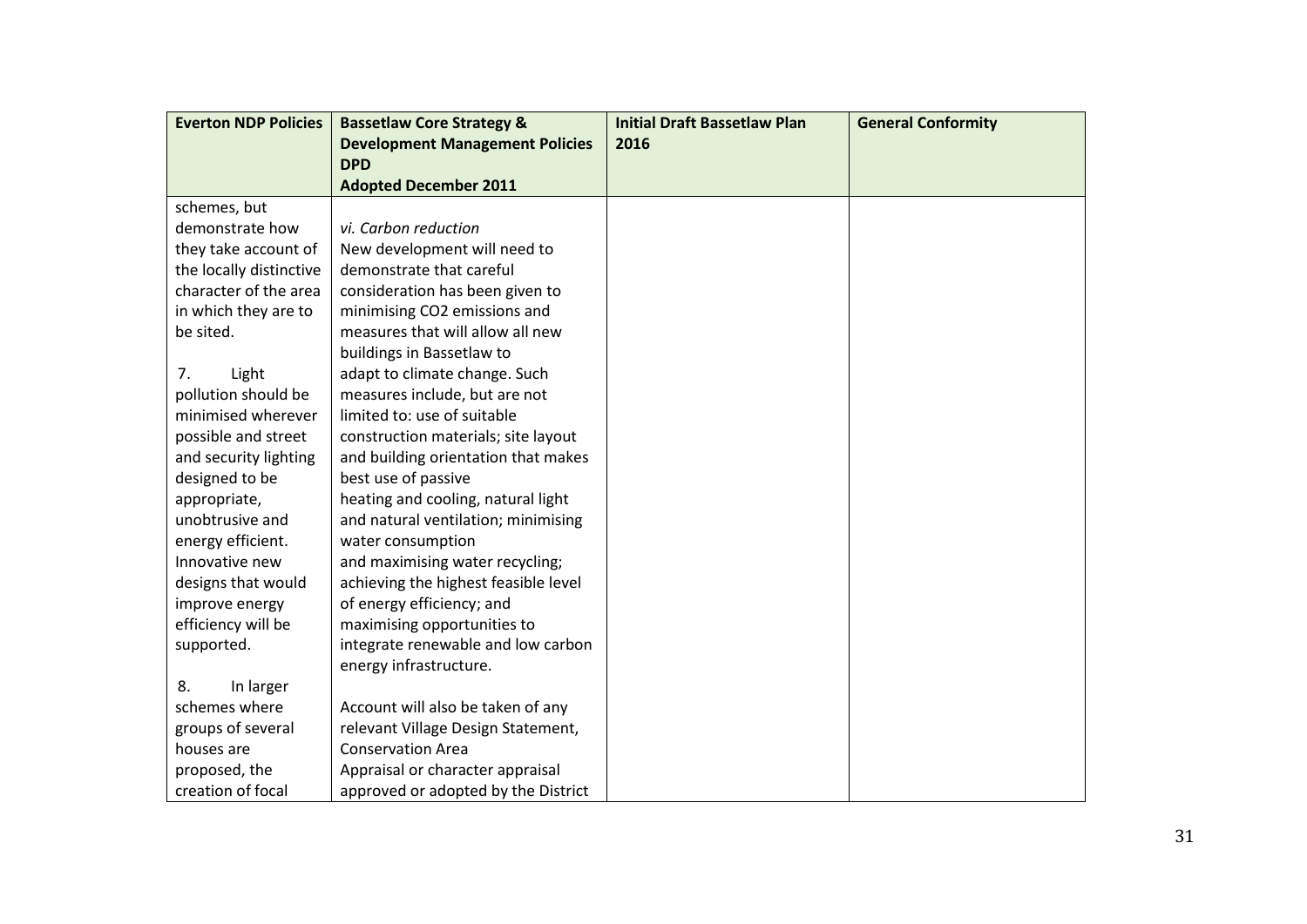| <b>Everton NDP Policies</b> | <b>Bassetlaw Core Strategy &amp;</b>   | <b>Initial Draft Bassetlaw Plan</b> | <b>General Conformity</b> |
|-----------------------------|----------------------------------------|-------------------------------------|---------------------------|
|                             | <b>Development Management Policies</b> | 2016                                |                           |
|                             | <b>DPD</b>                             |                                     |                           |
|                             | <b>Adopted December 2011</b>           |                                     |                           |
| schemes, but                |                                        |                                     |                           |
| demonstrate how             | vi. Carbon reduction                   |                                     |                           |
| they take account of        | New development will need to           |                                     |                           |
| the locally distinctive     | demonstrate that careful               |                                     |                           |
| character of the area       | consideration has been given to        |                                     |                           |
| in which they are to        | minimising CO2 emissions and           |                                     |                           |
| be sited.                   | measures that will allow all new       |                                     |                           |
|                             | buildings in Bassetlaw to              |                                     |                           |
| 7.<br>Light                 | adapt to climate change. Such          |                                     |                           |
| pollution should be         | measures include, but are not          |                                     |                           |
| minimised wherever          | limited to: use of suitable            |                                     |                           |
| possible and street         | construction materials; site layout    |                                     |                           |
| and security lighting       | and building orientation that makes    |                                     |                           |
| designed to be              | best use of passive                    |                                     |                           |
| appropriate,                | heating and cooling, natural light     |                                     |                           |
| unobtrusive and             | and natural ventilation; minimising    |                                     |                           |
| energy efficient.           | water consumption                      |                                     |                           |
| Innovative new              | and maximising water recycling;        |                                     |                           |
| designs that would          | achieving the highest feasible level   |                                     |                           |
| improve energy              | of energy efficiency; and              |                                     |                           |
| efficiency will be          | maximising opportunities to            |                                     |                           |
| supported.                  | integrate renewable and low carbon     |                                     |                           |
|                             | energy infrastructure.                 |                                     |                           |
| 8.<br>In larger             |                                        |                                     |                           |
| schemes where               | Account will also be taken of any      |                                     |                           |
| groups of several           | relevant Village Design Statement,     |                                     |                           |
| houses are                  | <b>Conservation Area</b>               |                                     |                           |
| proposed, the               | Appraisal or character appraisal       |                                     |                           |
| creation of focal           | approved or adopted by the District    |                                     |                           |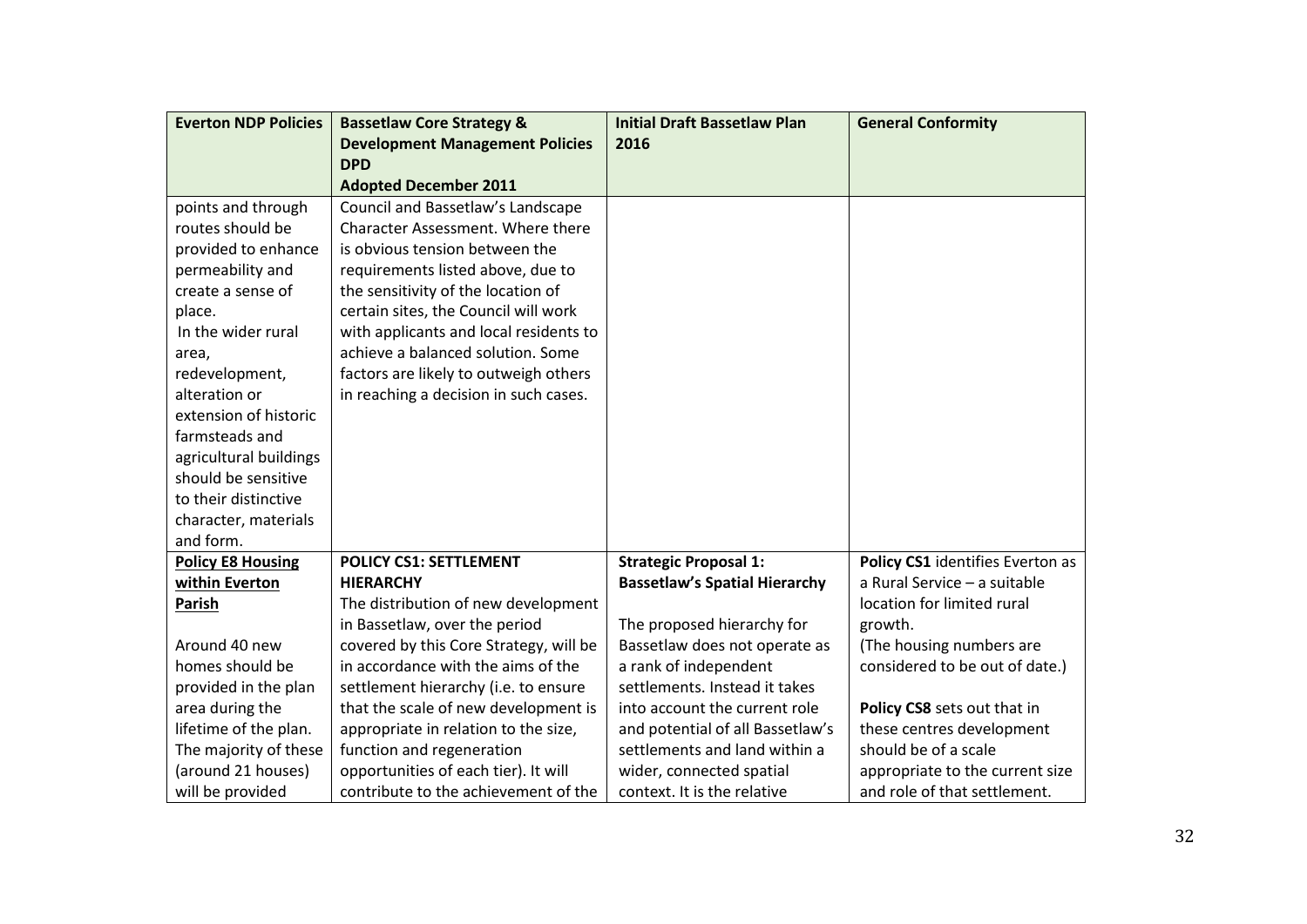| <b>Everton NDP Policies</b> | <b>Bassetlaw Core Strategy &amp;</b>   | <b>Initial Draft Bassetlaw Plan</b>  | <b>General Conformity</b>        |
|-----------------------------|----------------------------------------|--------------------------------------|----------------------------------|
|                             | <b>Development Management Policies</b> | 2016                                 |                                  |
|                             | <b>DPD</b>                             |                                      |                                  |
|                             | <b>Adopted December 2011</b>           |                                      |                                  |
| points and through          | Council and Bassetlaw's Landscape      |                                      |                                  |
| routes should be            | Character Assessment. Where there      |                                      |                                  |
| provided to enhance         | is obvious tension between the         |                                      |                                  |
| permeability and            | requirements listed above, due to      |                                      |                                  |
| create a sense of           | the sensitivity of the location of     |                                      |                                  |
| place.                      | certain sites, the Council will work   |                                      |                                  |
| In the wider rural          | with applicants and local residents to |                                      |                                  |
| area,                       | achieve a balanced solution. Some      |                                      |                                  |
| redevelopment,              | factors are likely to outweigh others  |                                      |                                  |
| alteration or               | in reaching a decision in such cases.  |                                      |                                  |
| extension of historic       |                                        |                                      |                                  |
| farmsteads and              |                                        |                                      |                                  |
| agricultural buildings      |                                        |                                      |                                  |
| should be sensitive         |                                        |                                      |                                  |
| to their distinctive        |                                        |                                      |                                  |
| character, materials        |                                        |                                      |                                  |
| and form.                   |                                        |                                      |                                  |
| <b>Policy E8 Housing</b>    | <b>POLICY CS1: SETTLEMENT</b>          | <b>Strategic Proposal 1:</b>         | Policy CS1 identifies Everton as |
| within Everton              | <b>HIERARCHY</b>                       | <b>Bassetlaw's Spatial Hierarchy</b> | a Rural Service - a suitable     |
| Parish                      | The distribution of new development    |                                      | location for limited rural       |
|                             | in Bassetlaw, over the period          | The proposed hierarchy for           | growth.                          |
| Around 40 new               | covered by this Core Strategy, will be | Bassetlaw does not operate as        | (The housing numbers are         |
| homes should be             | in accordance with the aims of the     | a rank of independent                | considered to be out of date.)   |
| provided in the plan        | settlement hierarchy (i.e. to ensure   | settlements. Instead it takes        |                                  |
| area during the             | that the scale of new development is   | into account the current role        | Policy CS8 sets out that in      |
| lifetime of the plan.       | appropriate in relation to the size,   | and potential of all Bassetlaw's     | these centres development        |
| The majority of these       | function and regeneration              | settlements and land within a        | should be of a scale             |
| (around 21 houses)          | opportunities of each tier). It will   | wider, connected spatial             | appropriate to the current size  |
| will be provided            | contribute to the achievement of the   | context. It is the relative          | and role of that settlement.     |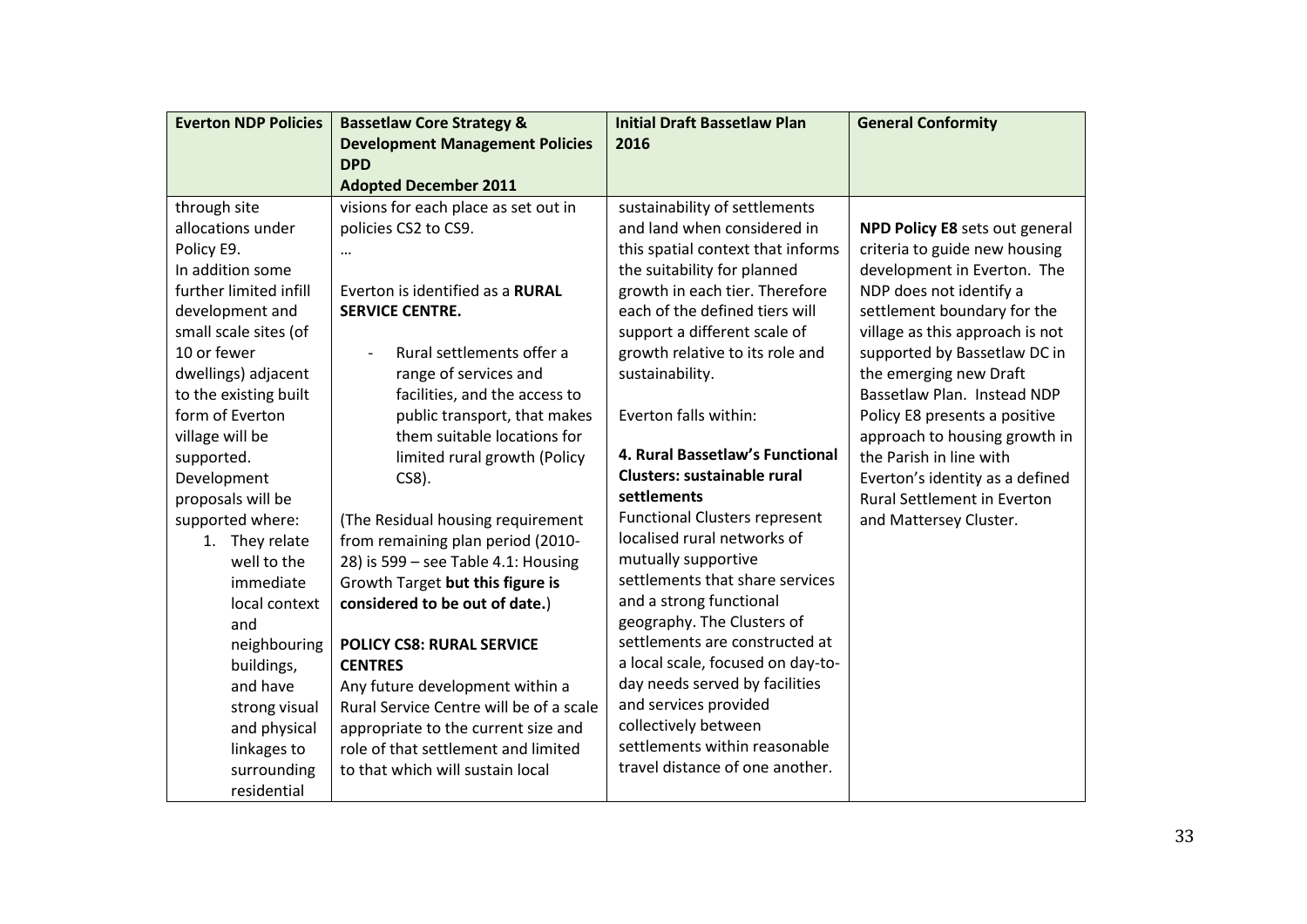| <b>Everton NDP Policies</b> | <b>Bassetlaw Core Strategy &amp;</b>    | <b>Initial Draft Bassetlaw Plan</b>  | <b>General Conformity</b>             |
|-----------------------------|-----------------------------------------|--------------------------------------|---------------------------------------|
|                             | <b>Development Management Policies</b>  | 2016                                 |                                       |
|                             | <b>DPD</b>                              |                                      |                                       |
|                             | <b>Adopted December 2011</b>            |                                      |                                       |
| through site                | visions for each place as set out in    | sustainability of settlements        |                                       |
| allocations under           | policies CS2 to CS9.                    | and land when considered in          | <b>NPD Policy E8 sets out general</b> |
| Policy E9.                  |                                         | this spatial context that informs    | criteria to guide new housing         |
| In addition some            |                                         | the suitability for planned          | development in Everton. The           |
| further limited infill      | Everton is identified as a RURAL        | growth in each tier. Therefore       | NDP does not identify a               |
| development and             | <b>SERVICE CENTRE.</b>                  | each of the defined tiers will       | settlement boundary for the           |
| small scale sites (of       |                                         | support a different scale of         | village as this approach is not       |
| 10 or fewer                 | Rural settlements offer a               | growth relative to its role and      | supported by Bassetlaw DC in          |
| dwellings) adjacent         | range of services and                   | sustainability.                      | the emerging new Draft                |
| to the existing built       | facilities, and the access to           |                                      | Bassetlaw Plan. Instead NDP           |
| form of Everton             | public transport, that makes            | Everton falls within:                | Policy E8 presents a positive         |
| village will be             | them suitable locations for             |                                      | approach to housing growth in         |
| supported.                  | limited rural growth (Policy            | 4. Rural Bassetlaw's Functional      | the Parish in line with               |
| Development                 | $CS8$ ).                                | <b>Clusters: sustainable rural</b>   | Everton's identity as a defined       |
| proposals will be           |                                         | settlements                          | <b>Rural Settlement in Everton</b>    |
| supported where:            | (The Residual housing requirement       | <b>Functional Clusters represent</b> | and Mattersey Cluster.                |
| 1. They relate              | from remaining plan period (2010-       | localised rural networks of          |                                       |
| well to the                 | 28) is 599 - see Table 4.1: Housing     | mutually supportive                  |                                       |
| immediate                   | Growth Target but this figure is        | settlements that share services      |                                       |
| local context               | considered to be out of date.)          | and a strong functional              |                                       |
| and                         |                                         | geography. The Clusters of           |                                       |
| neighbouring                | <b>POLICY CS8: RURAL SERVICE</b>        | settlements are constructed at       |                                       |
| buildings,                  | <b>CENTRES</b>                          | a local scale, focused on day-to-    |                                       |
| and have                    | Any future development within a         | day needs served by facilities       |                                       |
| strong visual               | Rural Service Centre will be of a scale | and services provided                |                                       |
| and physical                | appropriate to the current size and     | collectively between                 |                                       |
| linkages to                 | role of that settlement and limited     | settlements within reasonable        |                                       |
| surrounding                 | to that which will sustain local        | travel distance of one another.      |                                       |
| residential                 |                                         |                                      |                                       |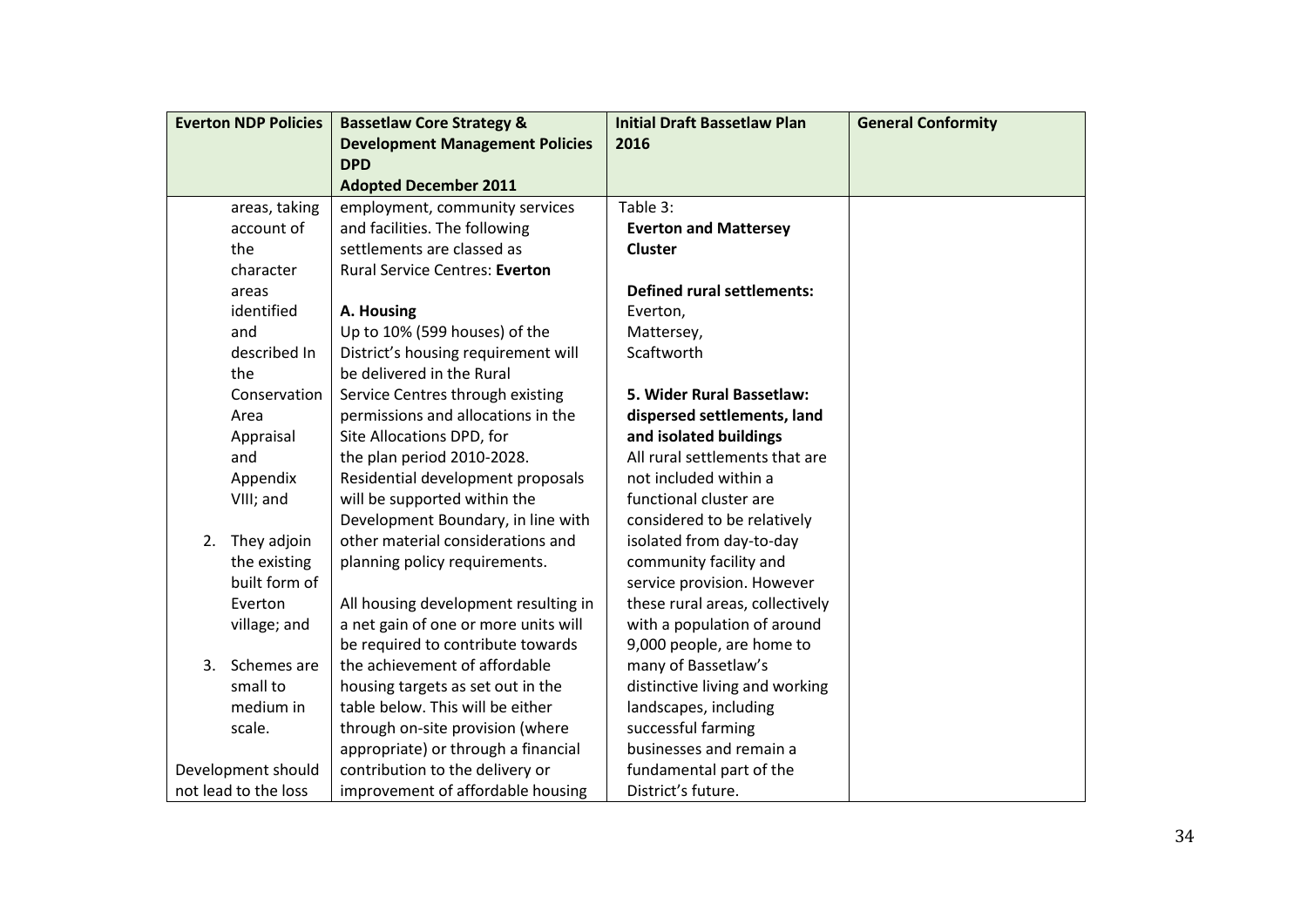| <b>Everton NDP Policies</b> | <b>Bassetlaw Core Strategy &amp;</b>   | <b>Initial Draft Bassetlaw Plan</b> | <b>General Conformity</b> |
|-----------------------------|----------------------------------------|-------------------------------------|---------------------------|
|                             | <b>Development Management Policies</b> | 2016                                |                           |
|                             | <b>DPD</b>                             |                                     |                           |
|                             | <b>Adopted December 2011</b>           |                                     |                           |
| areas, taking               | employment, community services         | Table 3:                            |                           |
| account of                  | and facilities. The following          | <b>Everton and Mattersey</b>        |                           |
| the                         | settlements are classed as             | <b>Cluster</b>                      |                           |
| character                   | <b>Rural Service Centres: Everton</b>  |                                     |                           |
| areas                       |                                        | <b>Defined rural settlements:</b>   |                           |
| identified                  | A. Housing                             | Everton,                            |                           |
| and                         | Up to 10% (599 houses) of the          | Mattersey,                          |                           |
| described In                | District's housing requirement will    | Scaftworth                          |                           |
| the                         | be delivered in the Rural              |                                     |                           |
| Conservation                | Service Centres through existing       | 5. Wider Rural Bassetlaw:           |                           |
| Area                        | permissions and allocations in the     | dispersed settlements, land         |                           |
| Appraisal                   | Site Allocations DPD, for              | and isolated buildings              |                           |
| and                         | the plan period 2010-2028.             | All rural settlements that are      |                           |
| Appendix                    | Residential development proposals      | not included within a               |                           |
| VIII; and                   | will be supported within the           | functional cluster are              |                           |
|                             | Development Boundary, in line with     | considered to be relatively         |                           |
| 2. They adjoin              | other material considerations and      | isolated from day-to-day            |                           |
| the existing                | planning policy requirements.          | community facility and              |                           |
| built form of               |                                        | service provision. However          |                           |
| Everton                     | All housing development resulting in   | these rural areas, collectively     |                           |
| village; and                | a net gain of one or more units will   | with a population of around         |                           |
|                             | be required to contribute towards      | 9,000 people, are home to           |                           |
| 3.<br>Schemes are           | the achievement of affordable          | many of Bassetlaw's                 |                           |
| small to                    | housing targets as set out in the      | distinctive living and working      |                           |
| medium in                   | table below. This will be either       | landscapes, including               |                           |
| scale.                      | through on-site provision (where       | successful farming                  |                           |
|                             | appropriate) or through a financial    | businesses and remain a             |                           |
| Development should          | contribution to the delivery or        | fundamental part of the             |                           |
| not lead to the loss        | improvement of affordable housing      | District's future.                  |                           |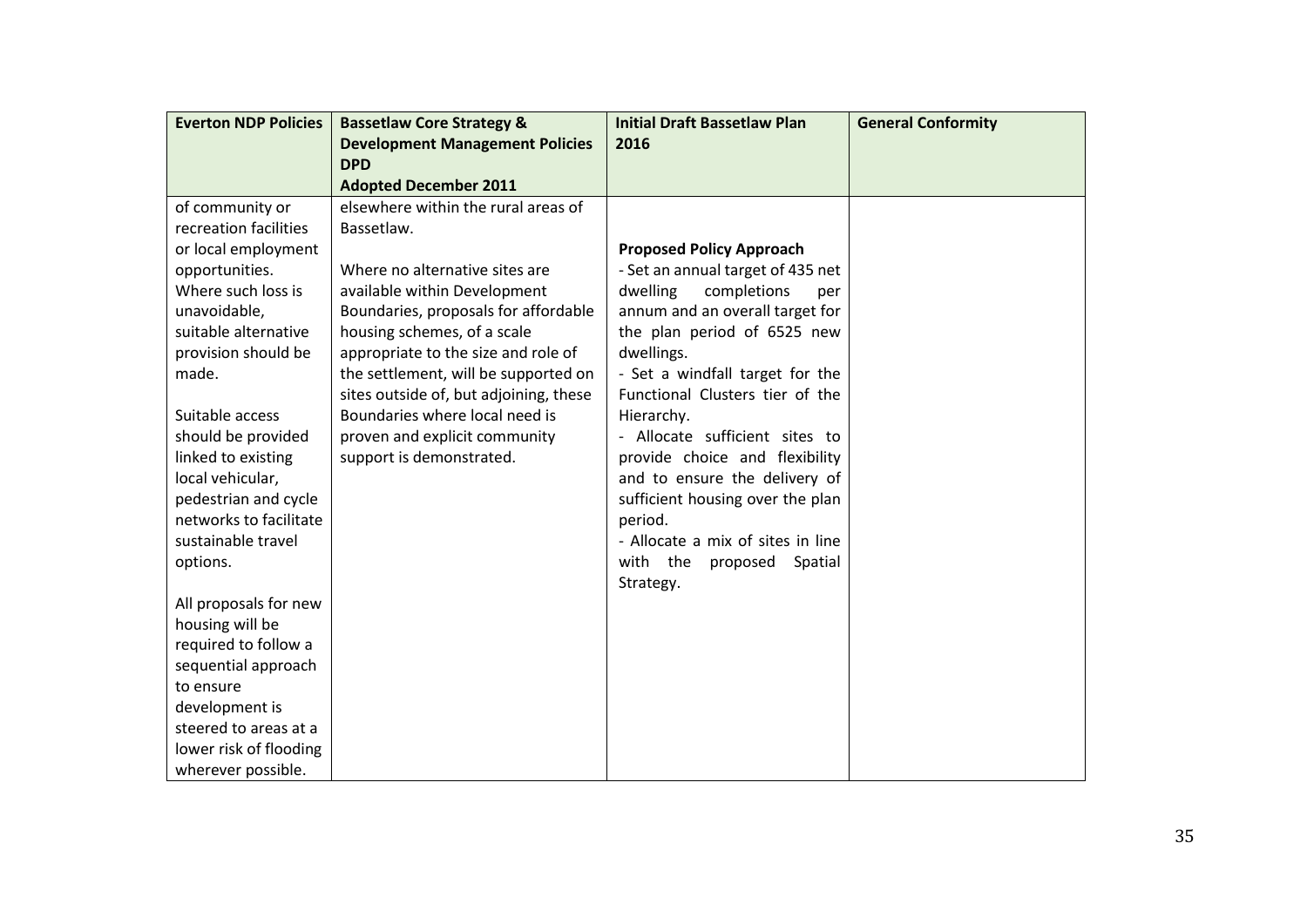| <b>Everton NDP Policies</b> | <b>Bassetlaw Core Strategy &amp;</b>   | <b>Initial Draft Bassetlaw Plan</b> | <b>General Conformity</b> |
|-----------------------------|----------------------------------------|-------------------------------------|---------------------------|
|                             | <b>Development Management Policies</b> | 2016                                |                           |
|                             | <b>DPD</b>                             |                                     |                           |
|                             | <b>Adopted December 2011</b>           |                                     |                           |
| of community or             | elsewhere within the rural areas of    |                                     |                           |
| recreation facilities       | Bassetlaw.                             |                                     |                           |
| or local employment         |                                        | <b>Proposed Policy Approach</b>     |                           |
| opportunities.              | Where no alternative sites are         | - Set an annual target of 435 net   |                           |
| Where such loss is          | available within Development           | dwelling<br>completions<br>per      |                           |
| unavoidable,                | Boundaries, proposals for affordable   | annum and an overall target for     |                           |
| suitable alternative        | housing schemes, of a scale            | the plan period of 6525 new         |                           |
| provision should be         | appropriate to the size and role of    | dwellings.                          |                           |
| made.                       | the settlement, will be supported on   | - Set a windfall target for the     |                           |
|                             | sites outside of, but adjoining, these | Functional Clusters tier of the     |                           |
| Suitable access             | Boundaries where local need is         | Hierarchy.                          |                           |
| should be provided          | proven and explicit community          | - Allocate sufficient sites to      |                           |
| linked to existing          | support is demonstrated.               | provide choice and flexibility      |                           |
| local vehicular,            |                                        | and to ensure the delivery of       |                           |
| pedestrian and cycle        |                                        | sufficient housing over the plan    |                           |
| networks to facilitate      |                                        | period.                             |                           |
| sustainable travel          |                                        | - Allocate a mix of sites in line   |                           |
| options.                    |                                        | with the<br>proposed<br>Spatial     |                           |
|                             |                                        | Strategy.                           |                           |
| All proposals for new       |                                        |                                     |                           |
| housing will be             |                                        |                                     |                           |
| required to follow a        |                                        |                                     |                           |
| sequential approach         |                                        |                                     |                           |
| to ensure                   |                                        |                                     |                           |
| development is              |                                        |                                     |                           |
| steered to areas at a       |                                        |                                     |                           |
| lower risk of flooding      |                                        |                                     |                           |
| wherever possible.          |                                        |                                     |                           |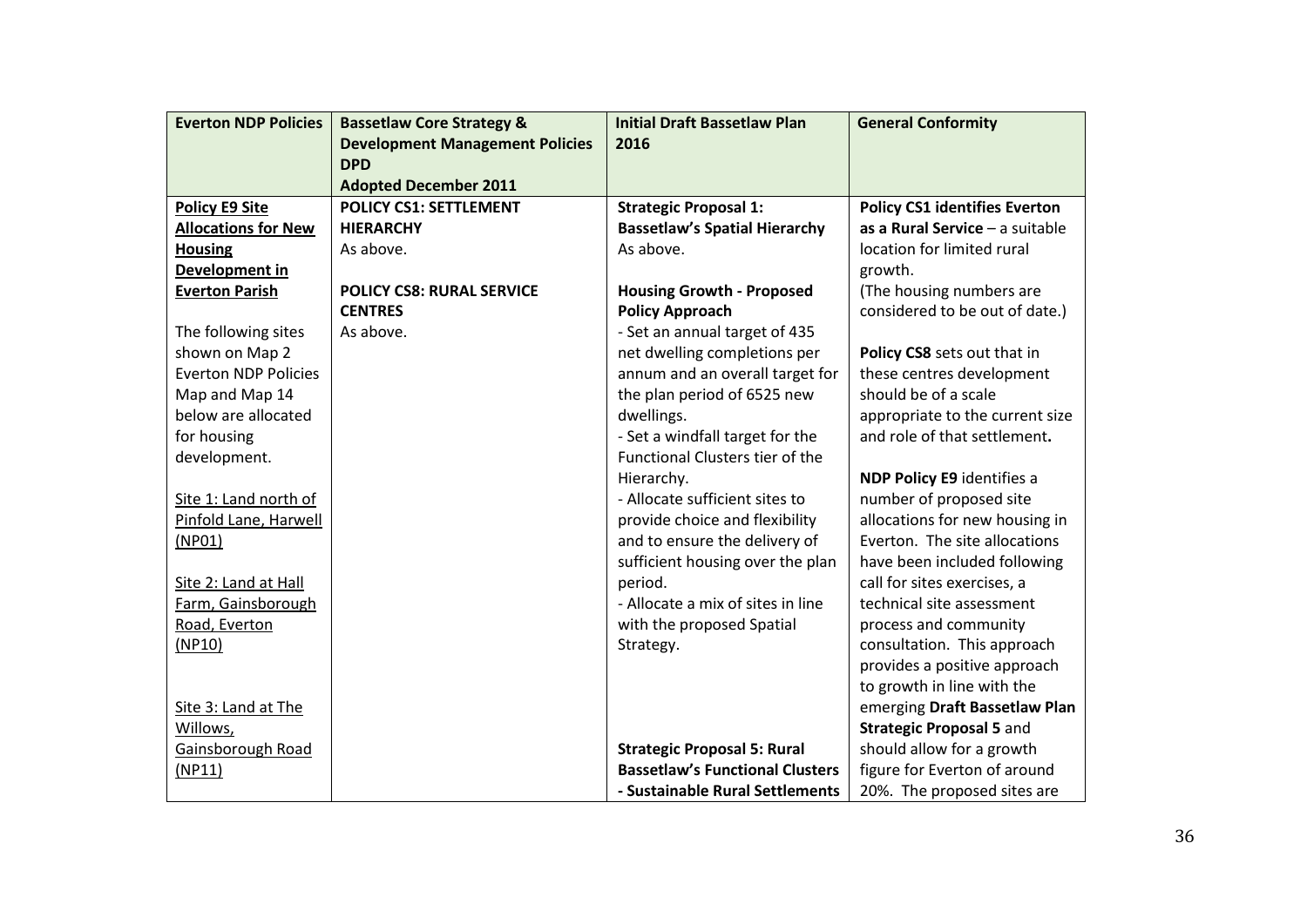| <b>Everton NDP Policies</b> | <b>Bassetlaw Core Strategy &amp;</b>   | <b>Initial Draft Bassetlaw Plan</b>    | <b>General Conformity</b>            |
|-----------------------------|----------------------------------------|----------------------------------------|--------------------------------------|
|                             | <b>Development Management Policies</b> | 2016                                   |                                      |
|                             | <b>DPD</b>                             |                                        |                                      |
|                             | <b>Adopted December 2011</b>           |                                        |                                      |
| <b>Policy E9 Site</b>       | <b>POLICY CS1: SETTLEMENT</b>          | <b>Strategic Proposal 1:</b>           | <b>Policy CS1 identifies Everton</b> |
| <b>Allocations for New</b>  | <b>HIERARCHY</b>                       | <b>Bassetlaw's Spatial Hierarchy</b>   | as a Rural Service - a suitable      |
| <b>Housing</b>              | As above.                              | As above.                              | location for limited rural           |
| Development in              |                                        |                                        | growth.                              |
| <b>Everton Parish</b>       | <b>POLICY CS8: RURAL SERVICE</b>       | <b>Housing Growth - Proposed</b>       | (The housing numbers are             |
|                             | <b>CENTRES</b>                         | <b>Policy Approach</b>                 | considered to be out of date.)       |
| The following sites         | As above.                              | - Set an annual target of 435          |                                      |
| shown on Map 2              |                                        | net dwelling completions per           | Policy CS8 sets out that in          |
| <b>Everton NDP Policies</b> |                                        | annum and an overall target for        | these centres development            |
| Map and Map 14              |                                        | the plan period of 6525 new            | should be of a scale                 |
| below are allocated         |                                        | dwellings.                             | appropriate to the current size      |
| for housing                 |                                        | - Set a windfall target for the        | and role of that settlement.         |
| development.                |                                        | <b>Functional Clusters tier of the</b> |                                      |
|                             |                                        | Hierarchy.                             | NDP Policy E9 identifies a           |
| Site 1: Land north of       |                                        | - Allocate sufficient sites to         | number of proposed site              |
| Pinfold Lane, Harwell       |                                        | provide choice and flexibility         | allocations for new housing in       |
| (NPO1)                      |                                        | and to ensure the delivery of          | Everton. The site allocations        |
|                             |                                        | sufficient housing over the plan       | have been included following         |
| Site 2: Land at Hall        |                                        | period.                                | call for sites exercises, a          |
| Farm, Gainsborough          |                                        | - Allocate a mix of sites in line      | technical site assessment            |
| Road, Everton               |                                        | with the proposed Spatial              | process and community                |
| (NP10)                      |                                        | Strategy.                              | consultation. This approach          |
|                             |                                        |                                        | provides a positive approach         |
|                             |                                        |                                        | to growth in line with the           |
| Site 3: Land at The         |                                        |                                        | emerging Draft Bassetlaw Plan        |
| Willows,                    |                                        |                                        | <b>Strategic Proposal 5 and</b>      |
| Gainsborough Road           |                                        | <b>Strategic Proposal 5: Rural</b>     | should allow for a growth            |
| (NP11)                      |                                        | <b>Bassetlaw's Functional Clusters</b> | figure for Everton of around         |
|                             |                                        | - Sustainable Rural Settlements        | 20%. The proposed sites are          |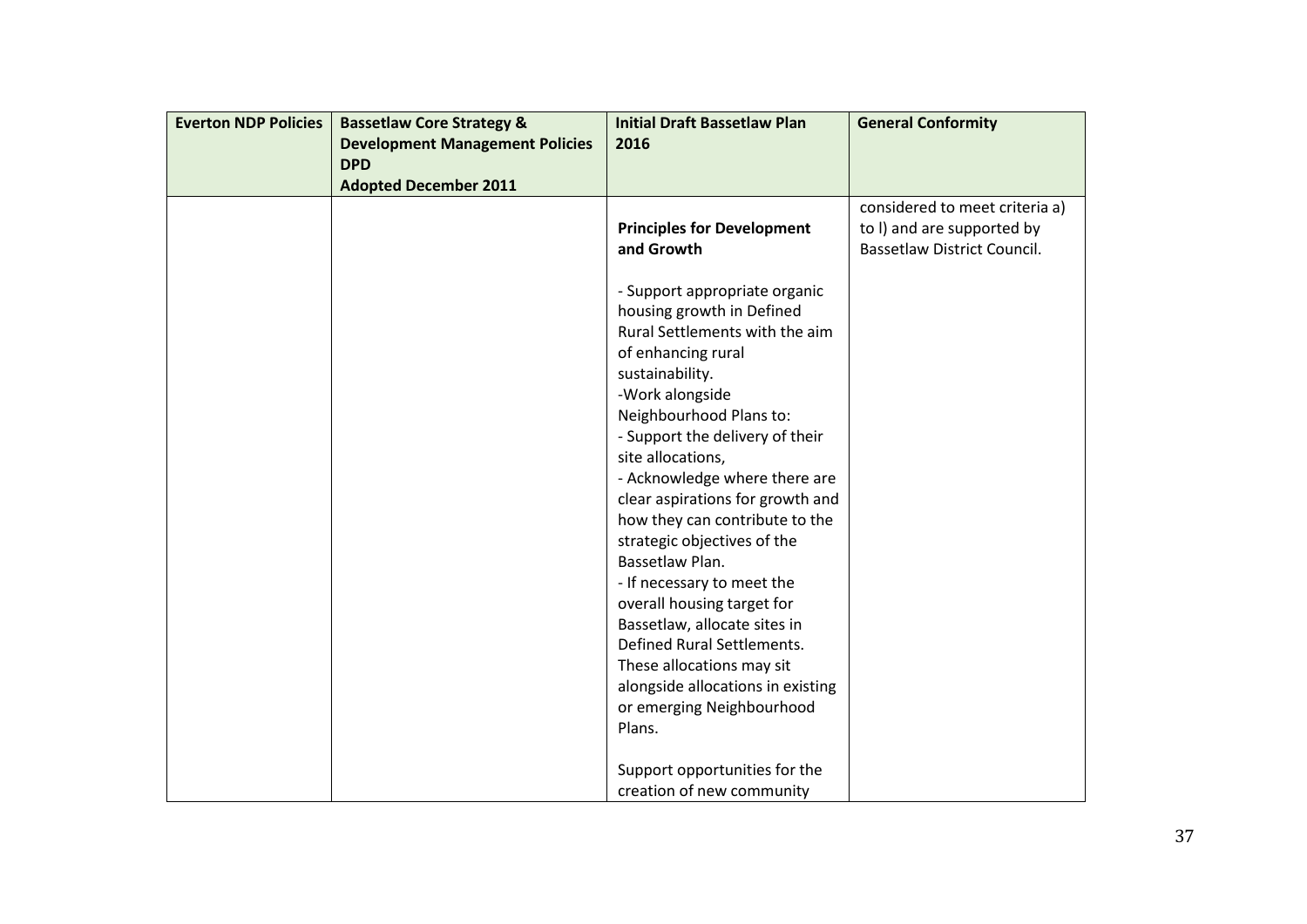| <b>Everton NDP Policies</b> | <b>Bassetlaw Core Strategy &amp;</b>   | <b>Initial Draft Bassetlaw Plan</b> | <b>General Conformity</b>          |
|-----------------------------|----------------------------------------|-------------------------------------|------------------------------------|
|                             | <b>Development Management Policies</b> | 2016                                |                                    |
|                             | <b>DPD</b>                             |                                     |                                    |
|                             | <b>Adopted December 2011</b>           |                                     |                                    |
|                             |                                        |                                     | considered to meet criteria a)     |
|                             |                                        | <b>Principles for Development</b>   | to I) and are supported by         |
|                             |                                        | and Growth                          | <b>Bassetlaw District Council.</b> |
|                             |                                        |                                     |                                    |
|                             |                                        | - Support appropriate organic       |                                    |
|                             |                                        | housing growth in Defined           |                                    |
|                             |                                        | Rural Settlements with the aim      |                                    |
|                             |                                        | of enhancing rural                  |                                    |
|                             |                                        | sustainability.                     |                                    |
|                             |                                        | -Work alongside                     |                                    |
|                             |                                        | Neighbourhood Plans to:             |                                    |
|                             |                                        | - Support the delivery of their     |                                    |
|                             |                                        | site allocations,                   |                                    |
|                             |                                        | - Acknowledge where there are       |                                    |
|                             |                                        | clear aspirations for growth and    |                                    |
|                             |                                        | how they can contribute to the      |                                    |
|                             |                                        | strategic objectives of the         |                                    |
|                             |                                        | Bassetlaw Plan.                     |                                    |
|                             |                                        | - If necessary to meet the          |                                    |
|                             |                                        | overall housing target for          |                                    |
|                             |                                        | Bassetlaw, allocate sites in        |                                    |
|                             |                                        | Defined Rural Settlements.          |                                    |
|                             |                                        | These allocations may sit           |                                    |
|                             |                                        | alongside allocations in existing   |                                    |
|                             |                                        | or emerging Neighbourhood           |                                    |
|                             |                                        | Plans.                              |                                    |
|                             |                                        |                                     |                                    |
|                             |                                        | Support opportunities for the       |                                    |
|                             |                                        | creation of new community           |                                    |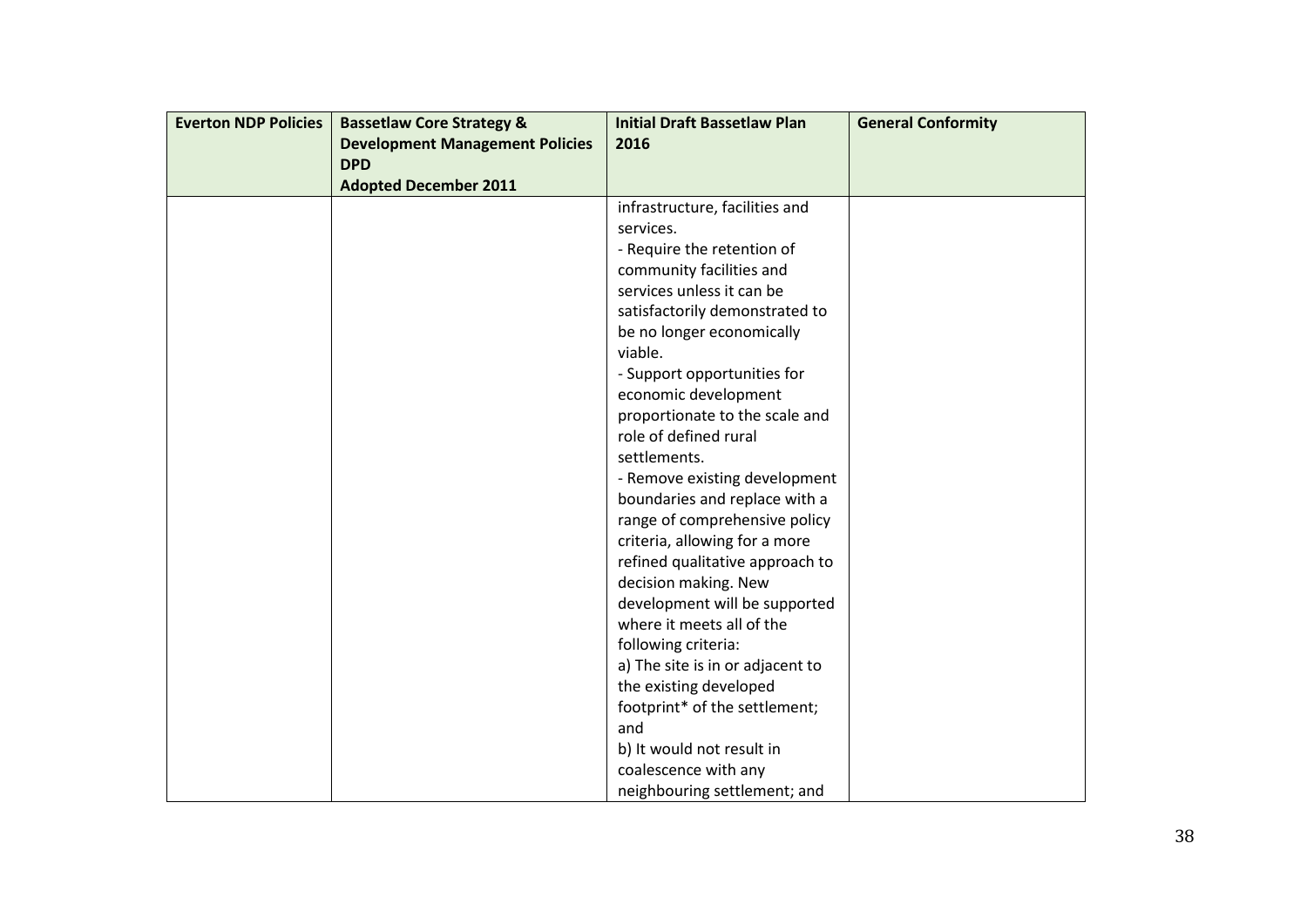| <b>Everton NDP Policies</b> | <b>Bassetlaw Core Strategy &amp;</b>   | <b>Initial Draft Bassetlaw Plan</b> | <b>General Conformity</b> |
|-----------------------------|----------------------------------------|-------------------------------------|---------------------------|
|                             | <b>Development Management Policies</b> | 2016                                |                           |
|                             | <b>DPD</b>                             |                                     |                           |
|                             | <b>Adopted December 2011</b>           |                                     |                           |
|                             |                                        | infrastructure, facilities and      |                           |
|                             |                                        | services.                           |                           |
|                             |                                        | - Require the retention of          |                           |
|                             |                                        | community facilities and            |                           |
|                             |                                        | services unless it can be           |                           |
|                             |                                        | satisfactorily demonstrated to      |                           |
|                             |                                        | be no longer economically           |                           |
|                             |                                        | viable.                             |                           |
|                             |                                        | - Support opportunities for         |                           |
|                             |                                        | economic development                |                           |
|                             |                                        | proportionate to the scale and      |                           |
|                             |                                        | role of defined rural               |                           |
|                             |                                        | settlements.                        |                           |
|                             |                                        | - Remove existing development       |                           |
|                             |                                        | boundaries and replace with a       |                           |
|                             |                                        | range of comprehensive policy       |                           |
|                             |                                        | criteria, allowing for a more       |                           |
|                             |                                        | refined qualitative approach to     |                           |
|                             |                                        | decision making. New                |                           |
|                             |                                        | development will be supported       |                           |
|                             |                                        | where it meets all of the           |                           |
|                             |                                        | following criteria:                 |                           |
|                             |                                        | a) The site is in or adjacent to    |                           |
|                             |                                        | the existing developed              |                           |
|                             |                                        | footprint* of the settlement;       |                           |
|                             |                                        | and                                 |                           |
|                             |                                        | b) It would not result in           |                           |
|                             |                                        | coalescence with any                |                           |
|                             |                                        | neighbouring settlement; and        |                           |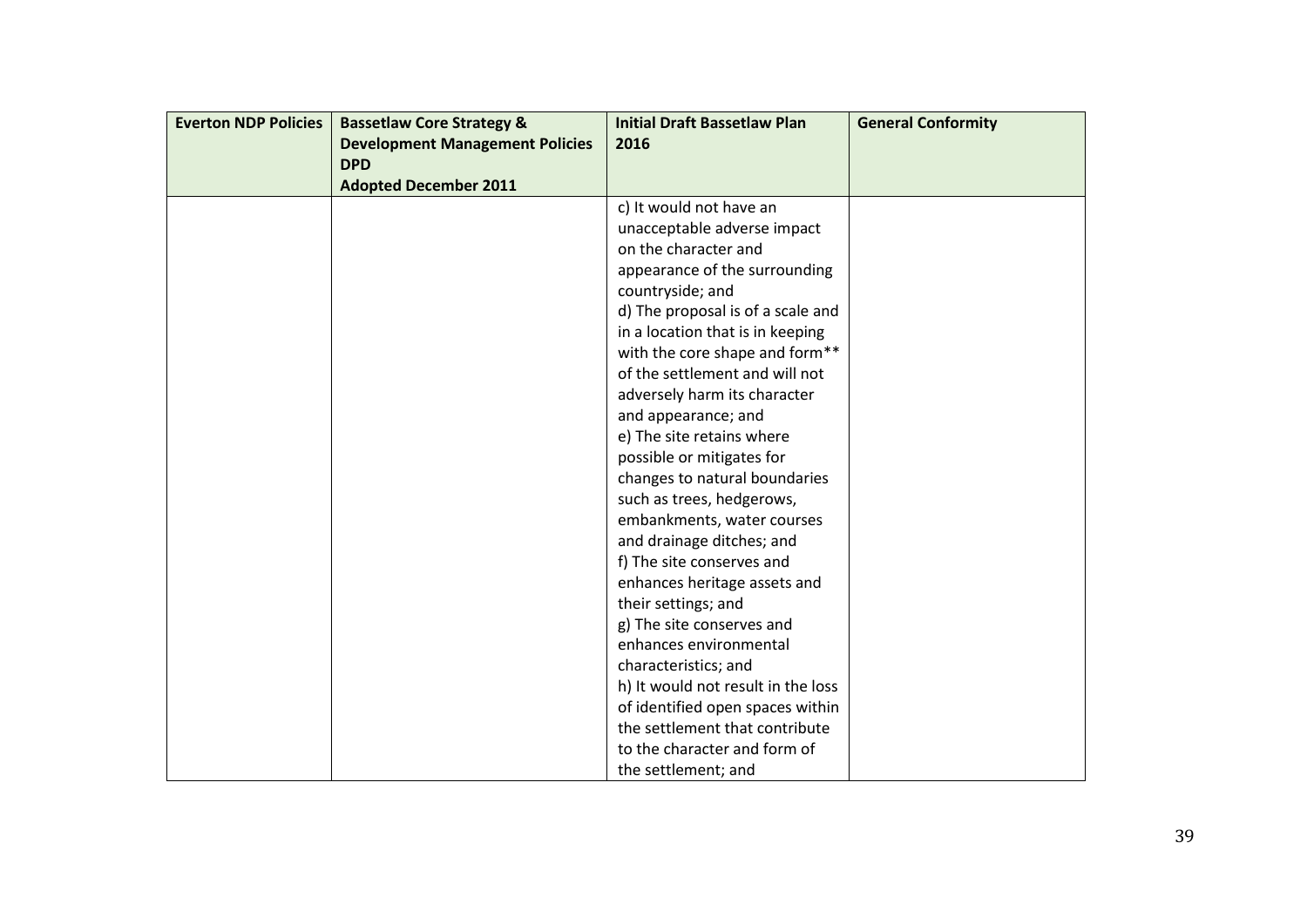| <b>Everton NDP Policies</b> | <b>Bassetlaw Core Strategy &amp;</b>   | <b>Initial Draft Bassetlaw Plan</b> | <b>General Conformity</b> |
|-----------------------------|----------------------------------------|-------------------------------------|---------------------------|
|                             | <b>Development Management Policies</b> | 2016                                |                           |
|                             | <b>DPD</b>                             |                                     |                           |
|                             | <b>Adopted December 2011</b>           |                                     |                           |
|                             |                                        | c) It would not have an             |                           |
|                             |                                        | unacceptable adverse impact         |                           |
|                             |                                        | on the character and                |                           |
|                             |                                        | appearance of the surrounding       |                           |
|                             |                                        | countryside; and                    |                           |
|                             |                                        | d) The proposal is of a scale and   |                           |
|                             |                                        | in a location that is in keeping    |                           |
|                             |                                        | with the core shape and form**      |                           |
|                             |                                        | of the settlement and will not      |                           |
|                             |                                        | adversely harm its character        |                           |
|                             |                                        | and appearance; and                 |                           |
|                             |                                        | e) The site retains where           |                           |
|                             |                                        | possible or mitigates for           |                           |
|                             |                                        | changes to natural boundaries       |                           |
|                             |                                        | such as trees, hedgerows,           |                           |
|                             |                                        | embankments, water courses          |                           |
|                             |                                        | and drainage ditches; and           |                           |
|                             |                                        | f) The site conserves and           |                           |
|                             |                                        | enhances heritage assets and        |                           |
|                             |                                        | their settings; and                 |                           |
|                             |                                        | g) The site conserves and           |                           |
|                             |                                        | enhances environmental              |                           |
|                             |                                        | characteristics; and                |                           |
|                             |                                        | h) It would not result in the loss  |                           |
|                             |                                        | of identified open spaces within    |                           |
|                             |                                        | the settlement that contribute      |                           |
|                             |                                        | to the character and form of        |                           |
|                             |                                        | the settlement; and                 |                           |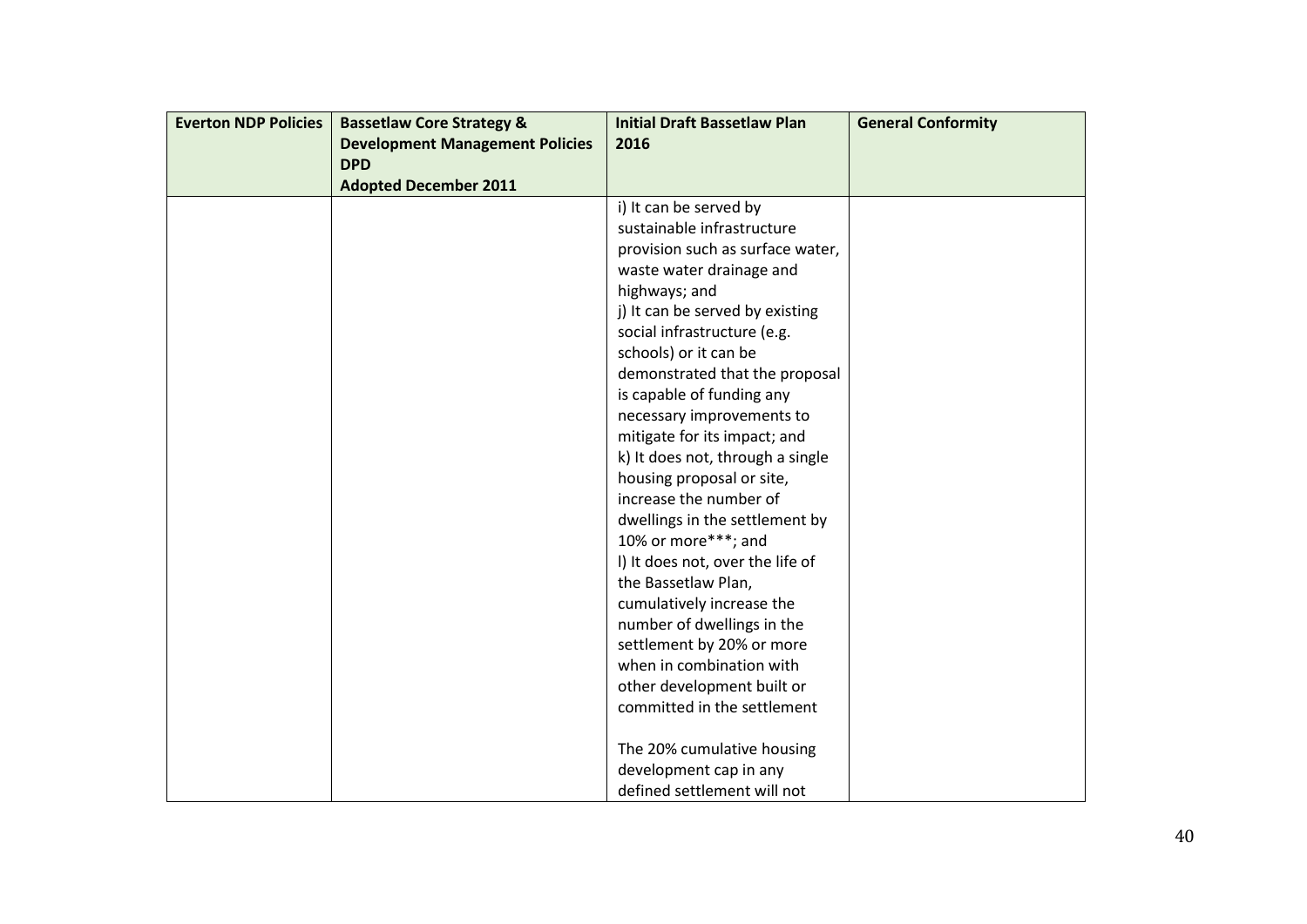| <b>Everton NDP Policies</b> | <b>Bassetlaw Core Strategy &amp;</b>   | <b>Initial Draft Bassetlaw Plan</b> | <b>General Conformity</b> |
|-----------------------------|----------------------------------------|-------------------------------------|---------------------------|
|                             | <b>Development Management Policies</b> | 2016                                |                           |
|                             | <b>DPD</b>                             |                                     |                           |
|                             | <b>Adopted December 2011</b>           |                                     |                           |
|                             |                                        | i) It can be served by              |                           |
|                             |                                        | sustainable infrastructure          |                           |
|                             |                                        | provision such as surface water,    |                           |
|                             |                                        | waste water drainage and            |                           |
|                             |                                        | highways; and                       |                           |
|                             |                                        | j) It can be served by existing     |                           |
|                             |                                        | social infrastructure (e.g.         |                           |
|                             |                                        | schools) or it can be               |                           |
|                             |                                        | demonstrated that the proposal      |                           |
|                             |                                        | is capable of funding any           |                           |
|                             |                                        | necessary improvements to           |                           |
|                             |                                        | mitigate for its impact; and        |                           |
|                             |                                        | k) It does not, through a single    |                           |
|                             |                                        | housing proposal or site,           |                           |
|                             |                                        | increase the number of              |                           |
|                             |                                        | dwellings in the settlement by      |                           |
|                             |                                        | 10% or more***; and                 |                           |
|                             |                                        | I) It does not, over the life of    |                           |
|                             |                                        | the Bassetlaw Plan,                 |                           |
|                             |                                        | cumulatively increase the           |                           |
|                             |                                        | number of dwellings in the          |                           |
|                             |                                        | settlement by 20% or more           |                           |
|                             |                                        | when in combination with            |                           |
|                             |                                        | other development built or          |                           |
|                             |                                        | committed in the settlement         |                           |
|                             |                                        |                                     |                           |
|                             |                                        | The 20% cumulative housing          |                           |
|                             |                                        | development cap in any              |                           |
|                             |                                        | defined settlement will not         |                           |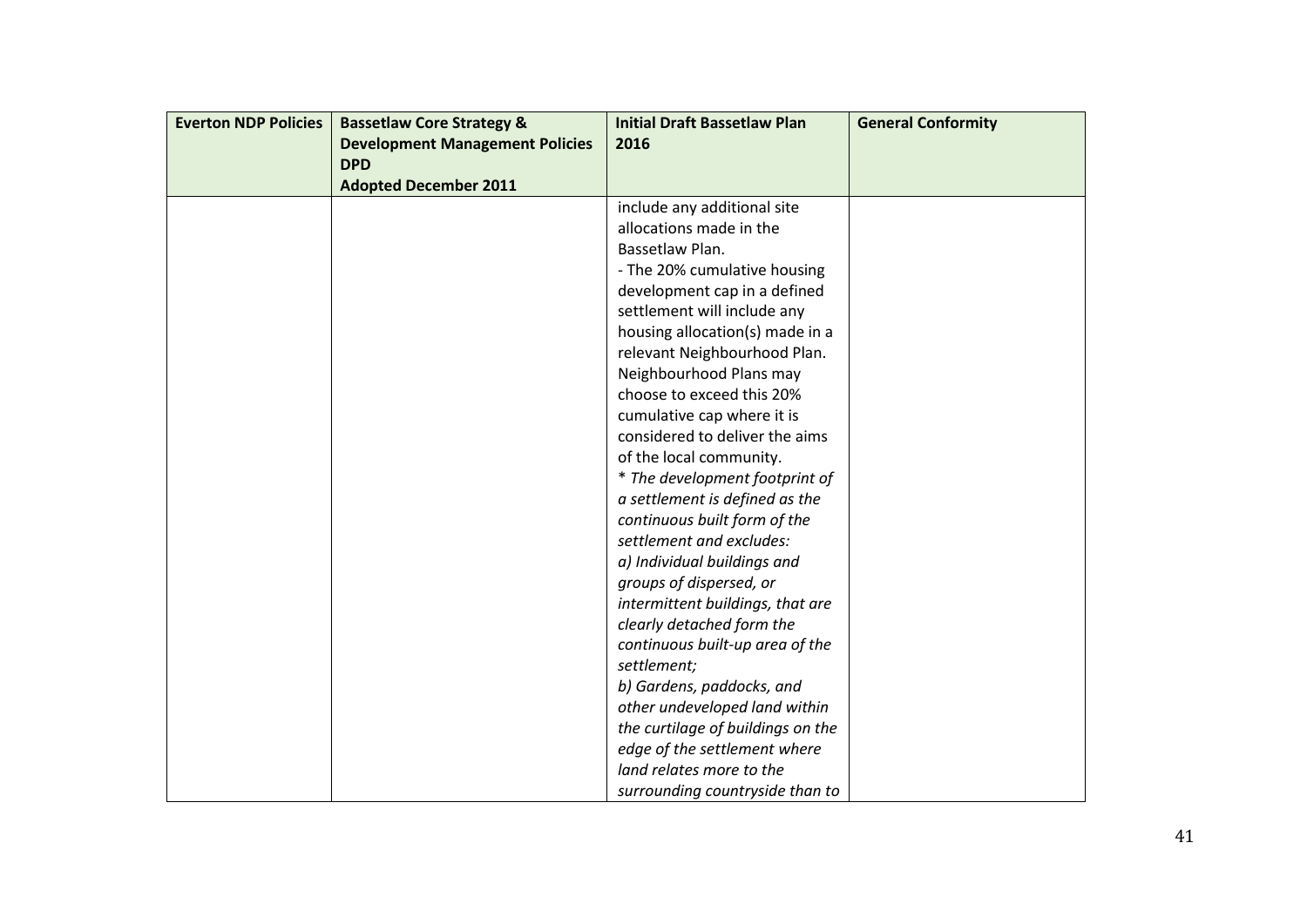| <b>Everton NDP Policies</b> | <b>Bassetlaw Core Strategy &amp;</b>   | <b>Initial Draft Bassetlaw Plan</b> | <b>General Conformity</b> |
|-----------------------------|----------------------------------------|-------------------------------------|---------------------------|
|                             | <b>Development Management Policies</b> | 2016                                |                           |
|                             | <b>DPD</b>                             |                                     |                           |
|                             | <b>Adopted December 2011</b>           |                                     |                           |
|                             |                                        | include any additional site         |                           |
|                             |                                        | allocations made in the             |                           |
|                             |                                        | Bassetlaw Plan.                     |                           |
|                             |                                        | - The 20% cumulative housing        |                           |
|                             |                                        | development cap in a defined        |                           |
|                             |                                        | settlement will include any         |                           |
|                             |                                        | housing allocation(s) made in a     |                           |
|                             |                                        | relevant Neighbourhood Plan.        |                           |
|                             |                                        | Neighbourhood Plans may             |                           |
|                             |                                        | choose to exceed this 20%           |                           |
|                             |                                        | cumulative cap where it is          |                           |
|                             |                                        | considered to deliver the aims      |                           |
|                             |                                        | of the local community.             |                           |
|                             |                                        | * The development footprint of      |                           |
|                             |                                        | a settlement is defined as the      |                           |
|                             |                                        | continuous built form of the        |                           |
|                             |                                        | settlement and excludes:            |                           |
|                             |                                        | a) Individual buildings and         |                           |
|                             |                                        | groups of dispersed, or             |                           |
|                             |                                        | intermittent buildings, that are    |                           |
|                             |                                        | clearly detached form the           |                           |
|                             |                                        | continuous built-up area of the     |                           |
|                             |                                        | settlement;                         |                           |
|                             |                                        | b) Gardens, paddocks, and           |                           |
|                             |                                        | other undeveloped land within       |                           |
|                             |                                        | the curtilage of buildings on the   |                           |
|                             |                                        | edge of the settlement where        |                           |
|                             |                                        | land relates more to the            |                           |
|                             |                                        | surrounding countryside than to     |                           |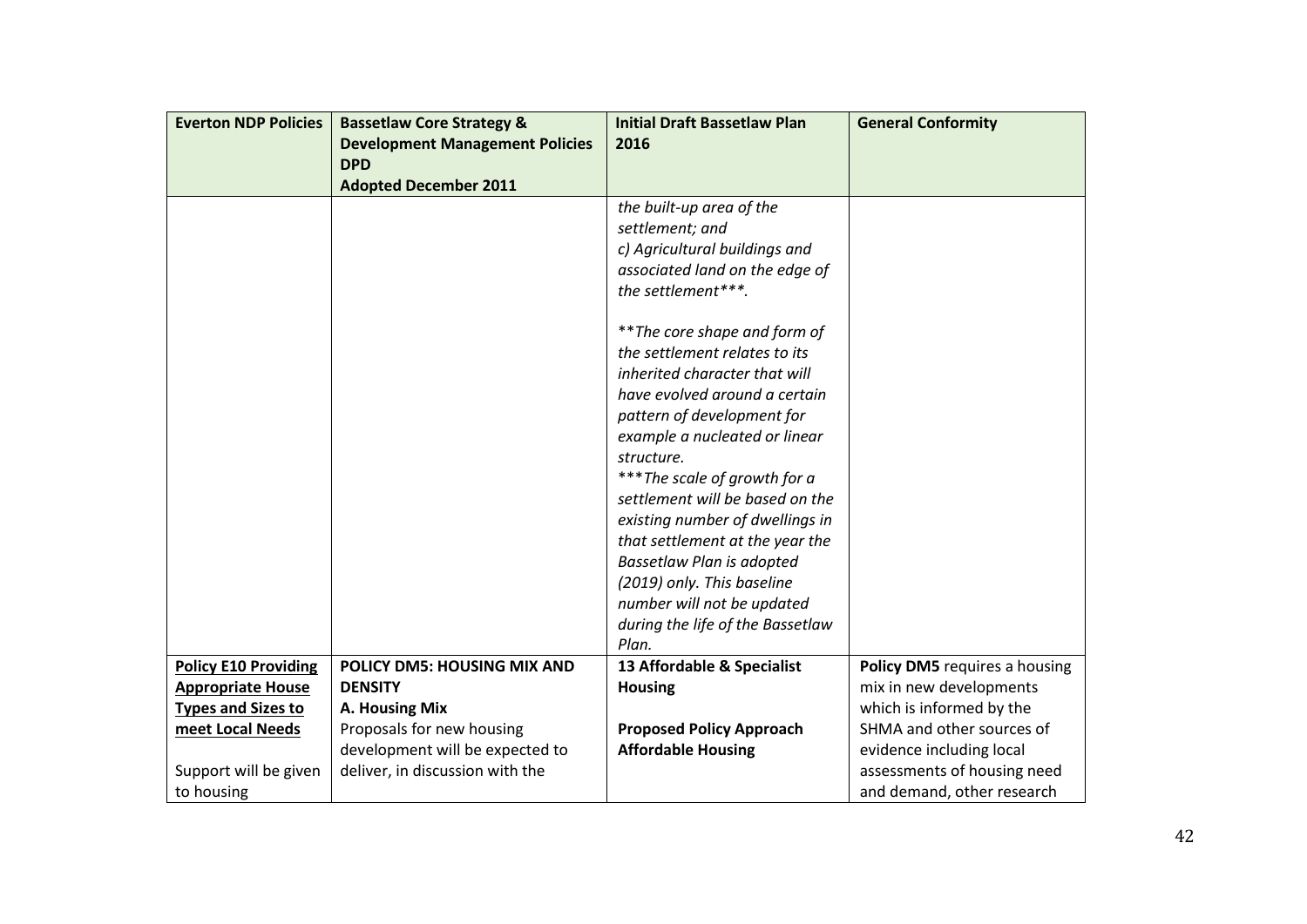| <b>Everton NDP Policies</b> | <b>Bassetlaw Core Strategy &amp;</b>   | <b>Initial Draft Bassetlaw Plan</b>                            | <b>General Conformity</b>     |
|-----------------------------|----------------------------------------|----------------------------------------------------------------|-------------------------------|
|                             | <b>Development Management Policies</b> | 2016                                                           |                               |
|                             | <b>DPD</b>                             |                                                                |                               |
|                             | <b>Adopted December 2011</b>           |                                                                |                               |
|                             |                                        | the built-up area of the                                       |                               |
|                             |                                        | settlement; and                                                |                               |
|                             |                                        | c) Agricultural buildings and                                  |                               |
|                             |                                        | associated land on the edge of                                 |                               |
|                             |                                        | the settlement***.                                             |                               |
|                             |                                        | ** The core shape and form of                                  |                               |
|                             |                                        | the settlement relates to its                                  |                               |
|                             |                                        | inherited character that will                                  |                               |
|                             |                                        | have evolved around a certain                                  |                               |
|                             |                                        | pattern of development for                                     |                               |
|                             |                                        | example a nucleated or linear                                  |                               |
|                             |                                        | structure.                                                     |                               |
|                             |                                        | *** The scale of growth for a                                  |                               |
|                             |                                        | settlement will be based on the                                |                               |
|                             |                                        | existing number of dwellings in                                |                               |
|                             |                                        | that settlement at the year the                                |                               |
|                             |                                        | <b>Bassetlaw Plan is adopted</b>                               |                               |
|                             |                                        | (2019) only. This baseline                                     |                               |
|                             |                                        | number will not be updated<br>during the life of the Bassetlaw |                               |
|                             |                                        | Plan.                                                          |                               |
| <b>Policy E10 Providing</b> | POLICY DM5: HOUSING MIX AND            | 13 Affordable & Specialist                                     | Policy DM5 requires a housing |
| <b>Appropriate House</b>    | <b>DENSITY</b>                         | <b>Housing</b>                                                 | mix in new developments       |
| <b>Types and Sizes to</b>   | A. Housing Mix                         |                                                                | which is informed by the      |
| meet Local Needs            | Proposals for new housing              | <b>Proposed Policy Approach</b>                                | SHMA and other sources of     |
|                             | development will be expected to        | <b>Affordable Housing</b>                                      | evidence including local      |
| Support will be given       | deliver, in discussion with the        |                                                                | assessments of housing need   |
| to housing                  |                                        |                                                                | and demand, other research    |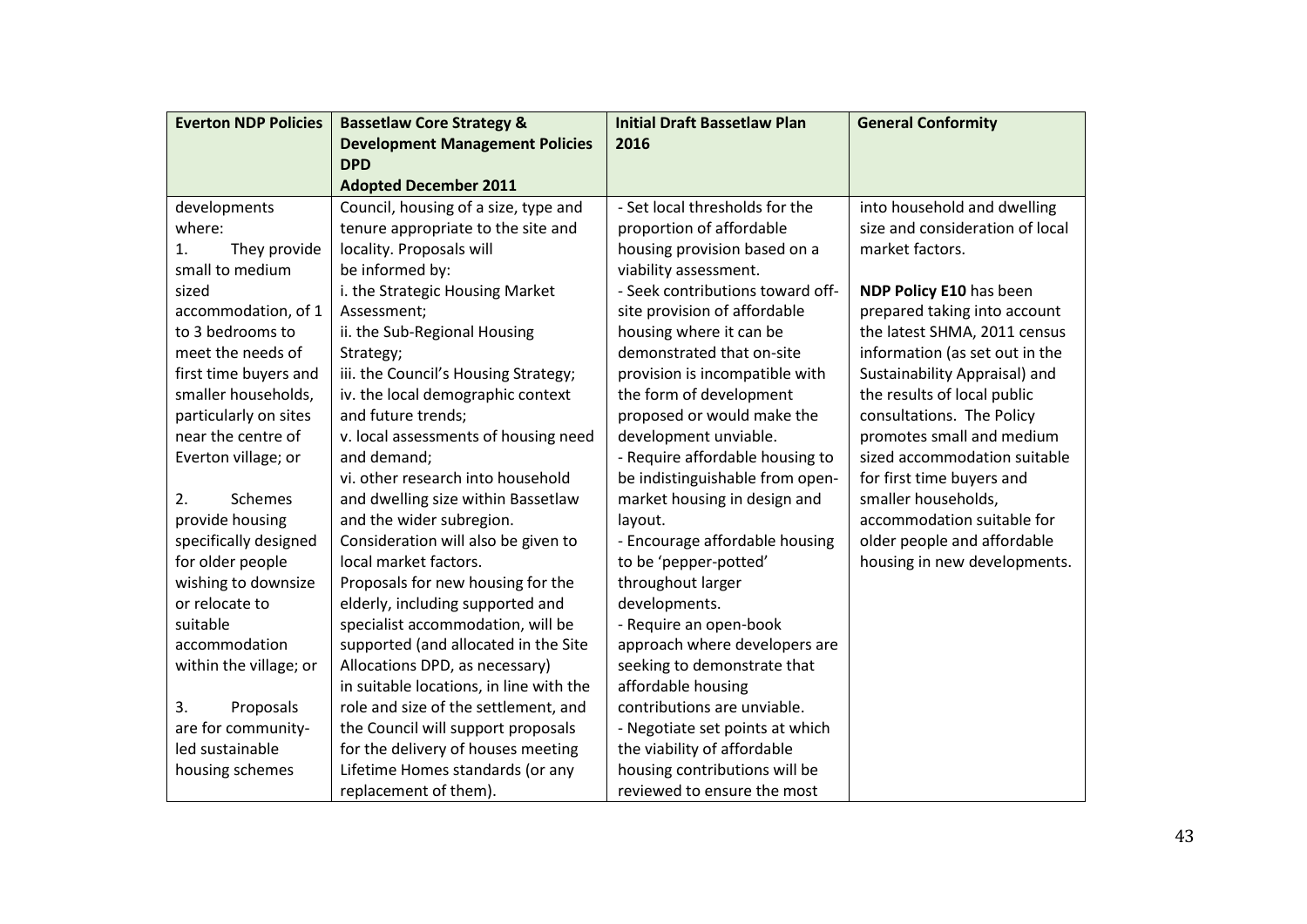| <b>Everton NDP Policies</b> | <b>Bassetlaw Core Strategy &amp;</b>    | <b>Initial Draft Bassetlaw Plan</b> | <b>General Conformity</b>       |
|-----------------------------|-----------------------------------------|-------------------------------------|---------------------------------|
|                             | <b>Development Management Policies</b>  | 2016                                |                                 |
|                             | <b>DPD</b>                              |                                     |                                 |
|                             | <b>Adopted December 2011</b>            |                                     |                                 |
| developments                | Council, housing of a size, type and    | - Set local thresholds for the      | into household and dwelling     |
| where:                      | tenure appropriate to the site and      | proportion of affordable            | size and consideration of local |
| 1.<br>They provide          | locality. Proposals will                | housing provision based on a        | market factors.                 |
| small to medium             | be informed by:                         | viability assessment.               |                                 |
| sized                       | i. the Strategic Housing Market         | - Seek contributions toward off-    | NDP Policy E10 has been         |
| accommodation, of 1         | Assessment;                             | site provision of affordable        | prepared taking into account    |
| to 3 bedrooms to            | ii. the Sub-Regional Housing            | housing where it can be             | the latest SHMA, 2011 census    |
| meet the needs of           | Strategy;                               | demonstrated that on-site           | information (as set out in the  |
| first time buyers and       | iii. the Council's Housing Strategy;    | provision is incompatible with      | Sustainability Appraisal) and   |
| smaller households,         | iv. the local demographic context       | the form of development             | the results of local public     |
| particularly on sites       | and future trends;                      | proposed or would make the          | consultations. The Policy       |
| near the centre of          | v. local assessments of housing need    | development unviable.               | promotes small and medium       |
| Everton village; or         | and demand;                             | - Require affordable housing to     | sized accommodation suitable    |
|                             | vi. other research into household       | be indistinguishable from open-     | for first time buyers and       |
| 2.<br>Schemes               | and dwelling size within Bassetlaw      | market housing in design and        | smaller households,             |
| provide housing             | and the wider subregion.                | layout.                             | accommodation suitable for      |
| specifically designed       | Consideration will also be given to     | - Encourage affordable housing      | older people and affordable     |
| for older people            | local market factors.                   | to be 'pepper-potted'               | housing in new developments.    |
| wishing to downsize         | Proposals for new housing for the       | throughout larger                   |                                 |
| or relocate to              | elderly, including supported and        | developments.                       |                                 |
| suitable                    | specialist accommodation, will be       | - Require an open-book              |                                 |
| accommodation               | supported (and allocated in the Site    | approach where developers are       |                                 |
| within the village; or      | Allocations DPD, as necessary)          | seeking to demonstrate that         |                                 |
|                             | in suitable locations, in line with the | affordable housing                  |                                 |
| 3.<br>Proposals             | role and size of the settlement, and    | contributions are unviable.         |                                 |
| are for community-          | the Council will support proposals      | - Negotiate set points at which     |                                 |
| led sustainable             | for the delivery of houses meeting      | the viability of affordable         |                                 |
| housing schemes             | Lifetime Homes standards (or any        | housing contributions will be       |                                 |
|                             | replacement of them).                   | reviewed to ensure the most         |                                 |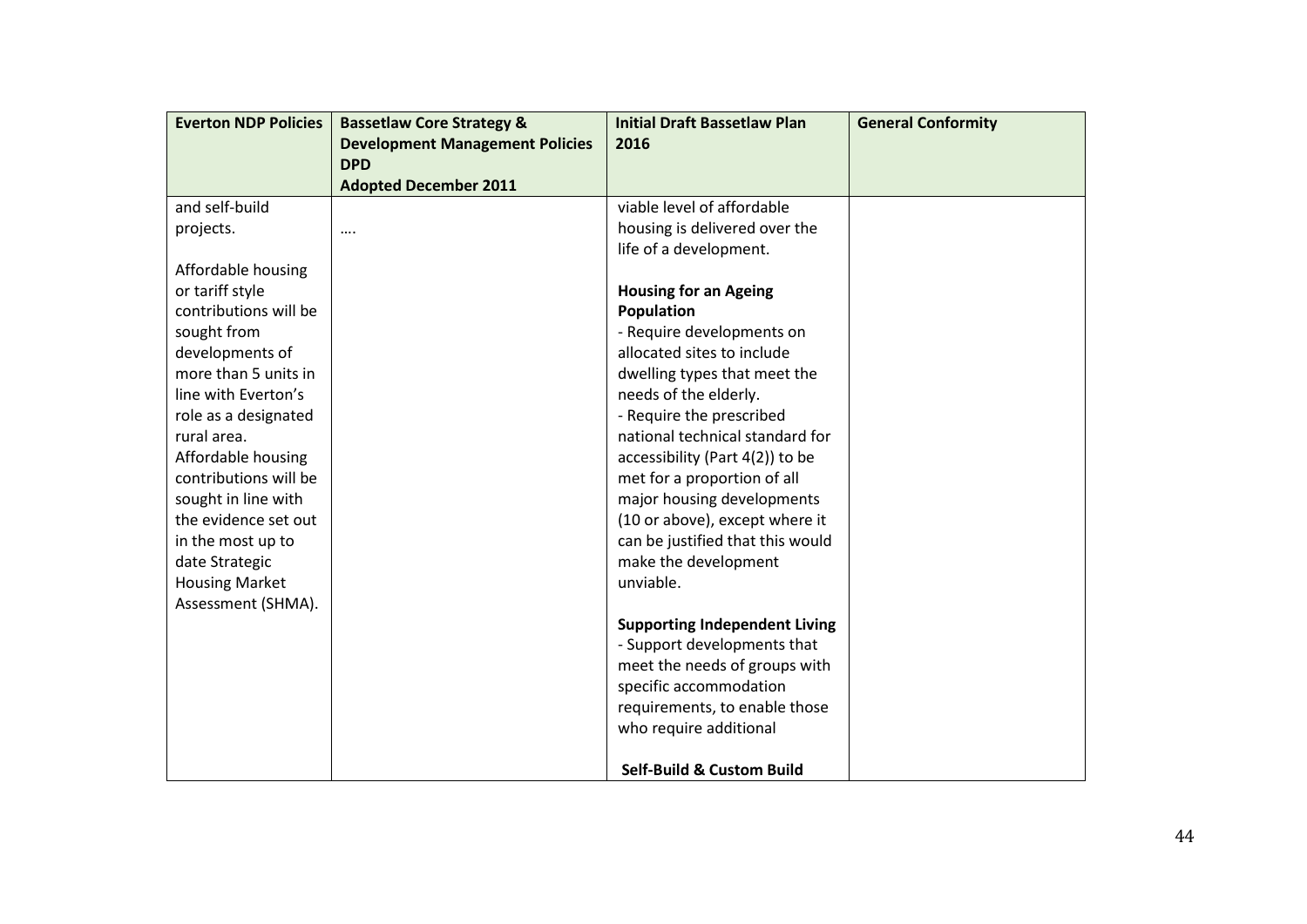| <b>Everton NDP Policies</b> | <b>Bassetlaw Core Strategy &amp;</b>   | <b>Initial Draft Bassetlaw Plan</b>  | <b>General Conformity</b> |
|-----------------------------|----------------------------------------|--------------------------------------|---------------------------|
|                             | <b>Development Management Policies</b> | 2016                                 |                           |
|                             | <b>DPD</b>                             |                                      |                           |
|                             | <b>Adopted December 2011</b>           |                                      |                           |
| and self-build              |                                        | viable level of affordable           |                           |
| projects.                   |                                        | housing is delivered over the        |                           |
|                             |                                        | life of a development.               |                           |
| Affordable housing          |                                        |                                      |                           |
| or tariff style             |                                        | <b>Housing for an Ageing</b>         |                           |
| contributions will be       |                                        | Population                           |                           |
| sought from                 |                                        | - Require developments on            |                           |
| developments of             |                                        | allocated sites to include           |                           |
| more than 5 units in        |                                        | dwelling types that meet the         |                           |
| line with Everton's         |                                        | needs of the elderly.                |                           |
| role as a designated        |                                        | - Require the prescribed             |                           |
| rural area.                 |                                        | national technical standard for      |                           |
| Affordable housing          |                                        | accessibility (Part 4(2)) to be      |                           |
| contributions will be       |                                        | met for a proportion of all          |                           |
| sought in line with         |                                        | major housing developments           |                           |
| the evidence set out        |                                        | (10 or above), except where it       |                           |
| in the most up to           |                                        | can be justified that this would     |                           |
| date Strategic              |                                        | make the development                 |                           |
| <b>Housing Market</b>       |                                        | unviable.                            |                           |
| Assessment (SHMA).          |                                        |                                      |                           |
|                             |                                        | <b>Supporting Independent Living</b> |                           |
|                             |                                        | - Support developments that          |                           |
|                             |                                        | meet the needs of groups with        |                           |
|                             |                                        | specific accommodation               |                           |
|                             |                                        | requirements, to enable those        |                           |
|                             |                                        | who require additional               |                           |
|                             |                                        |                                      |                           |
|                             |                                        | <b>Self-Build &amp; Custom Build</b> |                           |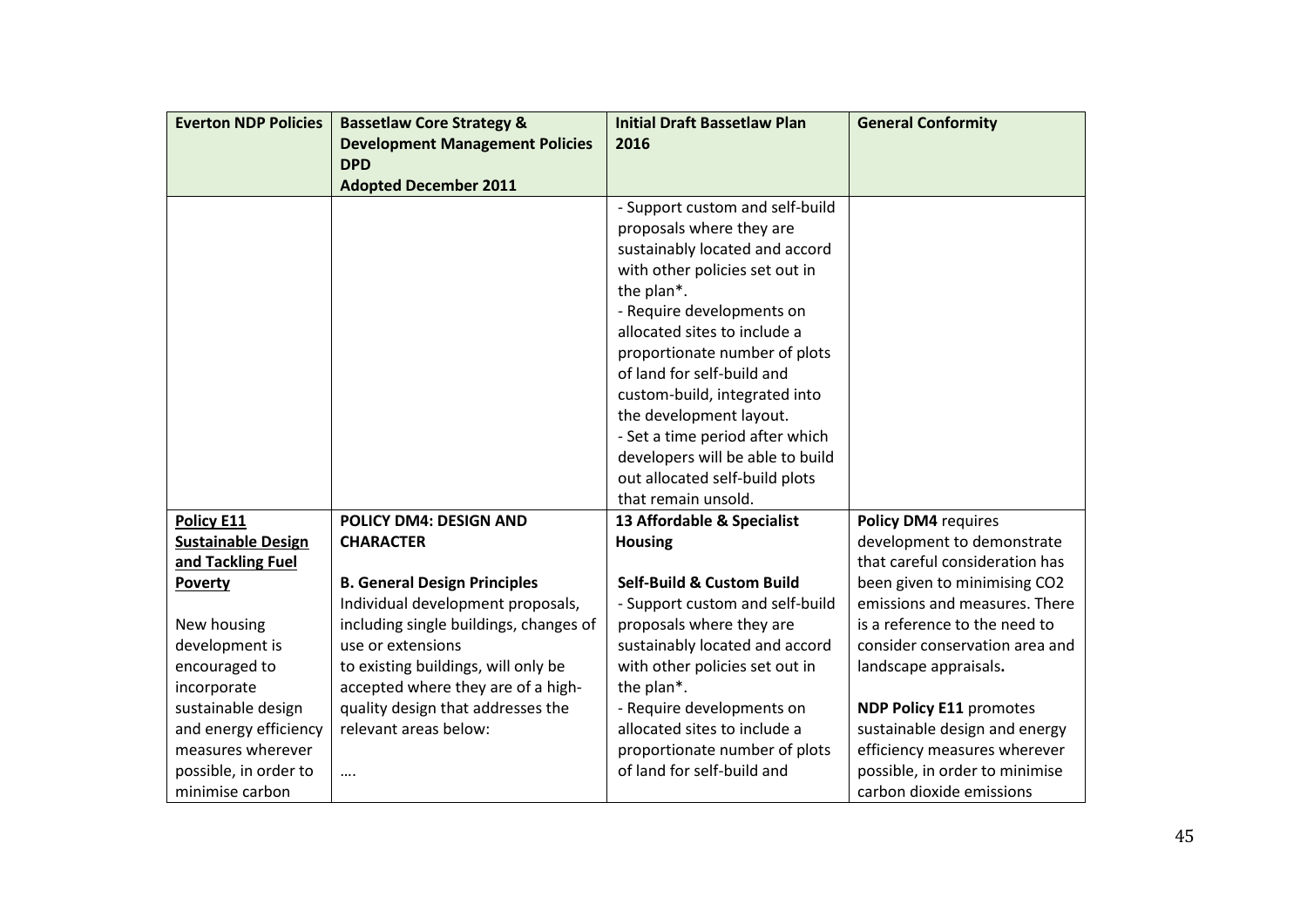| <b>Everton NDP Policies</b> | <b>Bassetlaw Core Strategy &amp;</b>   | <b>Initial Draft Bassetlaw Plan</b>                         | <b>General Conformity</b>      |
|-----------------------------|----------------------------------------|-------------------------------------------------------------|--------------------------------|
|                             | <b>Development Management Policies</b> | 2016                                                        |                                |
|                             | <b>DPD</b>                             |                                                             |                                |
|                             | <b>Adopted December 2011</b>           |                                                             |                                |
|                             |                                        | - Support custom and self-build                             |                                |
|                             |                                        | proposals where they are                                    |                                |
|                             |                                        | sustainably located and accord                              |                                |
|                             |                                        | with other policies set out in                              |                                |
|                             |                                        | the plan*.                                                  |                                |
|                             |                                        | - Require developments on                                   |                                |
|                             |                                        | allocated sites to include a                                |                                |
|                             |                                        | proportionate number of plots<br>of land for self-build and |                                |
|                             |                                        |                                                             |                                |
|                             |                                        | custom-build, integrated into                               |                                |
|                             |                                        | the development layout.<br>- Set a time period after which  |                                |
|                             |                                        | developers will be able to build                            |                                |
|                             |                                        | out allocated self-build plots                              |                                |
|                             |                                        | that remain unsold.                                         |                                |
| Policy E11                  | <b>POLICY DM4: DESIGN AND</b>          | 13 Affordable & Specialist                                  | Policy DM4 requires            |
| <b>Sustainable Design</b>   | <b>CHARACTER</b>                       | <b>Housing</b>                                              | development to demonstrate     |
| and Tackling Fuel           |                                        |                                                             | that careful consideration has |
| Poverty                     | <b>B. General Design Principles</b>    | <b>Self-Build &amp; Custom Build</b>                        | been given to minimising CO2   |
|                             | Individual development proposals,      | - Support custom and self-build                             | emissions and measures. There  |
| New housing                 | including single buildings, changes of | proposals where they are                                    | is a reference to the need to  |
| development is              | use or extensions                      | sustainably located and accord                              | consider conservation area and |
| encouraged to               | to existing buildings, will only be    | with other policies set out in                              | landscape appraisals.          |
| incorporate                 | accepted where they are of a high-     | the plan*.                                                  |                                |
| sustainable design          | quality design that addresses the      | - Require developments on                                   | <b>NDP Policy E11 promotes</b> |
| and energy efficiency       | relevant areas below:                  | allocated sites to include a                                | sustainable design and energy  |
| measures wherever           |                                        | proportionate number of plots                               | efficiency measures wherever   |
| possible, in order to       |                                        | of land for self-build and                                  | possible, in order to minimise |
| minimise carbon             |                                        |                                                             | carbon dioxide emissions       |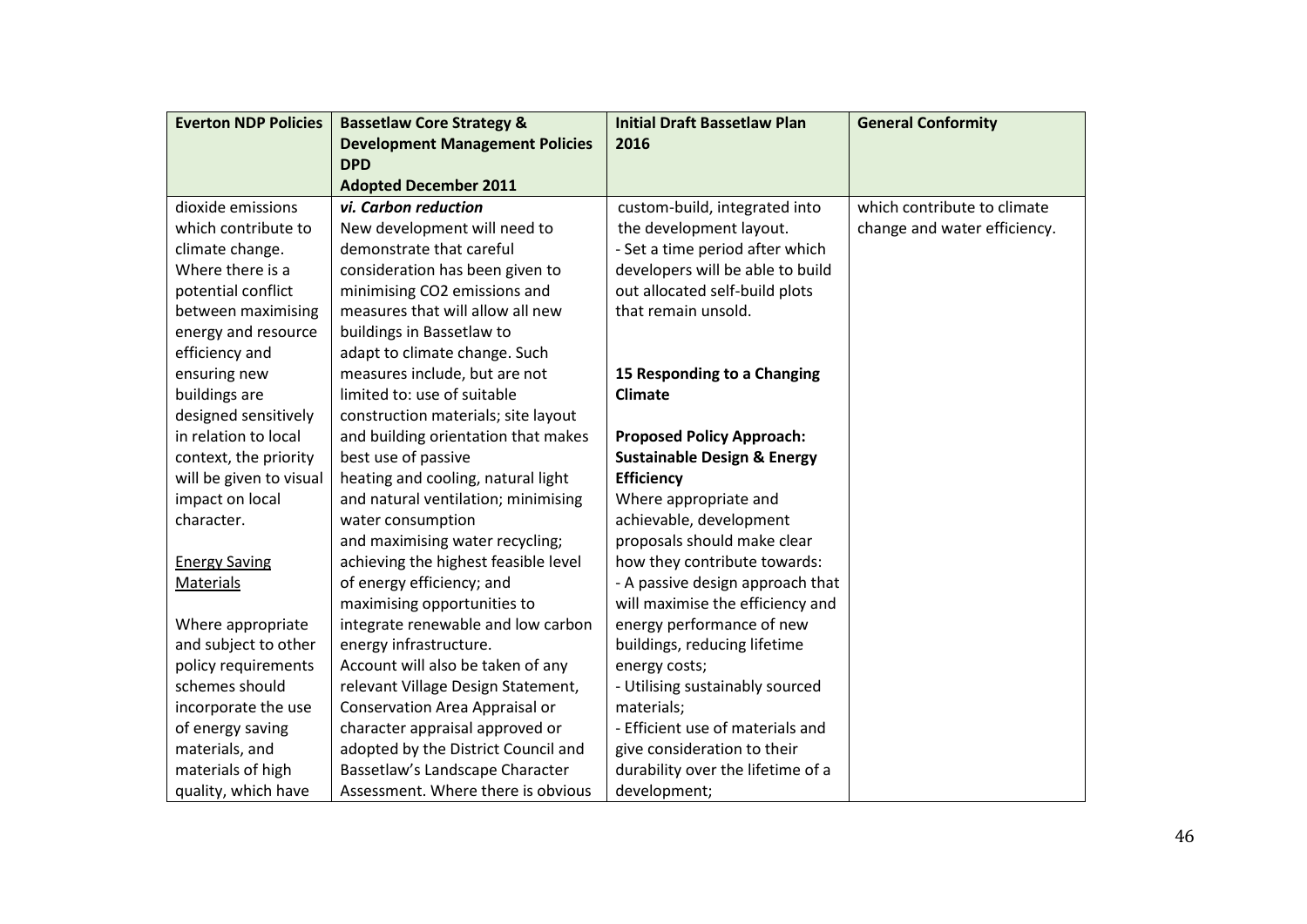| <b>Everton NDP Policies</b> | <b>Bassetlaw Core Strategy &amp;</b>   | <b>Initial Draft Bassetlaw Plan</b>    | <b>General Conformity</b>    |
|-----------------------------|----------------------------------------|----------------------------------------|------------------------------|
|                             | <b>Development Management Policies</b> | 2016                                   |                              |
|                             | <b>DPD</b>                             |                                        |                              |
|                             | <b>Adopted December 2011</b>           |                                        |                              |
| dioxide emissions           | vi. Carbon reduction                   | custom-build, integrated into          | which contribute to climate  |
| which contribute to         | New development will need to           | the development layout.                | change and water efficiency. |
| climate change.             | demonstrate that careful               | - Set a time period after which        |                              |
| Where there is a            | consideration has been given to        | developers will be able to build       |                              |
| potential conflict          | minimising CO2 emissions and           | out allocated self-build plots         |                              |
| between maximising          | measures that will allow all new       | that remain unsold.                    |                              |
| energy and resource         | buildings in Bassetlaw to              |                                        |                              |
| efficiency and              | adapt to climate change. Such          |                                        |                              |
| ensuring new                | measures include, but are not          | 15 Responding to a Changing            |                              |
| buildings are               | limited to: use of suitable            | <b>Climate</b>                         |                              |
| designed sensitively        | construction materials; site layout    |                                        |                              |
| in relation to local        | and building orientation that makes    | <b>Proposed Policy Approach:</b>       |                              |
| context, the priority       | best use of passive                    | <b>Sustainable Design &amp; Energy</b> |                              |
| will be given to visual     | heating and cooling, natural light     | <b>Efficiency</b>                      |                              |
| impact on local             | and natural ventilation; minimising    | Where appropriate and                  |                              |
| character.                  | water consumption                      | achievable, development                |                              |
|                             | and maximising water recycling;        | proposals should make clear            |                              |
| <b>Energy Saving</b>        | achieving the highest feasible level   | how they contribute towards:           |                              |
| <b>Materials</b>            | of energy efficiency; and              | - A passive design approach that       |                              |
|                             | maximising opportunities to            | will maximise the efficiency and       |                              |
| Where appropriate           | integrate renewable and low carbon     | energy performance of new              |                              |
| and subject to other        | energy infrastructure.                 | buildings, reducing lifetime           |                              |
| policy requirements         | Account will also be taken of any      | energy costs;                          |                              |
| schemes should              | relevant Village Design Statement,     | - Utilising sustainably sourced        |                              |
| incorporate the use         | Conservation Area Appraisal or         | materials;                             |                              |
| of energy saving            | character appraisal approved or        | - Efficient use of materials and       |                              |
| materials, and              | adopted by the District Council and    | give consideration to their            |                              |
| materials of high           | Bassetlaw's Landscape Character        | durability over the lifetime of a      |                              |
| quality, which have         | Assessment. Where there is obvious     | development;                           |                              |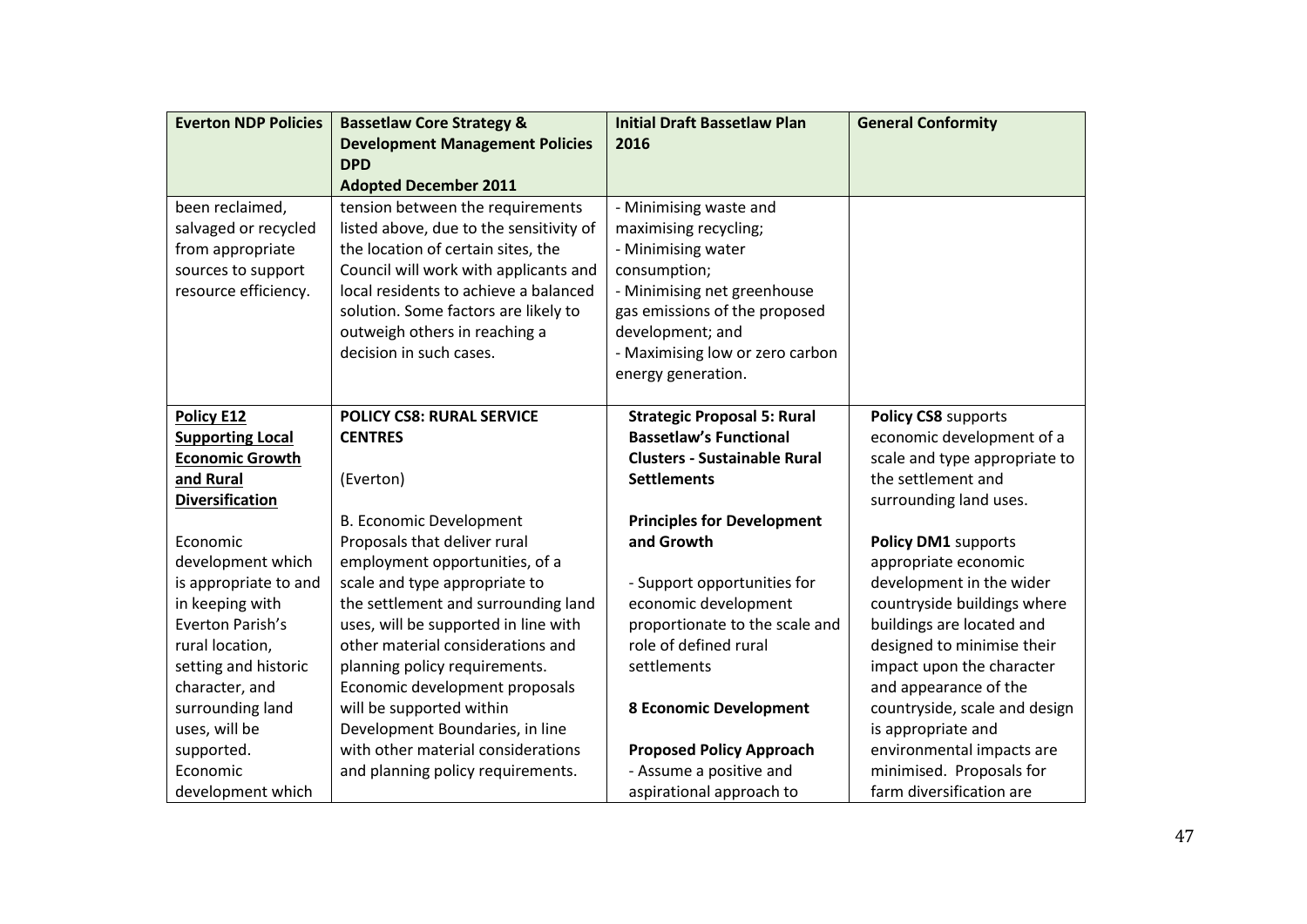| <b>Everton NDP Policies</b> | <b>Bassetlaw Core Strategy &amp;</b>    | <b>Initial Draft Bassetlaw Plan</b> | <b>General Conformity</b>     |
|-----------------------------|-----------------------------------------|-------------------------------------|-------------------------------|
|                             | <b>Development Management Policies</b>  | 2016                                |                               |
|                             | <b>DPD</b>                              |                                     |                               |
|                             | <b>Adopted December 2011</b>            |                                     |                               |
| been reclaimed,             | tension between the requirements        | - Minimising waste and              |                               |
| salvaged or recycled        | listed above, due to the sensitivity of | maximising recycling;               |                               |
| from appropriate            | the location of certain sites, the      | - Minimising water                  |                               |
| sources to support          | Council will work with applicants and   | consumption;                        |                               |
| resource efficiency.        | local residents to achieve a balanced   | - Minimising net greenhouse         |                               |
|                             | solution. Some factors are likely to    | gas emissions of the proposed       |                               |
|                             | outweigh others in reaching a           | development; and                    |                               |
|                             | decision in such cases.                 | - Maximising low or zero carbon     |                               |
|                             |                                         | energy generation.                  |                               |
|                             |                                         |                                     |                               |
| Policy E12                  | <b>POLICY CS8: RURAL SERVICE</b>        | <b>Strategic Proposal 5: Rural</b>  | Policy CS8 supports           |
| <b>Supporting Local</b>     | <b>CENTRES</b>                          | <b>Bassetlaw's Functional</b>       | economic development of a     |
| <b>Economic Growth</b>      |                                         | <b>Clusters - Sustainable Rural</b> | scale and type appropriate to |
| and Rural                   | (Everton)                               | <b>Settlements</b>                  | the settlement and            |
| <b>Diversification</b>      |                                         |                                     | surrounding land uses.        |
|                             | B. Economic Development                 | <b>Principles for Development</b>   |                               |
| Economic                    | Proposals that deliver rural            | and Growth                          | Policy DM1 supports           |
| development which           | employment opportunities, of a          |                                     | appropriate economic          |
| is appropriate to and       | scale and type appropriate to           | - Support opportunities for         | development in the wider      |
| in keeping with             | the settlement and surrounding land     | economic development                | countryside buildings where   |
| Everton Parish's            | uses, will be supported in line with    | proportionate to the scale and      | buildings are located and     |
| rural location,             | other material considerations and       | role of defined rural               | designed to minimise their    |
| setting and historic        | planning policy requirements.           | settlements                         | impact upon the character     |
| character, and              | Economic development proposals          |                                     | and appearance of the         |
| surrounding land            | will be supported within                | <b>8 Economic Development</b>       | countryside, scale and design |
| uses, will be               | Development Boundaries, in line         |                                     | is appropriate and            |
| supported.                  | with other material considerations      | <b>Proposed Policy Approach</b>     | environmental impacts are     |
| Economic                    | and planning policy requirements.       | - Assume a positive and             | minimised. Proposals for      |
| development which           |                                         | aspirational approach to            | farm diversification are      |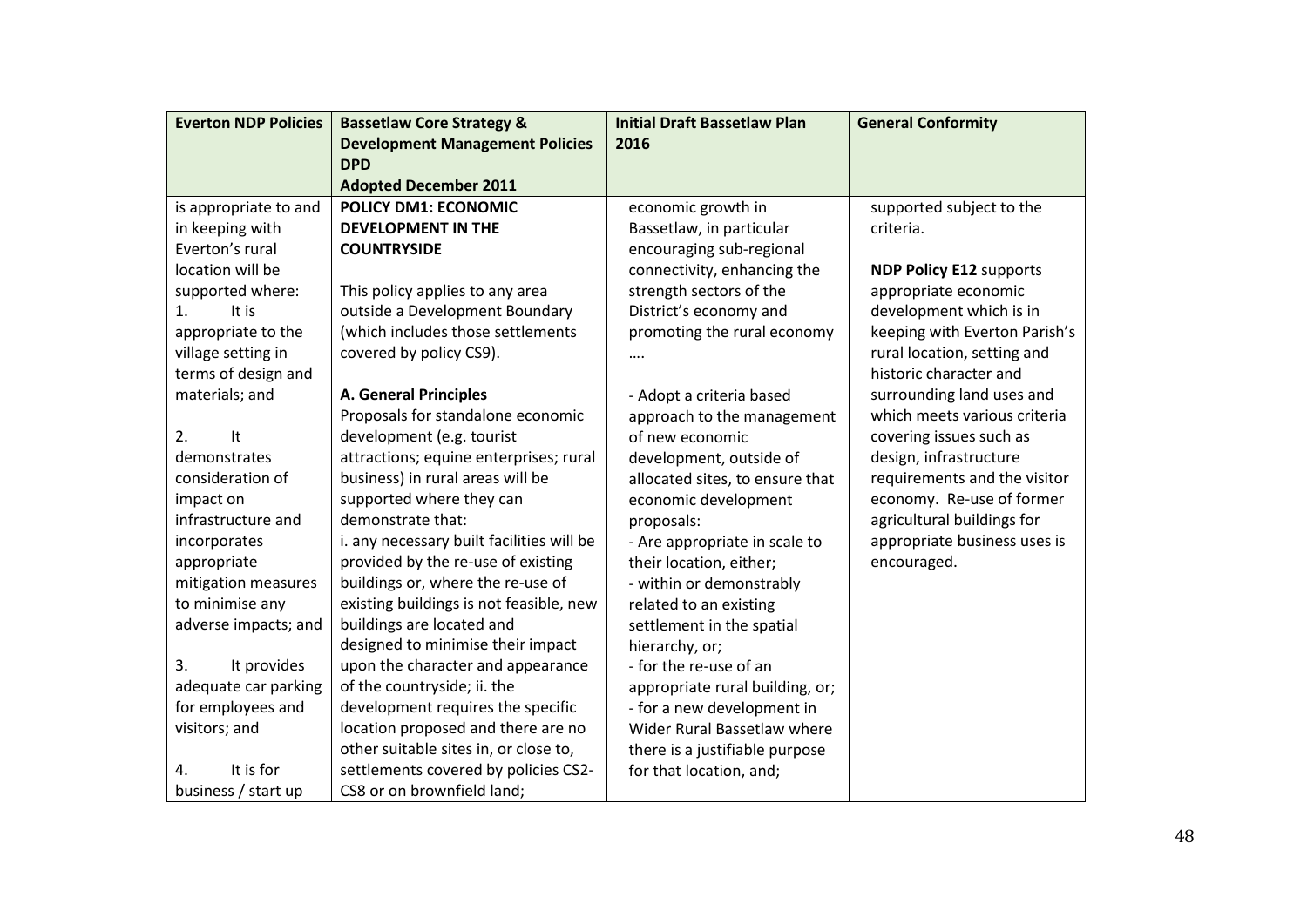| <b>Everton NDP Policies</b> | <b>Bassetlaw Core Strategy &amp;</b>      | <b>Initial Draft Bassetlaw Plan</b> | <b>General Conformity</b>      |
|-----------------------------|-------------------------------------------|-------------------------------------|--------------------------------|
|                             | <b>Development Management Policies</b>    | 2016                                |                                |
|                             | <b>DPD</b>                                |                                     |                                |
|                             | <b>Adopted December 2011</b>              |                                     |                                |
| is appropriate to and       | <b>POLICY DM1: ECONOMIC</b>               | economic growth in                  | supported subject to the       |
| in keeping with             | <b>DEVELOPMENT IN THE</b>                 | Bassetlaw, in particular            | criteria.                      |
| Everton's rural             | <b>COUNTRYSIDE</b>                        | encouraging sub-regional            |                                |
| location will be            |                                           | connectivity, enhancing the         | <b>NDP Policy E12 supports</b> |
| supported where:            | This policy applies to any area           | strength sectors of the             | appropriate economic           |
| It is<br>1.                 | outside a Development Boundary            | District's economy and              | development which is in        |
| appropriate to the          | (which includes those settlements         | promoting the rural economy         | keeping with Everton Parish's  |
| village setting in          | covered by policy CS9).                   |                                     | rural location, setting and    |
| terms of design and         |                                           |                                     | historic character and         |
| materials; and              | <b>A. General Principles</b>              | - Adopt a criteria based            | surrounding land uses and      |
|                             | Proposals for standalone economic         | approach to the management          | which meets various criteria   |
| 2.<br>It                    | development (e.g. tourist                 | of new economic                     | covering issues such as        |
| demonstrates                | attractions; equine enterprises; rural    | development, outside of             | design, infrastructure         |
| consideration of            | business) in rural areas will be          | allocated sites, to ensure that     | requirements and the visitor   |
| impact on                   | supported where they can                  | economic development                | economy. Re-use of former      |
| infrastructure and          | demonstrate that:                         | proposals:                          | agricultural buildings for     |
| incorporates                | i. any necessary built facilities will be | - Are appropriate in scale to       | appropriate business uses is   |
| appropriate                 | provided by the re-use of existing        | their location, either;             | encouraged.                    |
| mitigation measures         | buildings or, where the re-use of         | - within or demonstrably            |                                |
| to minimise any             | existing buildings is not feasible, new   | related to an existing              |                                |
| adverse impacts; and        | buildings are located and                 | settlement in the spatial           |                                |
|                             | designed to minimise their impact         | hierarchy, or;                      |                                |
| It provides<br>3.           | upon the character and appearance         | - for the re-use of an              |                                |
| adequate car parking        | of the countryside; ii. the               | appropriate rural building, or;     |                                |
| for employees and           | development requires the specific         | - for a new development in          |                                |
| visitors; and               | location proposed and there are no        | Wider Rural Bassetlaw where         |                                |
|                             | other suitable sites in, or close to,     | there is a justifiable purpose      |                                |
| It is for<br>4.             | settlements covered by policies CS2-      | for that location, and;             |                                |
| business / start up         | CS8 or on brownfield land;                |                                     |                                |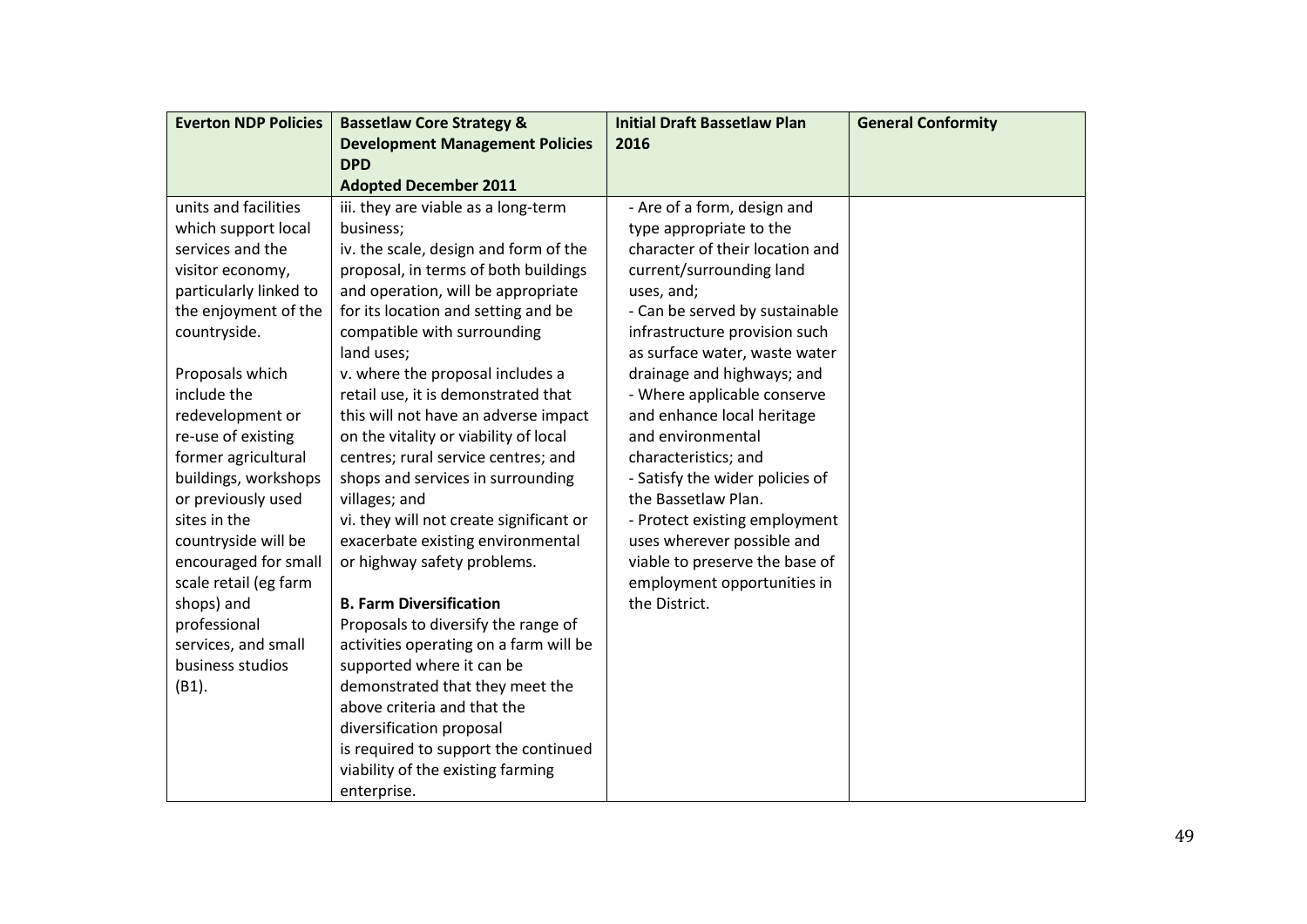| <b>Everton NDP Policies</b> | <b>Bassetlaw Core Strategy &amp;</b>    | <b>Initial Draft Bassetlaw Plan</b> | <b>General Conformity</b> |
|-----------------------------|-----------------------------------------|-------------------------------------|---------------------------|
|                             | <b>Development Management Policies</b>  | 2016                                |                           |
|                             | <b>DPD</b>                              |                                     |                           |
|                             | <b>Adopted December 2011</b>            |                                     |                           |
| units and facilities        | iii. they are viable as a long-term     | - Are of a form, design and         |                           |
| which support local         | business;                               | type appropriate to the             |                           |
| services and the            | iv. the scale, design and form of the   | character of their location and     |                           |
| visitor economy,            | proposal, in terms of both buildings    | current/surrounding land            |                           |
| particularly linked to      | and operation, will be appropriate      | uses, and;                          |                           |
| the enjoyment of the        | for its location and setting and be     | - Can be served by sustainable      |                           |
| countryside.                | compatible with surrounding             | infrastructure provision such       |                           |
|                             | land uses;                              | as surface water, waste water       |                           |
| Proposals which             | v. where the proposal includes a        | drainage and highways; and          |                           |
| include the                 | retail use, it is demonstrated that     | - Where applicable conserve         |                           |
| redevelopment or            | this will not have an adverse impact    | and enhance local heritage          |                           |
| re-use of existing          | on the vitality or viability of local   | and environmental                   |                           |
| former agricultural         | centres; rural service centres; and     | characteristics; and                |                           |
| buildings, workshops        | shops and services in surrounding       | - Satisfy the wider policies of     |                           |
| or previously used          | villages; and                           | the Bassetlaw Plan.                 |                           |
| sites in the                | vi. they will not create significant or | - Protect existing employment       |                           |
| countryside will be         | exacerbate existing environmental       | uses wherever possible and          |                           |
| encouraged for small        | or highway safety problems.             | viable to preserve the base of      |                           |
| scale retail (eg farm       |                                         | employment opportunities in         |                           |
| shops) and                  | <b>B. Farm Diversification</b>          | the District.                       |                           |
| professional                | Proposals to diversify the range of     |                                     |                           |
| services, and small         | activities operating on a farm will be  |                                     |                           |
| business studios            | supported where it can be               |                                     |                           |
| (B1).                       | demonstrated that they meet the         |                                     |                           |
|                             | above criteria and that the             |                                     |                           |
|                             | diversification proposal                |                                     |                           |
|                             | is required to support the continued    |                                     |                           |
|                             | viability of the existing farming       |                                     |                           |
|                             | enterprise.                             |                                     |                           |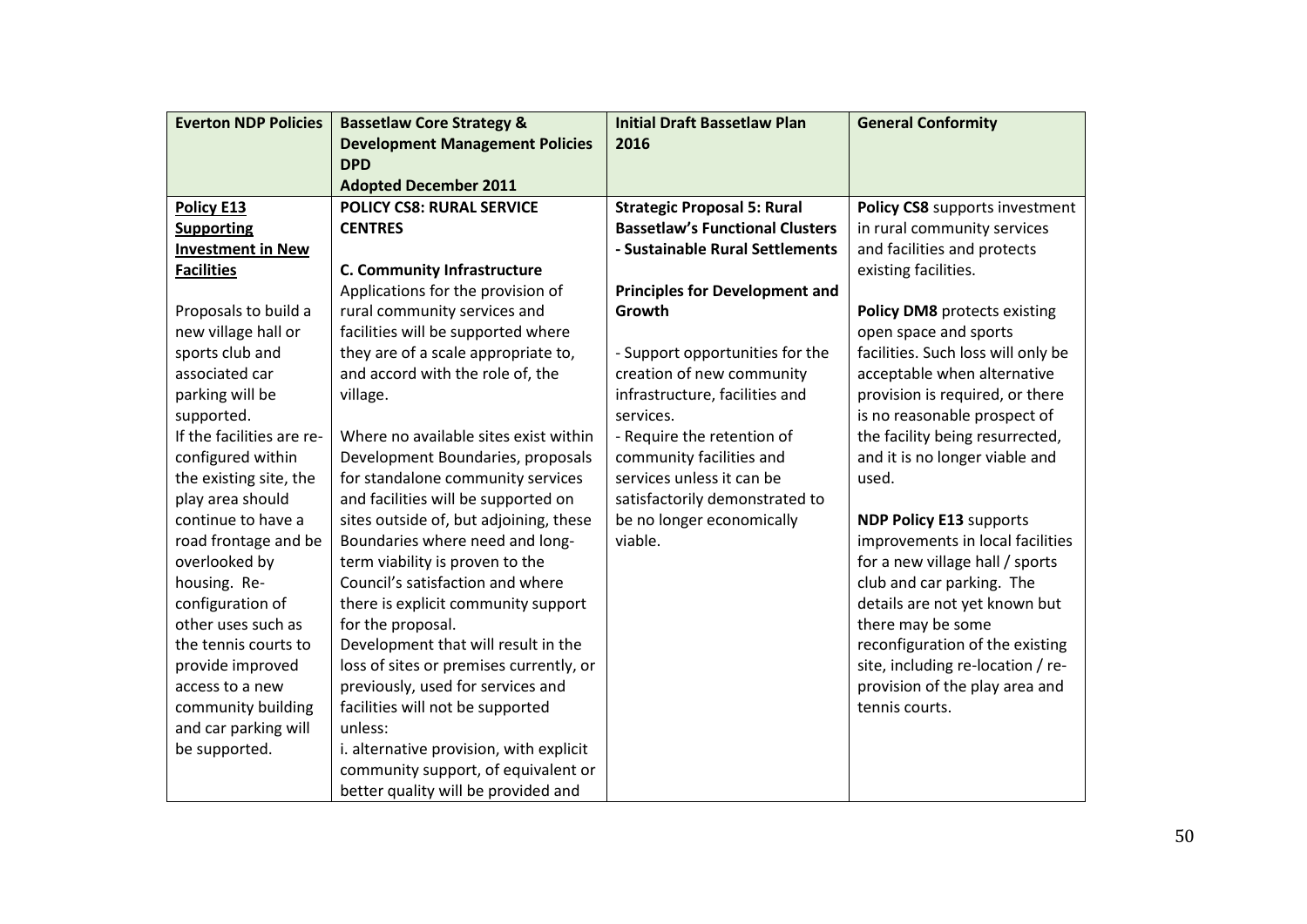| <b>Everton NDP Policies</b> | <b>Bassetlaw Core Strategy &amp;</b>    | <b>Initial Draft Bassetlaw Plan</b>    | <b>General Conformity</b>          |
|-----------------------------|-----------------------------------------|----------------------------------------|------------------------------------|
|                             | <b>Development Management Policies</b>  | 2016                                   |                                    |
|                             | <b>DPD</b>                              |                                        |                                    |
|                             | <b>Adopted December 2011</b>            |                                        |                                    |
| <b>Policy E13</b>           | <b>POLICY CS8: RURAL SERVICE</b>        | <b>Strategic Proposal 5: Rural</b>     | Policy CS8 supports investment     |
| <b>Supporting</b>           | <b>CENTRES</b>                          | <b>Bassetlaw's Functional Clusters</b> | in rural community services        |
| <b>Investment in New</b>    |                                         | - Sustainable Rural Settlements        | and facilities and protects        |
| <b>Facilities</b>           | <b>C. Community Infrastructure</b>      |                                        | existing facilities.               |
|                             | Applications for the provision of       | <b>Principles for Development and</b>  |                                    |
| Proposals to build a        | rural community services and            | Growth                                 | Policy DM8 protects existing       |
| new village hall or         | facilities will be supported where      |                                        | open space and sports              |
| sports club and             | they are of a scale appropriate to,     | - Support opportunities for the        | facilities. Such loss will only be |
| associated car              | and accord with the role of, the        | creation of new community              | acceptable when alternative        |
| parking will be             | village.                                | infrastructure, facilities and         | provision is required, or there    |
| supported.                  |                                         | services.                              | is no reasonable prospect of       |
| If the facilities are re-   | Where no available sites exist within   | - Require the retention of             | the facility being resurrected,    |
| configured within           | Development Boundaries, proposals       | community facilities and               | and it is no longer viable and     |
| the existing site, the      | for standalone community services       | services unless it can be              | used.                              |
| play area should            | and facilities will be supported on     | satisfactorily demonstrated to         |                                    |
| continue to have a          | sites outside of, but adjoining, these  | be no longer economically              | <b>NDP Policy E13 supports</b>     |
| road frontage and be        | Boundaries where need and long-         | viable.                                | improvements in local facilities   |
| overlooked by               | term viability is proven to the         |                                        | for a new village hall / sports    |
| housing. Re-                | Council's satisfaction and where        |                                        | club and car parking. The          |
| configuration of            | there is explicit community support     |                                        | details are not yet known but      |
| other uses such as          | for the proposal.                       |                                        | there may be some                  |
| the tennis courts to        | Development that will result in the     |                                        | reconfiguration of the existing    |
| provide improved            | loss of sites or premises currently, or |                                        | site, including re-location / re-  |
| access to a new             | previously, used for services and       |                                        | provision of the play area and     |
| community building          | facilities will not be supported        |                                        | tennis courts.                     |
| and car parking will        | unless:                                 |                                        |                                    |
| be supported.               | i. alternative provision, with explicit |                                        |                                    |
|                             | community support, of equivalent or     |                                        |                                    |
|                             | better quality will be provided and     |                                        |                                    |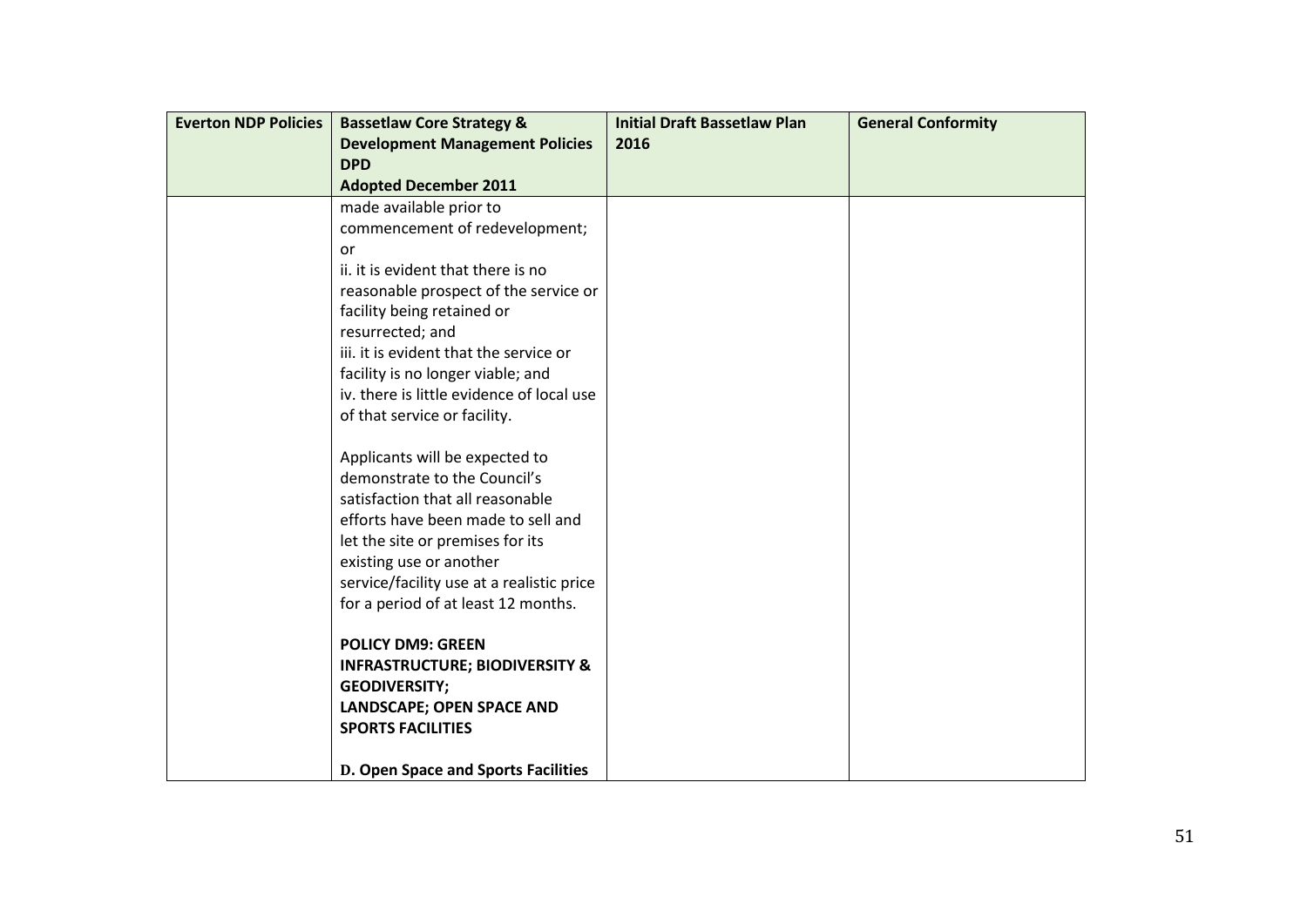| <b>Development Management Policies</b><br>2016<br><b>DPD</b><br><b>Adopted December 2011</b><br>made available prior to<br>commencement of redevelopment; |
|-----------------------------------------------------------------------------------------------------------------------------------------------------------|
|                                                                                                                                                           |
|                                                                                                                                                           |
|                                                                                                                                                           |
|                                                                                                                                                           |
|                                                                                                                                                           |
| or                                                                                                                                                        |
| ii. it is evident that there is no                                                                                                                        |
| reasonable prospect of the service or                                                                                                                     |
| facility being retained or                                                                                                                                |
| resurrected; and                                                                                                                                          |
| iii. it is evident that the service or                                                                                                                    |
| facility is no longer viable; and                                                                                                                         |
| iv. there is little evidence of local use                                                                                                                 |
| of that service or facility.                                                                                                                              |
|                                                                                                                                                           |
| Applicants will be expected to                                                                                                                            |
| demonstrate to the Council's                                                                                                                              |
| satisfaction that all reasonable                                                                                                                          |
| efforts have been made to sell and                                                                                                                        |
| let the site or premises for its                                                                                                                          |
| existing use or another                                                                                                                                   |
| service/facility use at a realistic price                                                                                                                 |
| for a period of at least 12 months.                                                                                                                       |
|                                                                                                                                                           |
| <b>POLICY DM9: GREEN</b>                                                                                                                                  |
| <b>INFRASTRUCTURE; BIODIVERSITY &amp;</b>                                                                                                                 |
| <b>GEODIVERSITY;</b>                                                                                                                                      |
| <b>LANDSCAPE; OPEN SPACE AND</b>                                                                                                                          |
| <b>SPORTS FACILITIES</b>                                                                                                                                  |
| D. Open Space and Sports Facilities                                                                                                                       |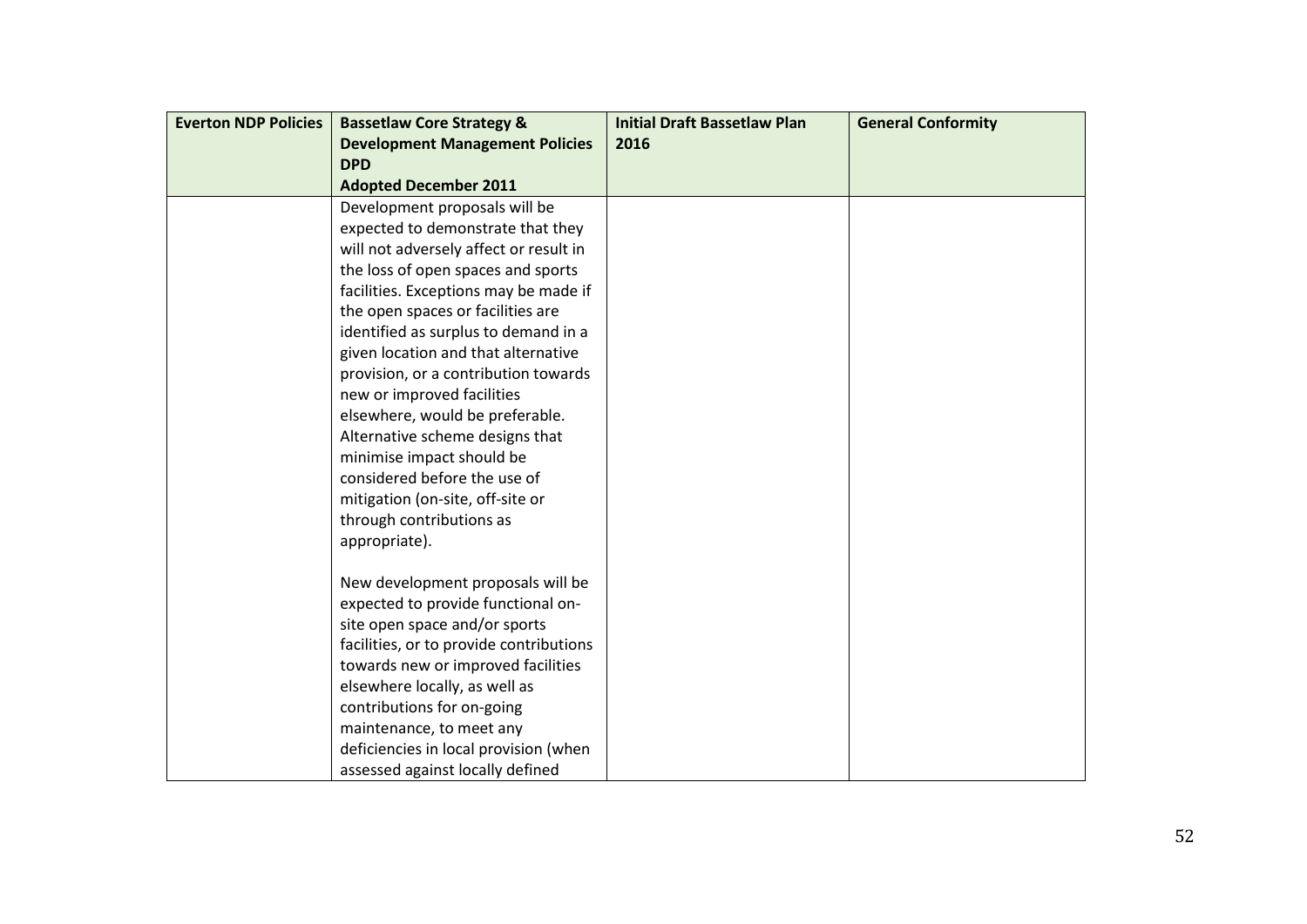| <b>Everton NDP Policies</b> | <b>Bassetlaw Core Strategy &amp;</b>    | <b>Initial Draft Bassetlaw Plan</b> | <b>General Conformity</b> |
|-----------------------------|-----------------------------------------|-------------------------------------|---------------------------|
|                             | <b>Development Management Policies</b>  | 2016                                |                           |
|                             | <b>DPD</b>                              |                                     |                           |
|                             | <b>Adopted December 2011</b>            |                                     |                           |
|                             | Development proposals will be           |                                     |                           |
|                             | expected to demonstrate that they       |                                     |                           |
|                             | will not adversely affect or result in  |                                     |                           |
|                             | the loss of open spaces and sports      |                                     |                           |
|                             | facilities. Exceptions may be made if   |                                     |                           |
|                             | the open spaces or facilities are       |                                     |                           |
|                             | identified as surplus to demand in a    |                                     |                           |
|                             | given location and that alternative     |                                     |                           |
|                             | provision, or a contribution towards    |                                     |                           |
|                             | new or improved facilities              |                                     |                           |
|                             | elsewhere, would be preferable.         |                                     |                           |
|                             | Alternative scheme designs that         |                                     |                           |
|                             | minimise impact should be               |                                     |                           |
|                             | considered before the use of            |                                     |                           |
|                             | mitigation (on-site, off-site or        |                                     |                           |
|                             | through contributions as                |                                     |                           |
|                             | appropriate).                           |                                     |                           |
|                             | New development proposals will be       |                                     |                           |
|                             | expected to provide functional on-      |                                     |                           |
|                             | site open space and/or sports           |                                     |                           |
|                             | facilities, or to provide contributions |                                     |                           |
|                             | towards new or improved facilities      |                                     |                           |
|                             | elsewhere locally, as well as           |                                     |                           |
|                             | contributions for on-going              |                                     |                           |
|                             | maintenance, to meet any                |                                     |                           |
|                             | deficiencies in local provision (when   |                                     |                           |
|                             | assessed against locally defined        |                                     |                           |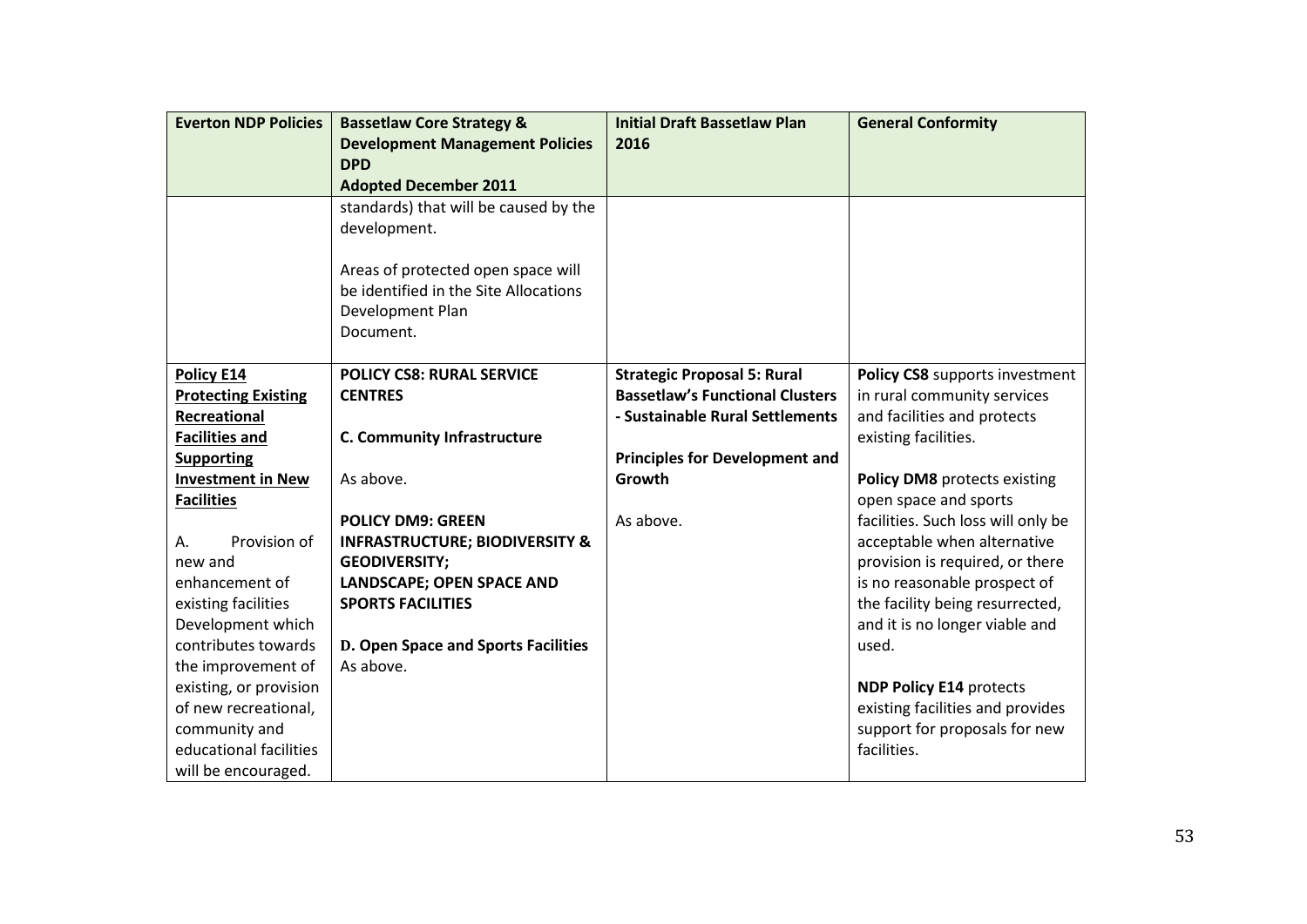| <b>Everton NDP Policies</b> | <b>Bassetlaw Core Strategy &amp;</b>      | <b>Initial Draft Bassetlaw Plan</b>    | <b>General Conformity</b>          |
|-----------------------------|-------------------------------------------|----------------------------------------|------------------------------------|
|                             | <b>Development Management Policies</b>    | 2016                                   |                                    |
|                             | <b>DPD</b>                                |                                        |                                    |
|                             | <b>Adopted December 2011</b>              |                                        |                                    |
|                             | standards) that will be caused by the     |                                        |                                    |
|                             | development.                              |                                        |                                    |
|                             |                                           |                                        |                                    |
|                             | Areas of protected open space will        |                                        |                                    |
|                             | be identified in the Site Allocations     |                                        |                                    |
|                             | Development Plan                          |                                        |                                    |
|                             | Document.                                 |                                        |                                    |
|                             |                                           |                                        |                                    |
| Policy E14                  | <b>POLICY CS8: RURAL SERVICE</b>          | <b>Strategic Proposal 5: Rural</b>     | Policy CS8 supports investment     |
| <b>Protecting Existing</b>  | <b>CENTRES</b>                            | <b>Bassetlaw's Functional Clusters</b> | in rural community services        |
| Recreational                |                                           | - Sustainable Rural Settlements        | and facilities and protects        |
| <b>Facilities and</b>       | <b>C. Community Infrastructure</b>        |                                        | existing facilities.               |
| <b>Supporting</b>           |                                           | <b>Principles for Development and</b>  |                                    |
| <b>Investment in New</b>    | As above.                                 | Growth                                 | Policy DM8 protects existing       |
| <b>Facilities</b>           |                                           |                                        | open space and sports              |
|                             | <b>POLICY DM9: GREEN</b>                  | As above.                              | facilities. Such loss will only be |
| Provision of<br>А.          | <b>INFRASTRUCTURE; BIODIVERSITY &amp;</b> |                                        | acceptable when alternative        |
| new and                     | <b>GEODIVERSITY;</b>                      |                                        | provision is required, or there    |
| enhancement of              | <b>LANDSCAPE; OPEN SPACE AND</b>          |                                        | is no reasonable prospect of       |
| existing facilities         | <b>SPORTS FACILITIES</b>                  |                                        | the facility being resurrected,    |
| Development which           |                                           |                                        | and it is no longer viable and     |
| contributes towards         | D. Open Space and Sports Facilities       |                                        | used.                              |
| the improvement of          | As above.                                 |                                        |                                    |
| existing, or provision      |                                           |                                        | <b>NDP Policy E14 protects</b>     |
| of new recreational,        |                                           |                                        | existing facilities and provides   |
| community and               |                                           |                                        | support for proposals for new      |
| educational facilities      |                                           |                                        | facilities.                        |
| will be encouraged.         |                                           |                                        |                                    |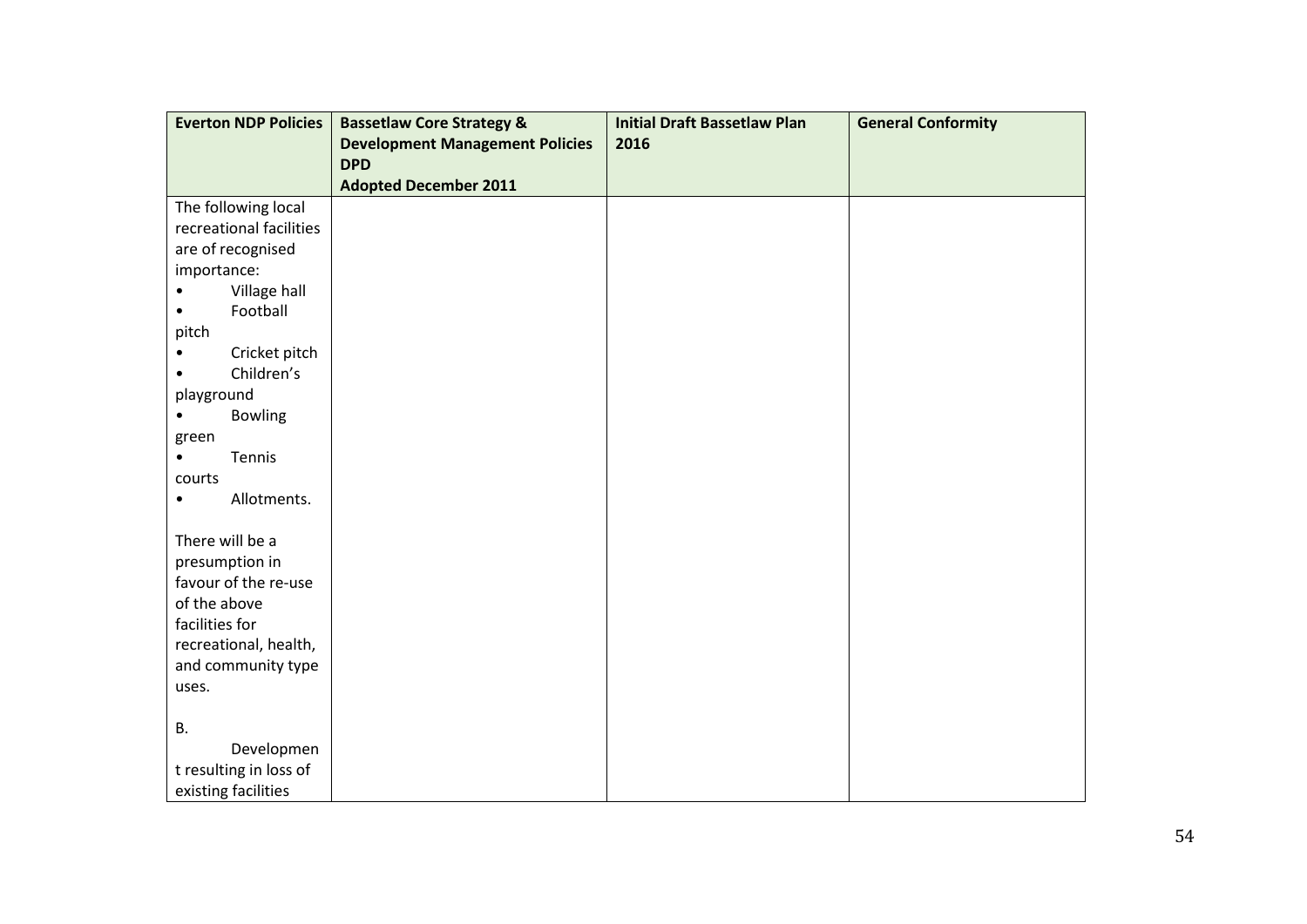| <b>Everton NDP Policies</b>  | <b>Bassetlaw Core Strategy &amp;</b>   | <b>Initial Draft Bassetlaw Plan</b> | <b>General Conformity</b> |
|------------------------------|----------------------------------------|-------------------------------------|---------------------------|
|                              | <b>Development Management Policies</b> | 2016                                |                           |
|                              | <b>DPD</b>                             |                                     |                           |
|                              | <b>Adopted December 2011</b>           |                                     |                           |
| The following local          |                                        |                                     |                           |
| recreational facilities      |                                        |                                     |                           |
| are of recognised            |                                        |                                     |                           |
| importance:                  |                                        |                                     |                           |
| Village hall<br>$\bullet$    |                                        |                                     |                           |
| Football<br>$\bullet$        |                                        |                                     |                           |
| pitch                        |                                        |                                     |                           |
| Cricket pitch<br>٠           |                                        |                                     |                           |
| Children's<br>$\bullet$      |                                        |                                     |                           |
| playground                   |                                        |                                     |                           |
| <b>Bowling</b><br>$\bullet$  |                                        |                                     |                           |
| green<br>Tennis<br>$\bullet$ |                                        |                                     |                           |
| courts                       |                                        |                                     |                           |
| Allotments.<br>$\bullet$     |                                        |                                     |                           |
|                              |                                        |                                     |                           |
| There will be a              |                                        |                                     |                           |
| presumption in               |                                        |                                     |                           |
| favour of the re-use         |                                        |                                     |                           |
| of the above                 |                                        |                                     |                           |
| facilities for               |                                        |                                     |                           |
| recreational, health,        |                                        |                                     |                           |
| and community type           |                                        |                                     |                           |
| uses.                        |                                        |                                     |                           |
|                              |                                        |                                     |                           |
| <b>B.</b>                    |                                        |                                     |                           |
| Developmen                   |                                        |                                     |                           |
| t resulting in loss of       |                                        |                                     |                           |
| existing facilities          |                                        |                                     |                           |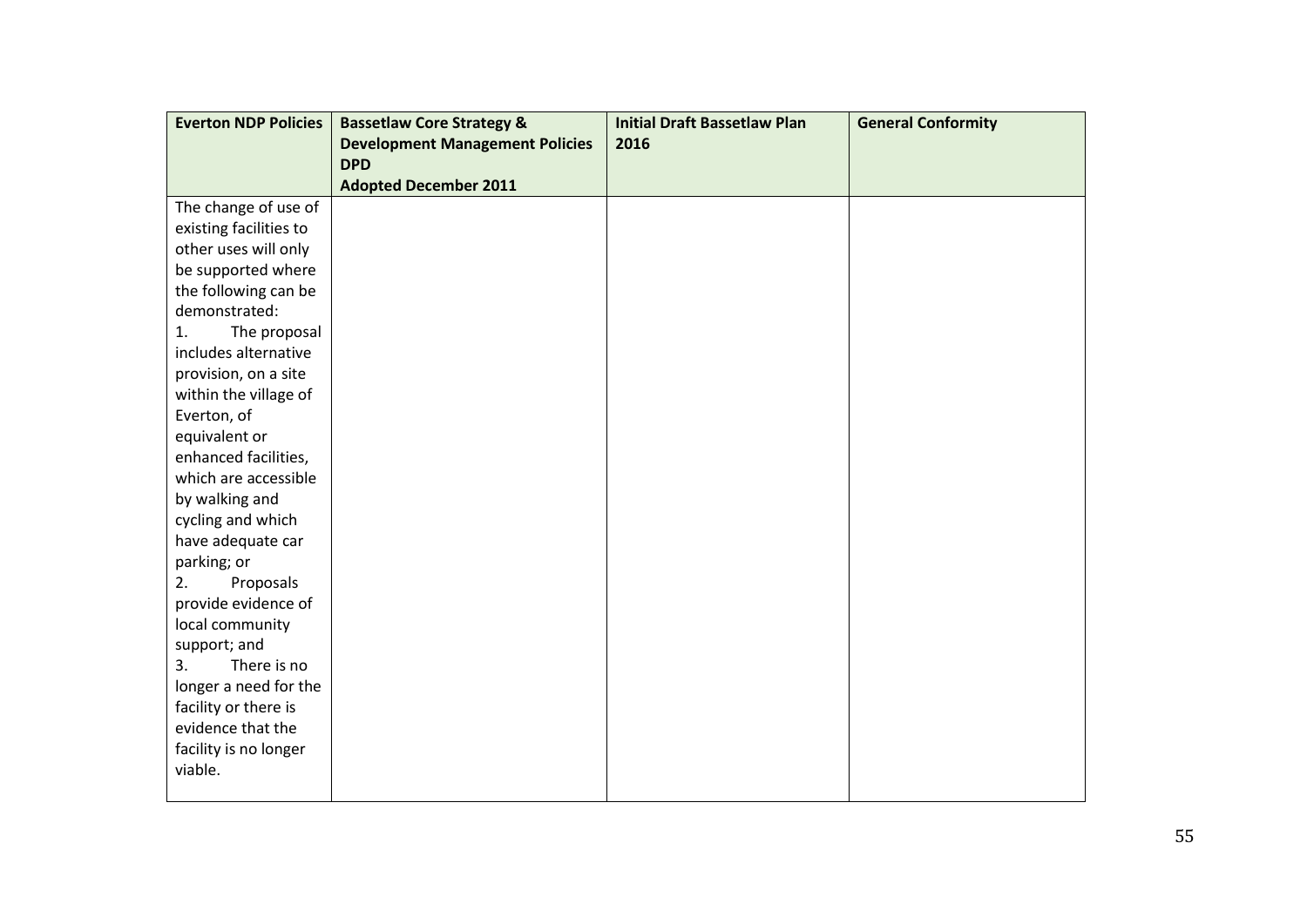| <b>Everton NDP Policies</b>               | <b>Bassetlaw Core Strategy &amp;</b>   | <b>Initial Draft Bassetlaw Plan</b> | <b>General Conformity</b> |
|-------------------------------------------|----------------------------------------|-------------------------------------|---------------------------|
|                                           | <b>Development Management Policies</b> | 2016                                |                           |
|                                           | <b>DPD</b>                             |                                     |                           |
|                                           | <b>Adopted December 2011</b>           |                                     |                           |
| The change of use of                      |                                        |                                     |                           |
| existing facilities to                    |                                        |                                     |                           |
| other uses will only                      |                                        |                                     |                           |
| be supported where                        |                                        |                                     |                           |
| the following can be                      |                                        |                                     |                           |
| demonstrated:                             |                                        |                                     |                           |
| The proposal<br>1.                        |                                        |                                     |                           |
| includes alternative                      |                                        |                                     |                           |
| provision, on a site                      |                                        |                                     |                           |
| within the village of                     |                                        |                                     |                           |
| Everton, of                               |                                        |                                     |                           |
| equivalent or                             |                                        |                                     |                           |
| enhanced facilities,                      |                                        |                                     |                           |
| which are accessible                      |                                        |                                     |                           |
| by walking and                            |                                        |                                     |                           |
| cycling and which                         |                                        |                                     |                           |
| have adequate car                         |                                        |                                     |                           |
| parking; or                               |                                        |                                     |                           |
| Proposals<br>2.                           |                                        |                                     |                           |
| provide evidence of                       |                                        |                                     |                           |
| local community                           |                                        |                                     |                           |
| support; and                              |                                        |                                     |                           |
| There is no<br>3.                         |                                        |                                     |                           |
| longer a need for the                     |                                        |                                     |                           |
| facility or there is<br>evidence that the |                                        |                                     |                           |
|                                           |                                        |                                     |                           |
| facility is no longer<br>viable.          |                                        |                                     |                           |
|                                           |                                        |                                     |                           |
|                                           |                                        |                                     |                           |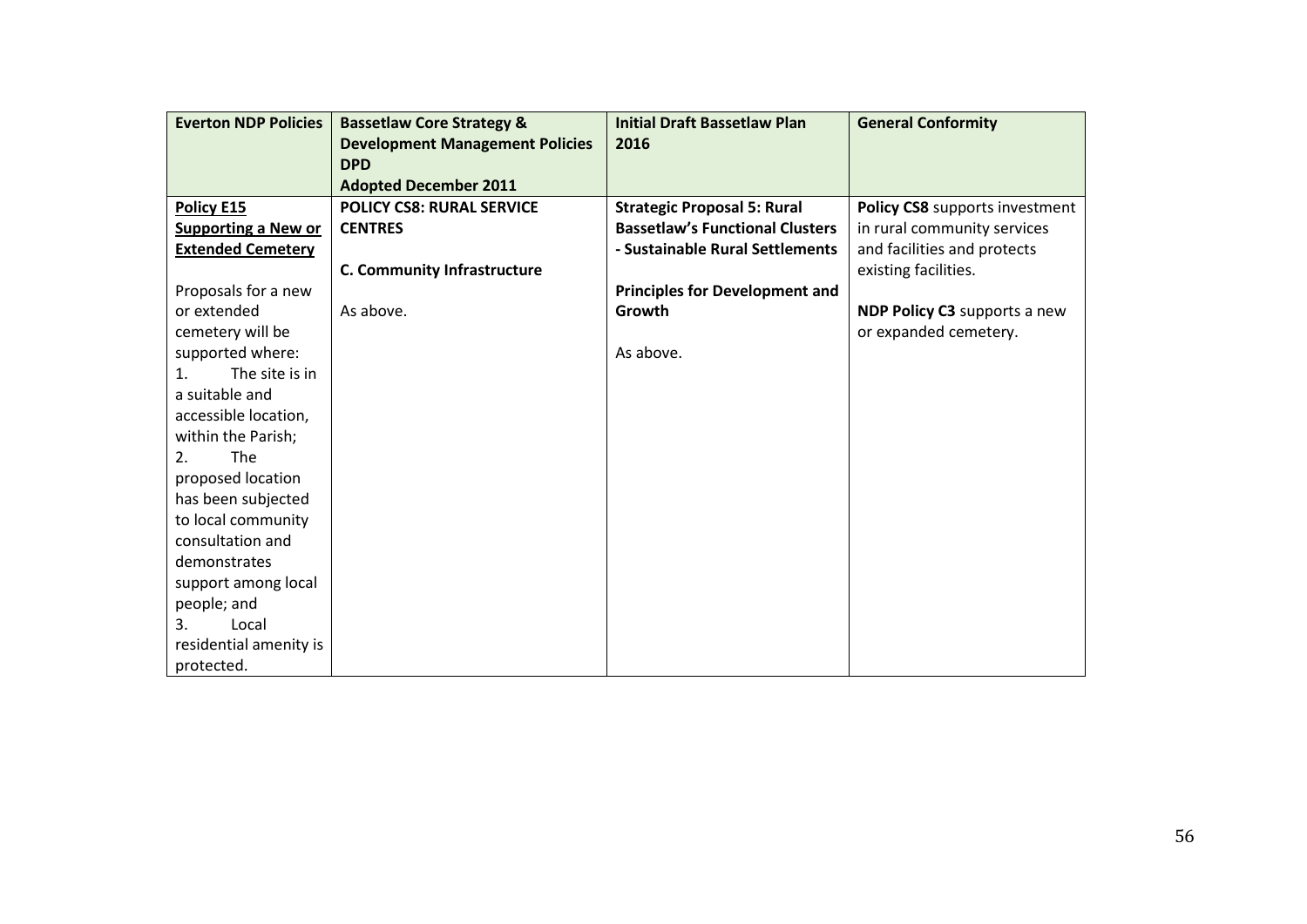| <b>Everton NDP Policies</b>      | <b>Bassetlaw Core Strategy &amp;</b>   | <b>Initial Draft Bassetlaw Plan</b>    | <b>General Conformity</b>      |
|----------------------------------|----------------------------------------|----------------------------------------|--------------------------------|
|                                  | <b>Development Management Policies</b> | 2016                                   |                                |
|                                  | <b>DPD</b>                             |                                        |                                |
|                                  | <b>Adopted December 2011</b>           |                                        |                                |
| Policy E15                       | <b>POLICY CS8: RURAL SERVICE</b>       | <b>Strategic Proposal 5: Rural</b>     | Policy CS8 supports investment |
| <b>Supporting a New or</b>       | <b>CENTRES</b>                         | <b>Bassetlaw's Functional Clusters</b> | in rural community services    |
| <b>Extended Cemetery</b>         |                                        | - Sustainable Rural Settlements        | and facilities and protects    |
|                                  | <b>C. Community Infrastructure</b>     |                                        | existing facilities.           |
| Proposals for a new              |                                        | <b>Principles for Development and</b>  |                                |
| or extended                      | As above.                              | Growth                                 | NDP Policy C3 supports a new   |
| cemetery will be                 |                                        |                                        | or expanded cemetery.          |
| supported where:                 |                                        | As above.                              |                                |
| The site is in<br>$\mathbf{1}$ . |                                        |                                        |                                |
| a suitable and                   |                                        |                                        |                                |
| accessible location,             |                                        |                                        |                                |
| within the Parish;               |                                        |                                        |                                |
| <b>The</b><br>2.                 |                                        |                                        |                                |
| proposed location                |                                        |                                        |                                |
| has been subjected               |                                        |                                        |                                |
| to local community               |                                        |                                        |                                |
| consultation and                 |                                        |                                        |                                |
| demonstrates                     |                                        |                                        |                                |
| support among local              |                                        |                                        |                                |
| people; and                      |                                        |                                        |                                |
| 3.<br>Local                      |                                        |                                        |                                |
| residential amenity is           |                                        |                                        |                                |
| protected.                       |                                        |                                        |                                |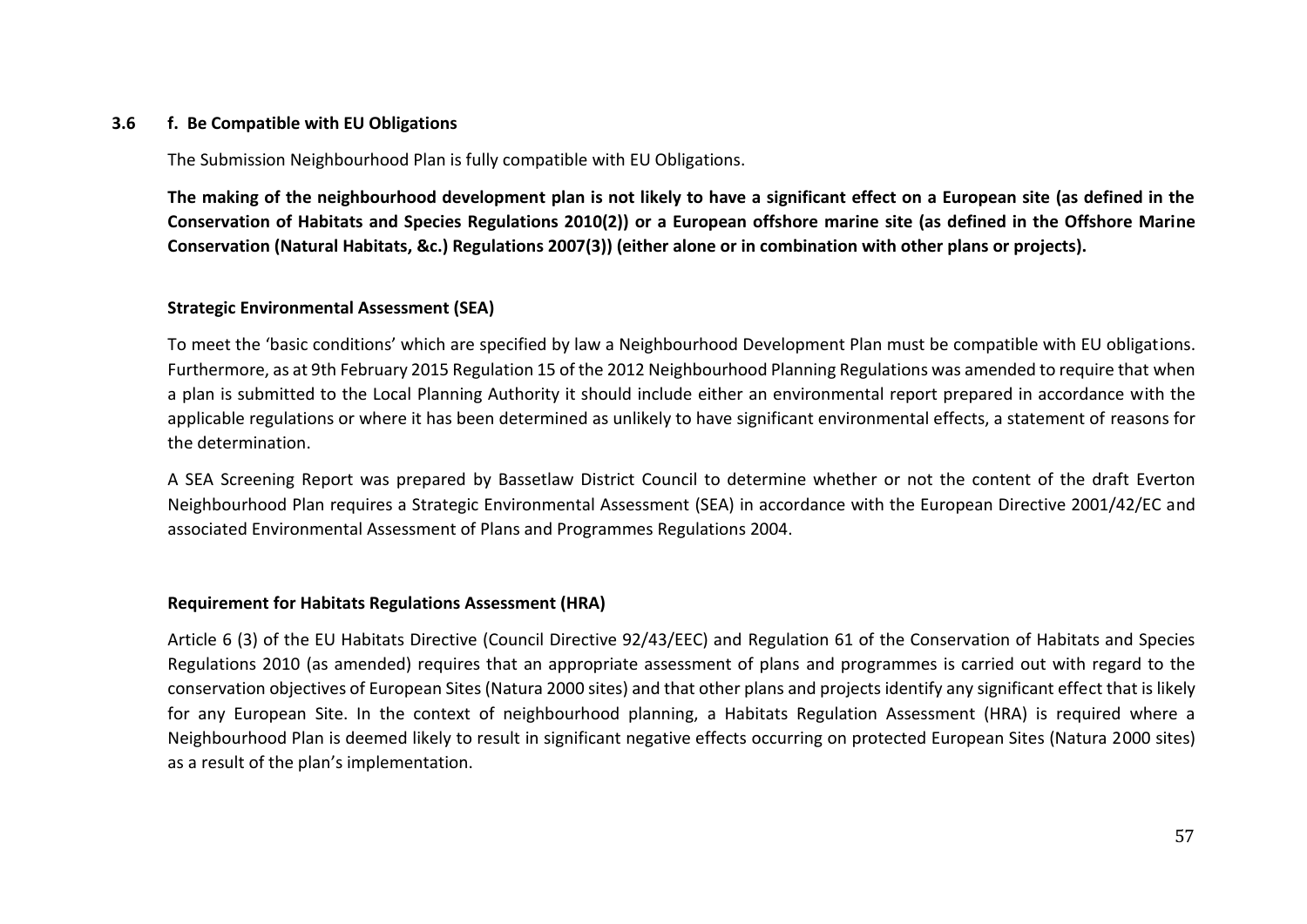## **3.6 f. Be Compatible with EU Obligations**

The Submission Neighbourhood Plan is fully compatible with EU Obligations.

**The making of the neighbourhood development plan is not likely to have a significant effect on a European site (as defined in the Conservation of Habitats and Species Regulations 2010(2)) or a European offshore marine site (as defined in the Offshore Marine Conservation (Natural Habitats, &c.) Regulations 2007(3)) (either alone or in combination with other plans or projects).**

## **Strategic Environmental Assessment (SEA)**

To meet the 'basic conditions' which are specified by law a Neighbourhood Development Plan must be compatible with EU obligations. Furthermore, as at 9th February 2015 Regulation 15 of the 2012 Neighbourhood Planning Regulations was amended to require that when a plan is submitted to the Local Planning Authority it should include either an environmental report prepared in accordance with the applicable regulations or where it has been determined as unlikely to have significant environmental effects, a statement of reasons for the determination.

A SEA Screening Report was prepared by Bassetlaw District Council to determine whether or not the content of the draft Everton Neighbourhood Plan requires a Strategic Environmental Assessment (SEA) in accordance with the European Directive 2001/42/EC and associated Environmental Assessment of Plans and Programmes Regulations 2004.

## **Requirement for Habitats Regulations Assessment (HRA)**

Article 6 (3) of the EU Habitats Directive (Council Directive 92/43/EEC) and Regulation 61 of the Conservation of Habitats and Species Regulations 2010 (as amended) requires that an appropriate assessment of plans and programmes is carried out with regard to the conservation objectives of European Sites (Natura 2000 sites) and that other plans and projects identify any significant effect that is likely for any European Site. In the context of neighbourhood planning, a Habitats Regulation Assessment (HRA) is required where a Neighbourhood Plan is deemed likely to result in significant negative effects occurring on protected European Sites (Natura 2000 sites) as a result of the plan's implementation.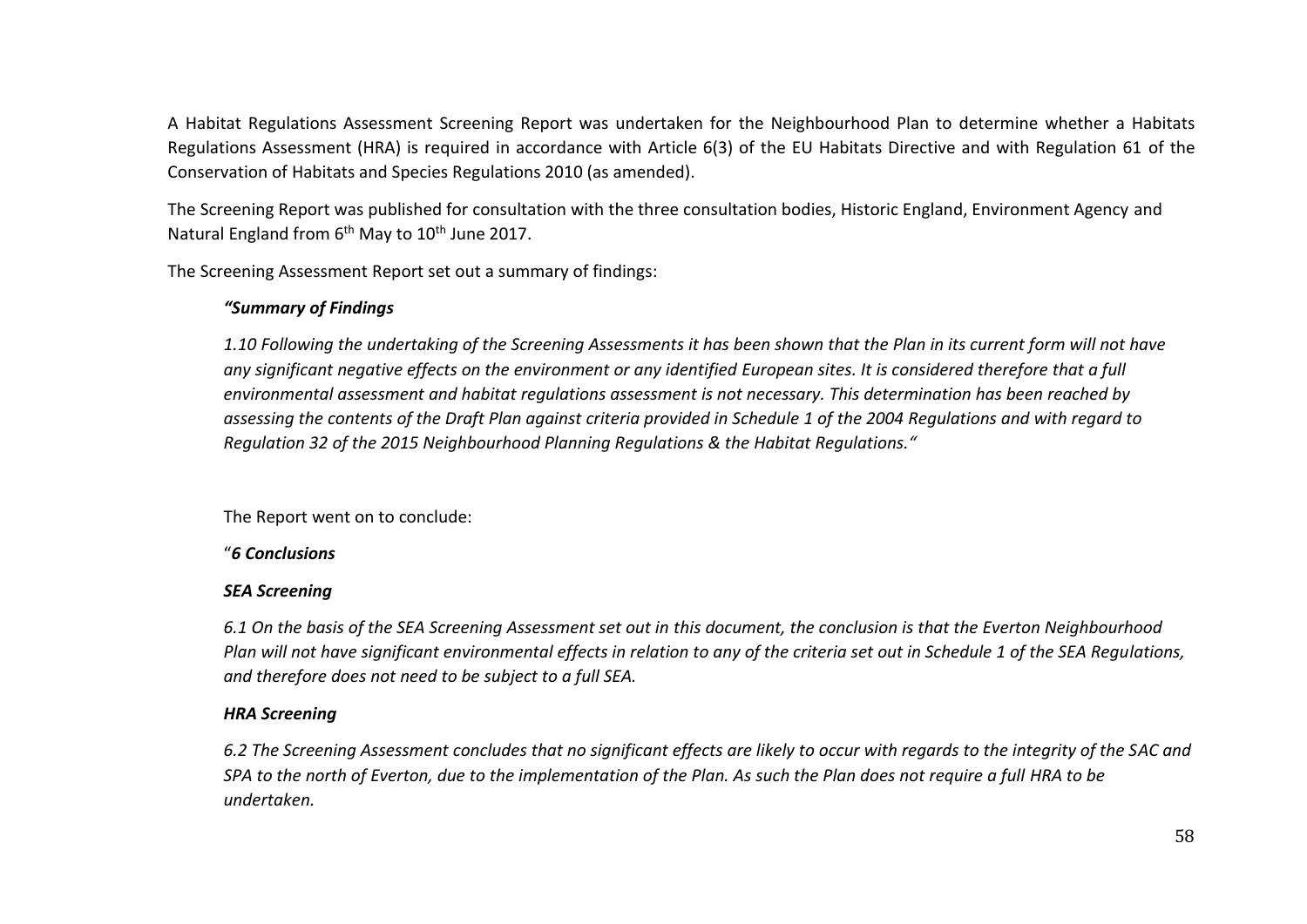A Habitat Regulations Assessment Screening Report was undertaken for the Neighbourhood Plan to determine whether a Habitats Regulations Assessment (HRA) is required in accordance with Article 6(3) of the EU Habitats Directive and with Regulation 61 of the Conservation of Habitats and Species Regulations 2010 (as amended).

The Screening Report was published for consultation with the three consultation bodies, Historic England, Environment Agency and Natural England from 6<sup>th</sup> May to 10<sup>th</sup> June 2017.

The Screening Assessment Report set out a summary of findings:

## *"Summary of Findings*

*1.10 Following the undertaking of the Screening Assessments it has been shown that the Plan in its current form will not have any significant negative effects on the environment or any identified European sites. It is considered therefore that a full environmental assessment and habitat regulations assessment is not necessary. This determination has been reached by assessing the contents of the Draft Plan against criteria provided in Schedule 1 of the 2004 Regulations and with regard to Regulation 32 of the 2015 Neighbourhood Planning Regulations & the Habitat Regulations."*

The Report went on to conclude:

## "*6 Conclusions*

## *SEA Screening*

*6.1 On the basis of the SEA Screening Assessment set out in this document, the conclusion is that the Everton Neighbourhood Plan will not have significant environmental effects in relation to any of the criteria set out in Schedule 1 of the SEA Regulations, and therefore does not need to be subject to a full SEA.* 

## *HRA Screening*

*6.2 The Screening Assessment concludes that no significant effects are likely to occur with regards to the integrity of the SAC and SPA to the north of Everton, due to the implementation of the Plan. As such the Plan does not require a full HRA to be undertaken.*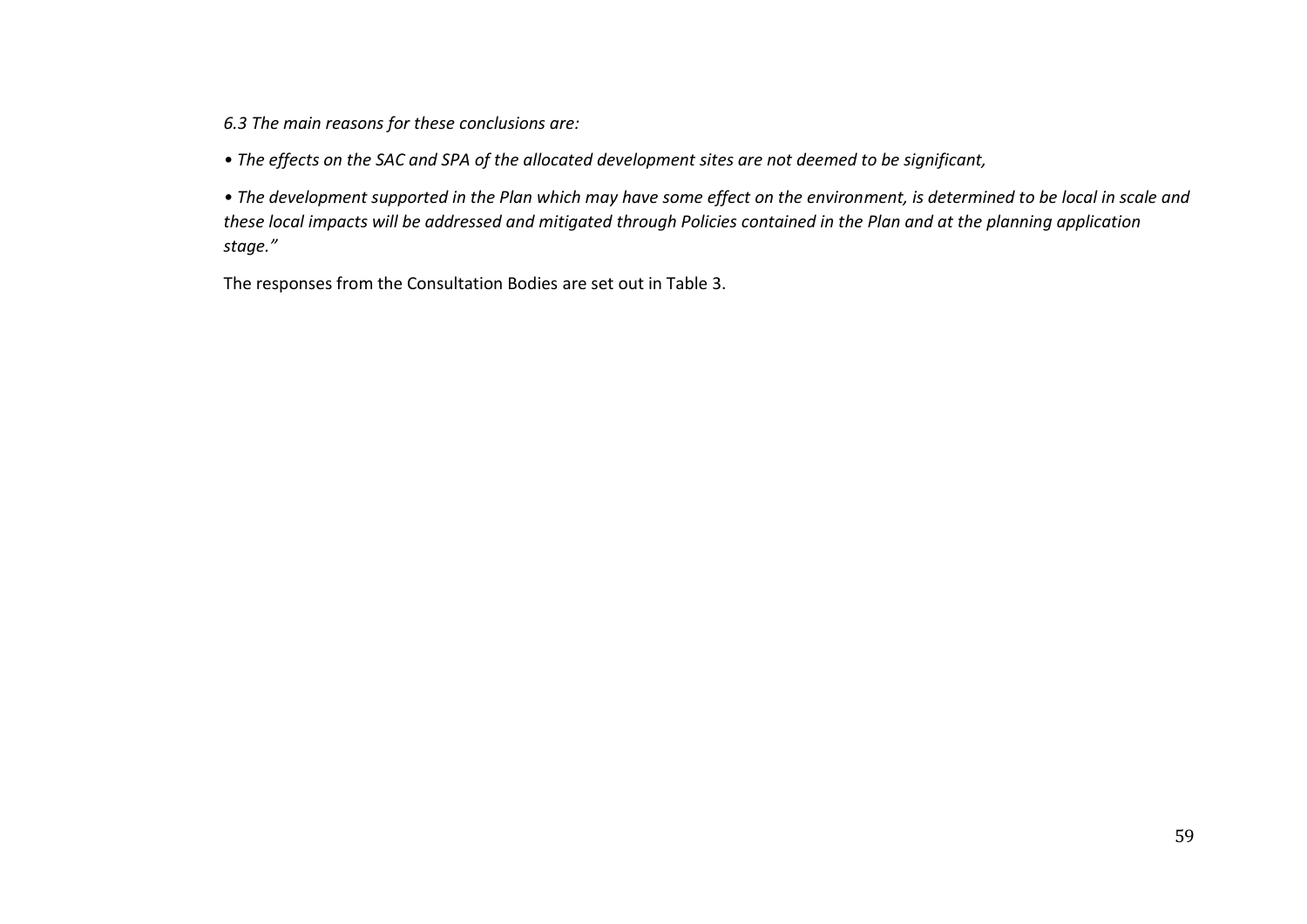*6.3 The main reasons for these conclusions are:* 

*• The effects on the SAC and SPA of the allocated development sites are not deemed to be significant,* 

• The development supported in the Plan which may have some effect on the environment, is determined to be local in scale and *these local impacts will be addressed and mitigated through Policies contained in the Plan and at the planning application stage."*

The responses from the Consultation Bodies are set out in Table 3.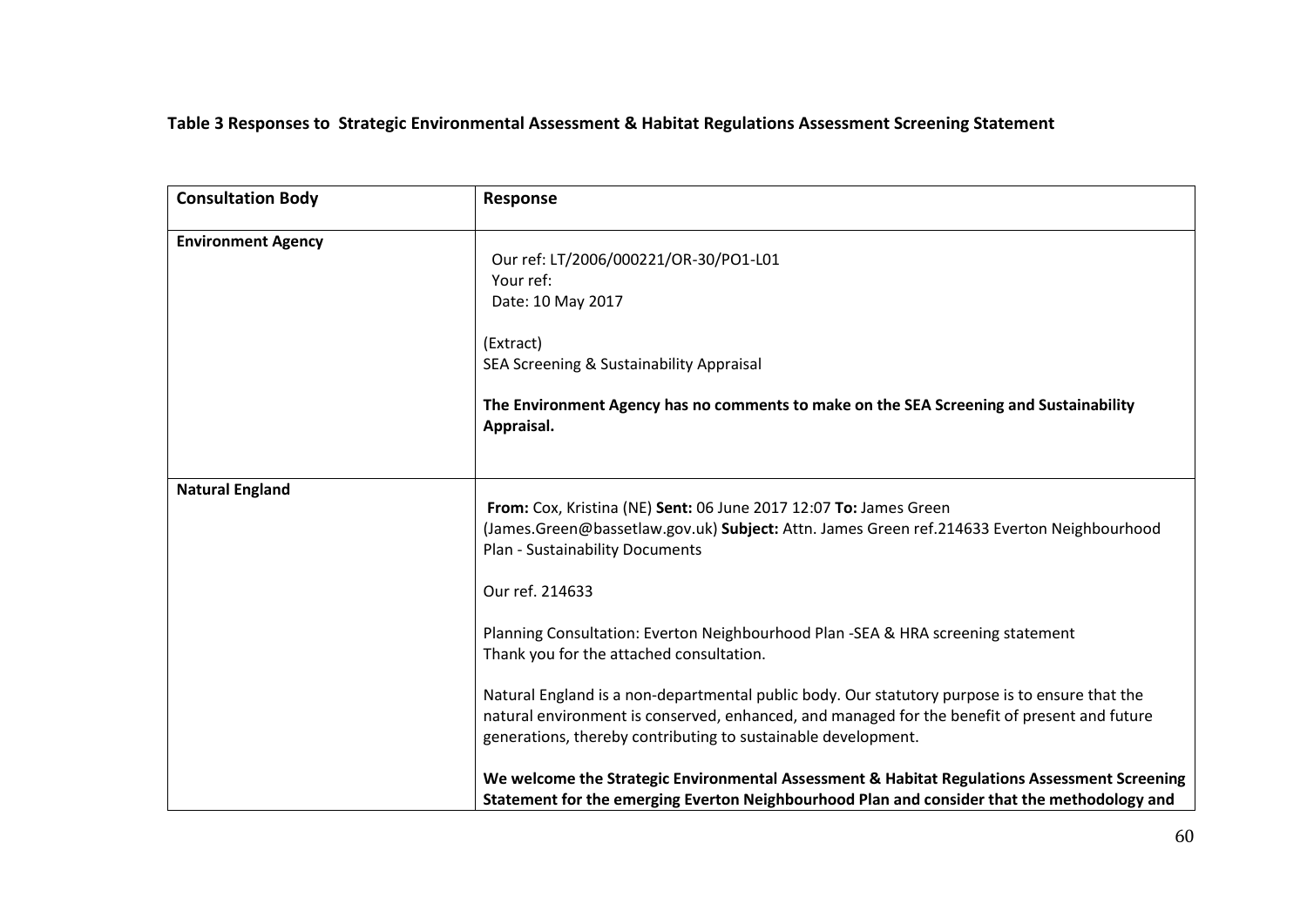## **Table 3 Responses to Strategic Environmental Assessment & Habitat Regulations Assessment Screening Statement**

| <b>Consultation Body</b>  | Response                                                                                                                                                                                                                                                                                                                                                                                                                                                                                                                                                                                                                                                                                                                  |  |
|---------------------------|---------------------------------------------------------------------------------------------------------------------------------------------------------------------------------------------------------------------------------------------------------------------------------------------------------------------------------------------------------------------------------------------------------------------------------------------------------------------------------------------------------------------------------------------------------------------------------------------------------------------------------------------------------------------------------------------------------------------------|--|
| <b>Environment Agency</b> | Our ref: LT/2006/000221/OR-30/PO1-L01<br>Your ref:<br>Date: 10 May 2017<br>(Extract)<br>SEA Screening & Sustainability Appraisal<br>The Environment Agency has no comments to make on the SEA Screening and Sustainability<br>Appraisal.                                                                                                                                                                                                                                                                                                                                                                                                                                                                                  |  |
| <b>Natural England</b>    | From: Cox, Kristina (NE) Sent: 06 June 2017 12:07 To: James Green<br>(James.Green@bassetlaw.gov.uk) Subject: Attn. James Green ref.214633 Everton Neighbourhood<br>Plan - Sustainability Documents<br>Our ref. 214633<br>Planning Consultation: Everton Neighbourhood Plan -SEA & HRA screening statement<br>Thank you for the attached consultation.<br>Natural England is a non-departmental public body. Our statutory purpose is to ensure that the<br>natural environment is conserved, enhanced, and managed for the benefit of present and future<br>generations, thereby contributing to sustainable development.<br>We welcome the Strategic Environmental Assessment & Habitat Regulations Assessment Screening |  |
|                           | Statement for the emerging Everton Neighbourhood Plan and consider that the methodology and                                                                                                                                                                                                                                                                                                                                                                                                                                                                                                                                                                                                                               |  |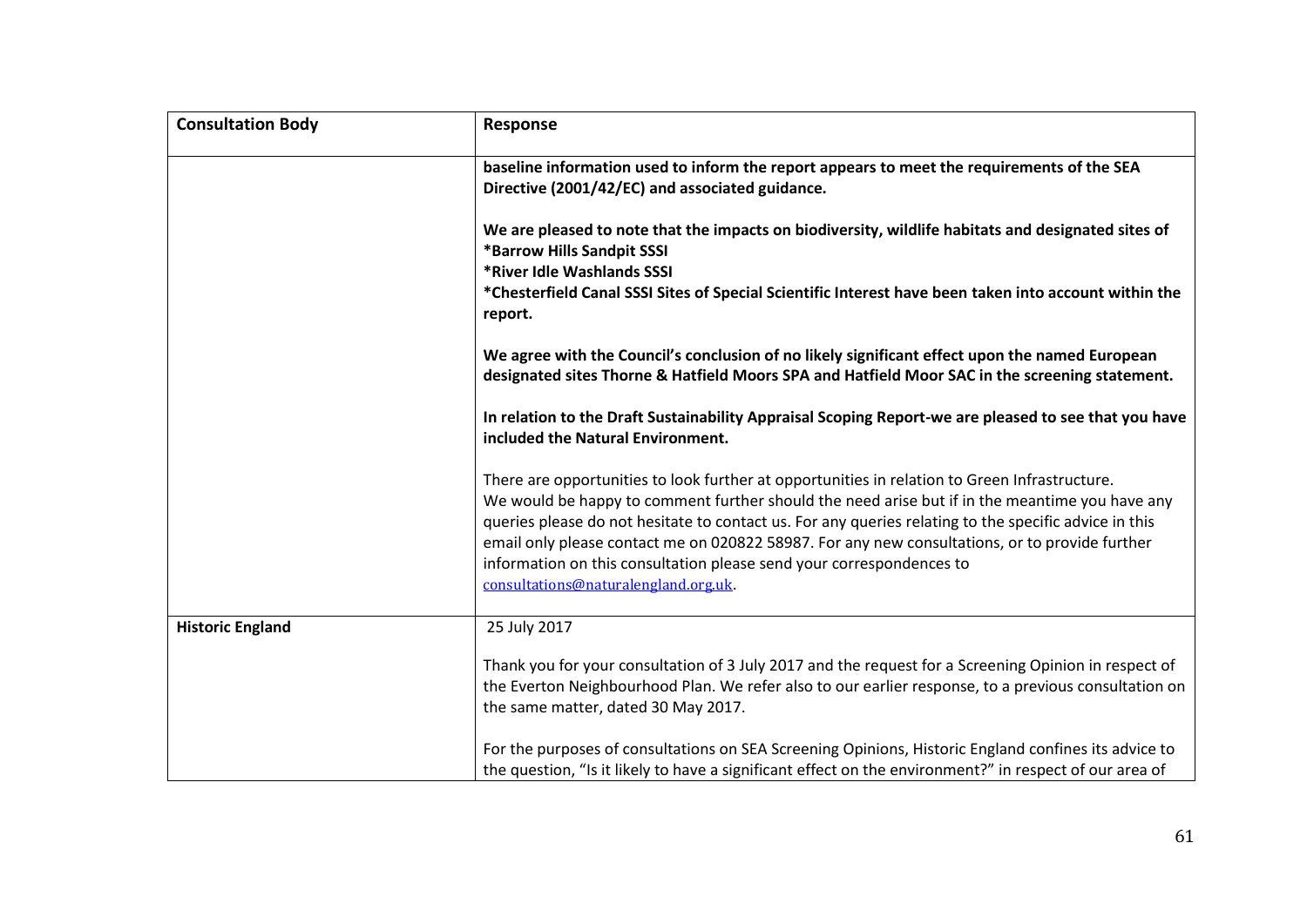| <b>Consultation Body</b> | <b>Response</b>                                                                                                                                                                                                                                                                                                                                                                                                                                                                                                            |  |
|--------------------------|----------------------------------------------------------------------------------------------------------------------------------------------------------------------------------------------------------------------------------------------------------------------------------------------------------------------------------------------------------------------------------------------------------------------------------------------------------------------------------------------------------------------------|--|
|                          | baseline information used to inform the report appears to meet the requirements of the SEA<br>Directive (2001/42/EC) and associated guidance.                                                                                                                                                                                                                                                                                                                                                                              |  |
|                          | We are pleased to note that the impacts on biodiversity, wildlife habitats and designated sites of<br>*Barrow Hills Sandpit SSSI<br>*River Idle Washlands SSSI                                                                                                                                                                                                                                                                                                                                                             |  |
|                          | *Chesterfield Canal SSSI Sites of Special Scientific Interest have been taken into account within the<br>report.                                                                                                                                                                                                                                                                                                                                                                                                           |  |
|                          | We agree with the Council's conclusion of no likely significant effect upon the named European<br>designated sites Thorne & Hatfield Moors SPA and Hatfield Moor SAC in the screening statement.                                                                                                                                                                                                                                                                                                                           |  |
|                          | In relation to the Draft Sustainability Appraisal Scoping Report-we are pleased to see that you have<br>included the Natural Environment.                                                                                                                                                                                                                                                                                                                                                                                  |  |
|                          | There are opportunities to look further at opportunities in relation to Green Infrastructure.<br>We would be happy to comment further should the need arise but if in the meantime you have any<br>queries please do not hesitate to contact us. For any queries relating to the specific advice in this<br>email only please contact me on 020822 58987. For any new consultations, or to provide further<br>information on this consultation please send your correspondences to<br>consultations@naturalengland.org.uk. |  |
| <b>Historic England</b>  | 25 July 2017                                                                                                                                                                                                                                                                                                                                                                                                                                                                                                               |  |
|                          | Thank you for your consultation of 3 July 2017 and the request for a Screening Opinion in respect of<br>the Everton Neighbourhood Plan. We refer also to our earlier response, to a previous consultation on<br>the same matter, dated 30 May 2017.                                                                                                                                                                                                                                                                        |  |
|                          | For the purposes of consultations on SEA Screening Opinions, Historic England confines its advice to<br>the question, "Is it likely to have a significant effect on the environment?" in respect of our area of                                                                                                                                                                                                                                                                                                            |  |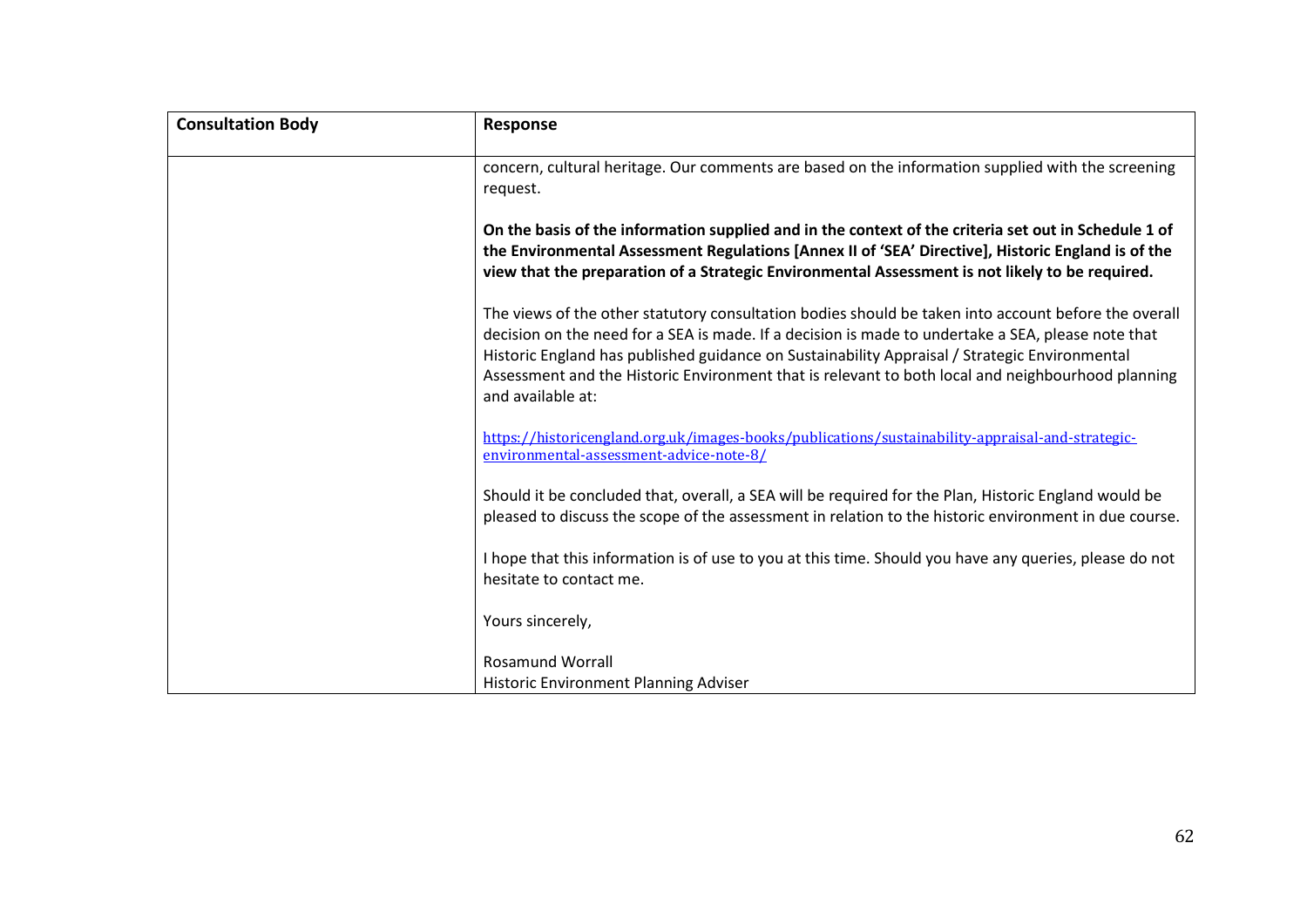| <b>Consultation Body</b> | Response                                                                                                                                                                                                                                                                                                                                                                                                                              |
|--------------------------|---------------------------------------------------------------------------------------------------------------------------------------------------------------------------------------------------------------------------------------------------------------------------------------------------------------------------------------------------------------------------------------------------------------------------------------|
|                          | concern, cultural heritage. Our comments are based on the information supplied with the screening<br>request.                                                                                                                                                                                                                                                                                                                         |
|                          | On the basis of the information supplied and in the context of the criteria set out in Schedule 1 of<br>the Environmental Assessment Regulations [Annex II of 'SEA' Directive], Historic England is of the<br>view that the preparation of a Strategic Environmental Assessment is not likely to be required.                                                                                                                         |
|                          | The views of the other statutory consultation bodies should be taken into account before the overall<br>decision on the need for a SEA is made. If a decision is made to undertake a SEA, please note that<br>Historic England has published guidance on Sustainability Appraisal / Strategic Environmental<br>Assessment and the Historic Environment that is relevant to both local and neighbourhood planning<br>and available at: |
|                          | https://historicengland.org.uk/images-books/publications/sustainability-appraisal-and-strategic-<br>environmental-assessment-advice-note-8/                                                                                                                                                                                                                                                                                           |
|                          | Should it be concluded that, overall, a SEA will be required for the Plan, Historic England would be<br>pleased to discuss the scope of the assessment in relation to the historic environment in due course.                                                                                                                                                                                                                         |
|                          | I hope that this information is of use to you at this time. Should you have any queries, please do not<br>hesitate to contact me.                                                                                                                                                                                                                                                                                                     |
|                          | Yours sincerely,                                                                                                                                                                                                                                                                                                                                                                                                                      |
|                          | <b>Rosamund Worrall</b><br><b>Historic Environment Planning Adviser</b>                                                                                                                                                                                                                                                                                                                                                               |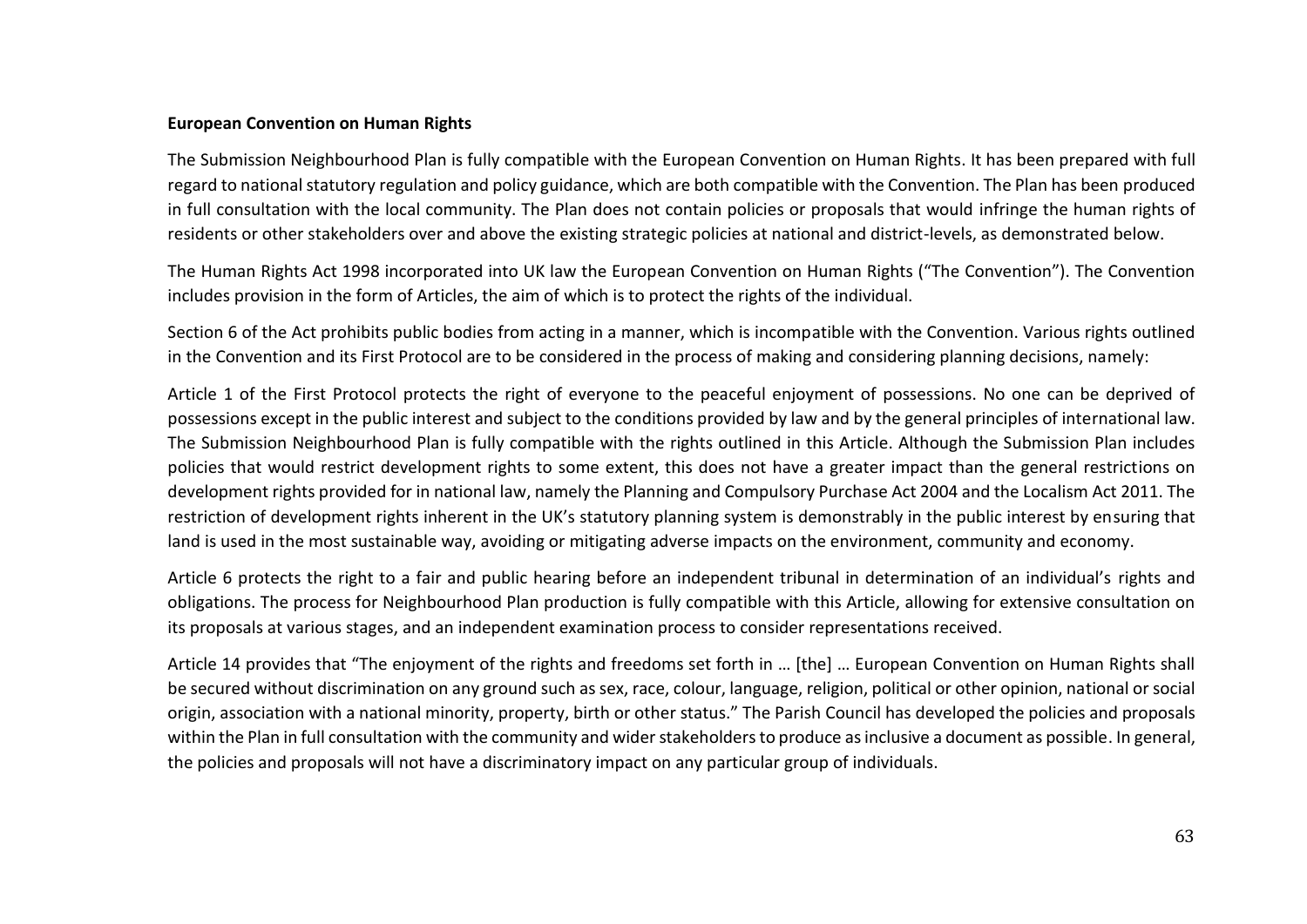#### **European Convention on Human Rights**

The Submission Neighbourhood Plan is fully compatible with the European Convention on Human Rights. It has been prepared with full regard to national statutory regulation and policy guidance, which are both compatible with the Convention. The Plan has been produced in full consultation with the local community. The Plan does not contain policies or proposals that would infringe the human rights of residents or other stakeholders over and above the existing strategic policies at national and district-levels, as demonstrated below.

The Human Rights Act 1998 incorporated into UK law the European Convention on Human Rights ("The Convention"). The Convention includes provision in the form of Articles, the aim of which is to protect the rights of the individual.

Section 6 of the Act prohibits public bodies from acting in a manner, which is incompatible with the Convention. Various rights outlined in the Convention and its First Protocol are to be considered in the process of making and considering planning decisions, namely:

Article 1 of the First Protocol protects the right of everyone to the peaceful enjoyment of possessions. No one can be deprived of possessions except in the public interest and subject to the conditions provided by law and by the general principles of international law. The Submission Neighbourhood Plan is fully compatible with the rights outlined in this Article. Although the Submission Plan includes policies that would restrict development rights to some extent, this does not have a greater impact than the general restrictions on development rights provided for in national law, namely the Planning and Compulsory Purchase Act 2004 and the Localism Act 2011. The restriction of development rights inherent in the UK's statutory planning system is demonstrably in the public interest by ensuring that land is used in the most sustainable way, avoiding or mitigating adverse impacts on the environment, community and economy.

Article 6 protects the right to a fair and public hearing before an independent tribunal in determination of an individual's rights and obligations. The process for Neighbourhood Plan production is fully compatible with this Article, allowing for extensive consultation on its proposals at various stages, and an independent examination process to consider representations received.

Article 14 provides that "The enjoyment of the rights and freedoms set forth in … [the] … European Convention on Human Rights shall be secured without discrimination on any ground such as sex, race, colour, language, religion, political or other opinion, national or social origin, association with a national minority, property, birth or other status." The Parish Council has developed the policies and proposals within the Plan in full consultation with the community and wider stakeholders to produce as inclusive a document as possible. In general, the policies and proposals will not have a discriminatory impact on any particular group of individuals.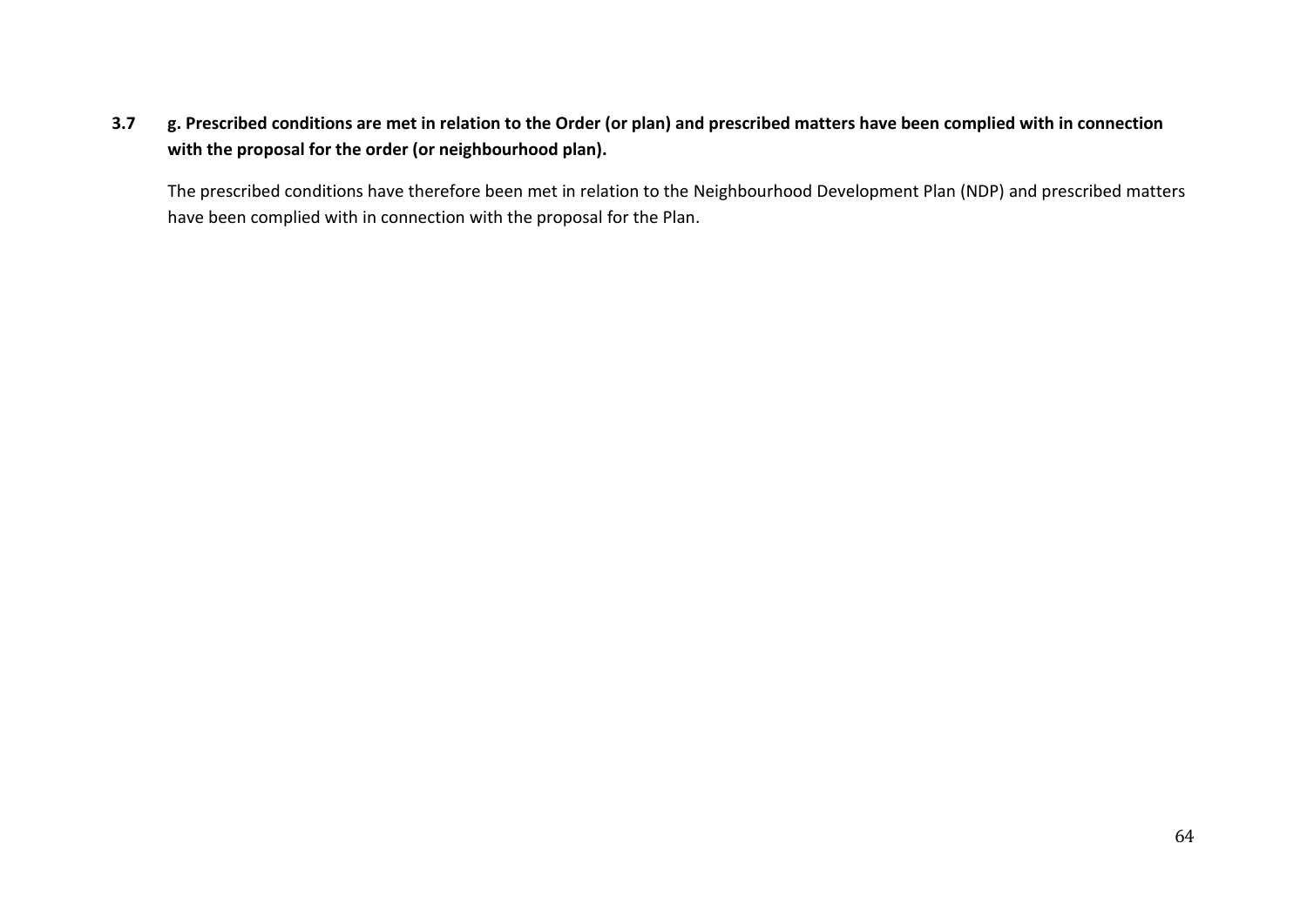## **3.7 g. Prescribed conditions are met in relation to the Order (or plan) and prescribed matters have been complied with in connection with the proposal for the order (or neighbourhood plan).**

The prescribed conditions have therefore been met in relation to the Neighbourhood Development Plan (NDP) and prescribed matters have been complied with in connection with the proposal for the Plan.